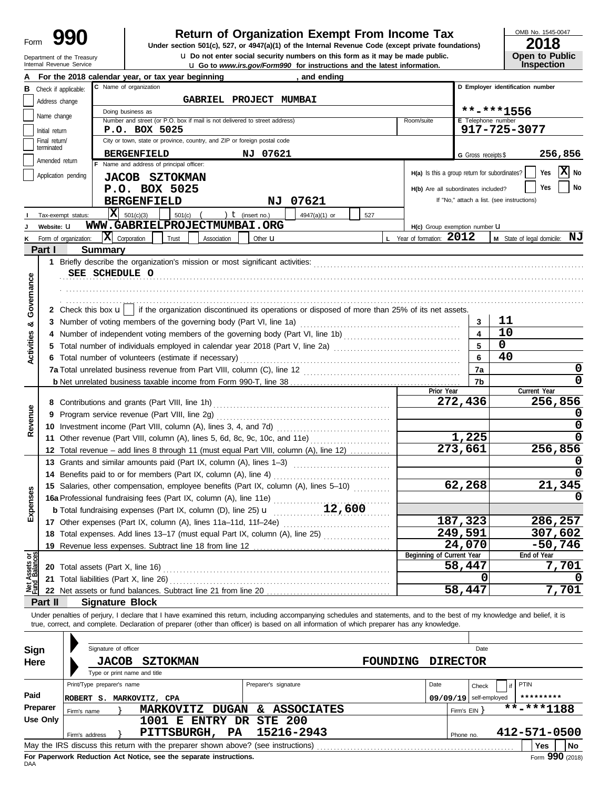# Department of the Treasury<br>Internal Revenue Service

## **Return of Organization Exempt From Income Tax**

**u** Go to *www.irs.gov/Form990* for instructions and the latest information. **u** Do not enter social security numbers on this form as it may be made public. **Under section 501(c), 527, or 4947(a)(1) of the Internal Revenue Code (except private foundations)** OMB No. 1545-0047

| 2018                  |
|-----------------------|
| <b>Open to Public</b> |
| <b>Inspection</b>     |

|                                |                             | For the 2018 calendar year, or tax year beginning<br>and ending                                                                                                                                                                                                                                                   |                                               |                          |                                            |
|--------------------------------|-----------------------------|-------------------------------------------------------------------------------------------------------------------------------------------------------------------------------------------------------------------------------------------------------------------------------------------------------------------|-----------------------------------------------|--------------------------|--------------------------------------------|
|                                | Check if applicable:        | C Name of organization                                                                                                                                                                                                                                                                                            |                                               |                          | D Employer identification number           |
|                                | Address change              | <b>GABRIEL PROJECT MUMBAI</b>                                                                                                                                                                                                                                                                                     |                                               |                          |                                            |
|                                | Name change                 | Doing business as                                                                                                                                                                                                                                                                                                 |                                               |                          | **-***1556                                 |
|                                |                             | Number and street (or P.O. box if mail is not delivered to street address)                                                                                                                                                                                                                                        | Room/suite                                    | E Telephone number       |                                            |
|                                | Initial return              | P.O. BOX 5025                                                                                                                                                                                                                                                                                                     |                                               |                          | 917-725-3077                               |
|                                | Final return/<br>terminated | City or town, state or province, country, and ZIP or foreign postal code                                                                                                                                                                                                                                          |                                               |                          |                                            |
|                                |                             | <b>BERGENFIELD</b><br>NJ 07621                                                                                                                                                                                                                                                                                    |                                               | G Gross receipts \$      | 256,856                                    |
|                                | Amended return              | Name and address of principal officer:                                                                                                                                                                                                                                                                            |                                               |                          |                                            |
|                                |                             | Application pending<br><b>JACOB SZTOKMAN</b>                                                                                                                                                                                                                                                                      | H(a) Is this a group return for subordinates? |                          | $ \mathbf{X} $ No<br>Yes                   |
|                                |                             | P.O. BOX 5025                                                                                                                                                                                                                                                                                                     | H(b) Are all subordinates included?           |                          | Yes<br>No                                  |
|                                |                             | 07621<br><b>BERGENFIELD</b><br>NJ                                                                                                                                                                                                                                                                                 |                                               |                          | If "No," attach a list. (see instructions) |
|                                |                             | $ \mathbf{X} $ 501(c)(3)<br>$501(c)$ (<br>) $t$ (insert no.)<br>4947(a)(1) or<br>Tax-exempt status:<br>527                                                                                                                                                                                                        |                                               |                          |                                            |
|                                |                             | WWW.GABRIELPROJECTMUMBAI.ORG                                                                                                                                                                                                                                                                                      |                                               |                          |                                            |
|                                | Website: U                  |                                                                                                                                                                                                                                                                                                                   | H(c) Group exemption number LI                |                          |                                            |
| κ                              |                             | $\mathbf{X}$ Corporation<br>Trust<br>Form of organization:<br>Association<br>Other $\mathbf u$                                                                                                                                                                                                                    | L Year of formation: 2012                     |                          | M State of legal domicile: NJ              |
|                                | Part I                      | <b>Summary</b>                                                                                                                                                                                                                                                                                                    |                                               |                          |                                            |
|                                |                             |                                                                                                                                                                                                                                                                                                                   |                                               |                          |                                            |
|                                |                             | SEE SCHEDULE O                                                                                                                                                                                                                                                                                                    |                                               |                          |                                            |
|                                |                             |                                                                                                                                                                                                                                                                                                                   |                                               |                          |                                            |
| Governance                     |                             |                                                                                                                                                                                                                                                                                                                   |                                               |                          |                                            |
|                                |                             | 2 Check this box $\mathbf{u}$   if the organization discontinued its operations or disposed of more than 25% of its net assets.                                                                                                                                                                                   |                                               |                          |                                            |
| య                              |                             |                                                                                                                                                                                                                                                                                                                   |                                               | 3                        | 11                                         |
|                                |                             |                                                                                                                                                                                                                                                                                                                   |                                               | $\overline{\mathbf{4}}$  | 10                                         |
|                                |                             | 5 Total number of individuals employed in calendar year 2018 (Part V, line 2a) [11] [20] [11] [20] [11] Total number of individuals employed in calendar year 2018 (Part V, line 2a)                                                                                                                              |                                               | 5                        | $\mathbf 0$                                |
| Activities                     |                             | 6 Total number of volunteers (estimate if necessary)                                                                                                                                                                                                                                                              |                                               | 6                        | 40                                         |
|                                |                             |                                                                                                                                                                                                                                                                                                                   |                                               | 7a                       | 0                                          |
|                                |                             |                                                                                                                                                                                                                                                                                                                   |                                               | 7b                       | $\Omega$                                   |
|                                |                             |                                                                                                                                                                                                                                                                                                                   | Prior Year                                    |                          | Current Year                               |
|                                |                             |                                                                                                                                                                                                                                                                                                                   |                                               | 272,436                  | 256,856                                    |
|                                |                             |                                                                                                                                                                                                                                                                                                                   |                                               |                          | υ                                          |
| Revenue                        |                             |                                                                                                                                                                                                                                                                                                                   |                                               |                          | 0                                          |
|                                |                             |                                                                                                                                                                                                                                                                                                                   |                                               |                          | 0                                          |
|                                |                             | 11 Other revenue (Part VIII, column (A), lines 5, 6d, 8c, 9c, 10c, and 11e)                                                                                                                                                                                                                                       |                                               | 1,225                    |                                            |
|                                |                             | 12 Total revenue - add lines 8 through 11 (must equal Part VIII, column (A), line 12)                                                                                                                                                                                                                             |                                               | 273,661                  | 256,856                                    |
|                                |                             | 13 Grants and similar amounts paid (Part IX, column (A), lines 1-3)                                                                                                                                                                                                                                               |                                               |                          | υ                                          |
|                                |                             | 14 Benefits paid to or for members (Part IX, column (A), line 4)                                                                                                                                                                                                                                                  |                                               |                          | 0                                          |
|                                |                             | 15 Salaries, other compensation, employee benefits (Part IX, column (A), lines 5-10)                                                                                                                                                                                                                              |                                               | 62,268                   | 21,345                                     |
| Expenses                       |                             | 15 Salaries, other componences, et al., $\frac{1}{2}$ , $\frac{1}{2}$ , $\frac{1}{2}$ , $\frac{1}{2}$ , $\frac{1}{2}$ , $\frac{1}{2}$ , $\frac{1}{2}$ , $\frac{1}{2}$ , $\frac{1}{2}$ , $\frac{1}{2}$ , $\frac{1}{2}$ , $\frac{1}{2}$ , $\frac{1}{2}$ , $\frac{1}{2}$ , $\frac{1}{2}$ , $\frac{1}{2}$ , $\frac{1$ |                                               |                          |                                            |
|                                |                             |                                                                                                                                                                                                                                                                                                                   |                                               |                          |                                            |
|                                |                             | 17 Other expenses (Part IX, column (A), lines 11a-11d, 11f-24e)                                                                                                                                                                                                                                                   |                                               | 187,323                  | 286,257                                    |
|                                |                             | 18 Total expenses. Add lines 13-17 (must equal Part IX, column (A), line 25)                                                                                                                                                                                                                                      |                                               | 249,591                  | 307,602                                    |
|                                |                             | 19 Revenue less expenses. Subtract line 18 from line 12                                                                                                                                                                                                                                                           |                                               | 24,070                   | $-50,746$                                  |
|                                |                             |                                                                                                                                                                                                                                                                                                                   | Beginning of Current Year                     |                          | End of Year                                |
| Net Assets or<br>Fund Balances |                             |                                                                                                                                                                                                                                                                                                                   |                                               | 58,447                   | 7,701                                      |
|                                |                             | 21 Total liabilities (Part X, line 26)                                                                                                                                                                                                                                                                            |                                               | 0                        |                                            |
|                                |                             | 22 Net assets or fund balances. Subtract line 21 from line 20                                                                                                                                                                                                                                                     |                                               | 58,447                   | 7,701                                      |
|                                | Part II                     | <b>Signature Block</b>                                                                                                                                                                                                                                                                                            |                                               |                          |                                            |
|                                |                             | Under penalties of perjury, I declare that I have examined this return, including accompanying schedules and statements, and to the best of my knowledge and belief, it is                                                                                                                                        |                                               |                          |                                            |
|                                |                             | true, correct, and complete. Declaration of preparer (other than officer) is based on all information of which preparer has any knowledge.                                                                                                                                                                        |                                               |                          |                                            |
|                                |                             |                                                                                                                                                                                                                                                                                                                   |                                               |                          |                                            |
|                                |                             | Signature of officer                                                                                                                                                                                                                                                                                              |                                               | Date                     |                                            |
| Sign                           |                             |                                                                                                                                                                                                                                                                                                                   |                                               |                          |                                            |
| Here                           |                             | <b>SZTOKMAN</b><br>FOUNDING<br><b>JACOB</b>                                                                                                                                                                                                                                                                       |                                               | <b>DIRECTOR</b>          |                                            |
|                                |                             | Type or print name and title                                                                                                                                                                                                                                                                                      |                                               |                          |                                            |
|                                |                             | Print/Type preparer's name<br>Preparer's signature                                                                                                                                                                                                                                                                | Date                                          | Check                    | PTIN                                       |
| Paid                           |                             | ROBERT S. MARKOVITZ, CPA                                                                                                                                                                                                                                                                                          |                                               | $09/09/19$ self-employed | *********                                  |
|                                | Preparer                    | MARKOVITZ DUGAN<br>& ASSOCIATES<br>Firm's name                                                                                                                                                                                                                                                                    |                                               | Firm's $EIN$ }           | $***$ $***$ 1188                           |
|                                | <b>Use Only</b>             | <b>STE 200</b><br>1001 E ENTRY DR                                                                                                                                                                                                                                                                                 |                                               |                          |                                            |
|                                |                             | 15216-2943<br>PITTSBURGH,<br>PA<br>Firm's address                                                                                                                                                                                                                                                                 |                                               | Phone no.                | 412-571-0500                               |
|                                |                             |                                                                                                                                                                                                                                                                                                                   |                                               |                          | Yes<br>No                                  |

| Sign     |                            | Signature of officer                         |                                                                                   |           |    |                      |          |      |                 | Date                     |              |
|----------|----------------------------|----------------------------------------------|-----------------------------------------------------------------------------------|-----------|----|----------------------|----------|------|-----------------|--------------------------|--------------|
| Here     |                            | <b>JACOB</b><br>Type or print name and title | <b>SZTOKMAN</b>                                                                   |           |    |                      | FOUNDING |      | <b>DIRECTOR</b> |                          |              |
|          | Print/Type preparer's name |                                              |                                                                                   |           |    | Preparer's signature |          | Date |                 | Check                    | PTIN         |
| Paid     | ROBERT S.                  |                                              | MARKOVITZ, CPA                                                                    |           |    |                      |          |      |                 | $09/09/19$ self-employed | *********    |
| Preparer | Firm's name                |                                              | <b>DUGAN</b><br><b>MARKOVITZ</b>                                                  |           | &. | <b>ASSOCIATES</b>    |          |      | Firm's $EIN$    |                          | **-***1188   |
| Use Only |                            |                                              | ENTRY DR STE 200<br>1001 E                                                        |           |    |                      |          |      |                 |                          |              |
|          | Firm's address             |                                              | <b>PITTSBURGH,</b>                                                                | <b>PA</b> |    | 15216-2943           |          |      | Phone no.       |                          | 412-571-0500 |
|          |                            |                                              | May the IRS discuss this return with the preparer shown above? (see instructions) |           |    |                      |          |      |                 |                          | No<br>Yes    |
|          |                            |                                              | First Francisco and Francisco André Martin and also accessed to administration    |           |    |                      |          |      |                 |                          | 000.         |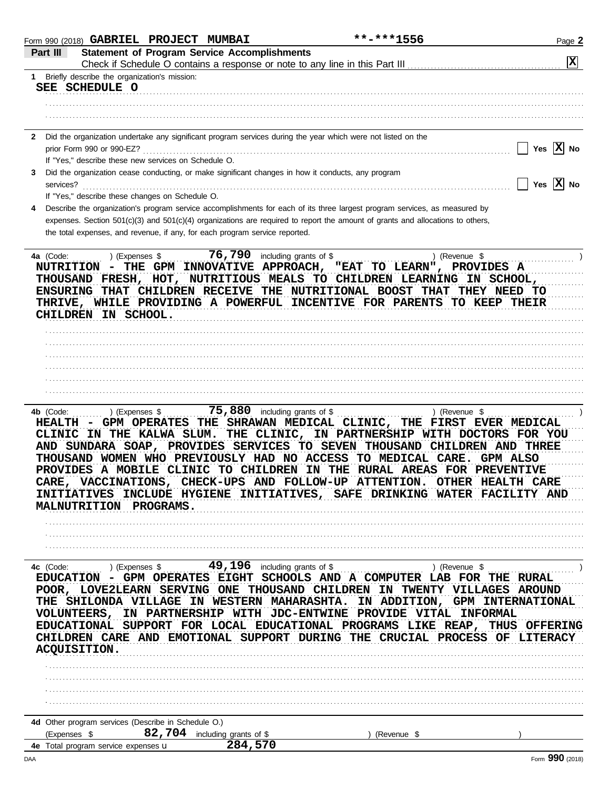|              | Form 990 (2018) GABRIEL PROJECT MUMBAI                           |                                                                             |                                                                                                                                                                                                                                                                                                                                                                                                                                                                                                                                                                                | **-***1556    | Page 2                                                                                                                                                                                                                                  |
|--------------|------------------------------------------------------------------|-----------------------------------------------------------------------------|--------------------------------------------------------------------------------------------------------------------------------------------------------------------------------------------------------------------------------------------------------------------------------------------------------------------------------------------------------------------------------------------------------------------------------------------------------------------------------------------------------------------------------------------------------------------------------|---------------|-----------------------------------------------------------------------------------------------------------------------------------------------------------------------------------------------------------------------------------------|
| Part III     |                                                                  | <b>Statement of Program Service Accomplishments</b>                         |                                                                                                                                                                                                                                                                                                                                                                                                                                                                                                                                                                                |               |                                                                                                                                                                                                                                         |
|              |                                                                  |                                                                             |                                                                                                                                                                                                                                                                                                                                                                                                                                                                                                                                                                                |               | $ \mathbf{x} $                                                                                                                                                                                                                          |
|              | 1 Briefly describe the organization's mission:<br>SEE SCHEDULE O |                                                                             |                                                                                                                                                                                                                                                                                                                                                                                                                                                                                                                                                                                |               |                                                                                                                                                                                                                                         |
|              |                                                                  |                                                                             |                                                                                                                                                                                                                                                                                                                                                                                                                                                                                                                                                                                |               |                                                                                                                                                                                                                                         |
|              |                                                                  |                                                                             |                                                                                                                                                                                                                                                                                                                                                                                                                                                                                                                                                                                |               |                                                                                                                                                                                                                                         |
| $\mathbf{2}$ |                                                                  |                                                                             | Did the organization undertake any significant program services during the year which were not listed on the                                                                                                                                                                                                                                                                                                                                                                                                                                                                   |               |                                                                                                                                                                                                                                         |
|              |                                                                  |                                                                             |                                                                                                                                                                                                                                                                                                                                                                                                                                                                                                                                                                                |               | Yes $ X $ No                                                                                                                                                                                                                            |
|              | If "Yes," describe these new services on Schedule O.             |                                                                             |                                                                                                                                                                                                                                                                                                                                                                                                                                                                                                                                                                                |               |                                                                                                                                                                                                                                         |
| 3            |                                                                  |                                                                             | Did the organization cease conducting, or make significant changes in how it conducts, any program                                                                                                                                                                                                                                                                                                                                                                                                                                                                             |               | $\Box$ Yes $\boxed{\text{X}}$ No                                                                                                                                                                                                        |
| services?    | If "Yes," describe these changes on Schedule O.                  |                                                                             |                                                                                                                                                                                                                                                                                                                                                                                                                                                                                                                                                                                |               |                                                                                                                                                                                                                                         |
| 4            |                                                                  |                                                                             | Describe the organization's program service accomplishments for each of its three largest program services, as measured by                                                                                                                                                                                                                                                                                                                                                                                                                                                     |               |                                                                                                                                                                                                                                         |
|              |                                                                  |                                                                             | expenses. Section 501(c)(3) and 501(c)(4) organizations are required to report the amount of grants and allocations to others,                                                                                                                                                                                                                                                                                                                                                                                                                                                 |               |                                                                                                                                                                                                                                         |
|              |                                                                  | the total expenses, and revenue, if any, for each program service reported. |                                                                                                                                                                                                                                                                                                                                                                                                                                                                                                                                                                                |               |                                                                                                                                                                                                                                         |
|              | 4a (Code:  ) (Expenses \$<br>CHILDREN IN SCHOOL.                 |                                                                             | NUTRITION - THE GPM INNOVATIVE APPROACH, "EAT TO LEARN", PROVIDES A<br>THOUSAND FRESH, HOT, NUTRITIOUS MEALS TO CHILDREN LEARNING IN SCHOOL,<br>ENSURING THAT CHILDREN RECEIVE THE NUTRITIONAL BOOST THAT THEY NEED TO<br>THRIVE, WHILE PROVIDING A POWERFUL INCENTIVE FOR PARENTS TO KEEP THEIR                                                                                                                                                                                                                                                                               | ) (Revenue \$ |                                                                                                                                                                                                                                         |
|              |                                                                  |                                                                             |                                                                                                                                                                                                                                                                                                                                                                                                                                                                                                                                                                                |               |                                                                                                                                                                                                                                         |
|              |                                                                  |                                                                             |                                                                                                                                                                                                                                                                                                                                                                                                                                                                                                                                                                                |               |                                                                                                                                                                                                                                         |
|              |                                                                  |                                                                             |                                                                                                                                                                                                                                                                                                                                                                                                                                                                                                                                                                                |               |                                                                                                                                                                                                                                         |
|              |                                                                  |                                                                             |                                                                                                                                                                                                                                                                                                                                                                                                                                                                                                                                                                                |               |                                                                                                                                                                                                                                         |
|              |                                                                  |                                                                             |                                                                                                                                                                                                                                                                                                                                                                                                                                                                                                                                                                                |               |                                                                                                                                                                                                                                         |
| 4b (Code:    | ) (Expenses \$<br>MALNUTRITION PROGRAMS.                         |                                                                             | 75,880 including grants of \$<br>HEALTH - GPM OPERATES THE SHRAWAN MEDICAL CLINIC, THE FIRST EVER MEDICAL<br>CLINIC IN THE KALWA SLUM. THE CLINIC, IN PARTNERSHIP WITH DOCTORS FOR YOU<br>AND SUNDARA SOAP, PROVIDES SERVICES TO SEVEN THOUSAND CHILDREN AND THREE<br>THOUSAND WOMEN WHO PREVIOUSLY HAD NO ACCESS TO MEDICAL CARE. GPM ALSO<br>PROVIDES A MOBILE CLINIC TO CHILDREN IN THE RURAL AREAS FOR PREVENTIVE<br>CARE, VACCINATIONS, CHECK-UPS AND FOLLOW-UP ATTENTION. OTHER HEALTH CARE<br>INITIATIVES INCLUDE HYGIENE INITIATIVES, SAFE DRINKING WATER FACILITY AND | ) (Revenue \$ |                                                                                                                                                                                                                                         |
|              |                                                                  |                                                                             |                                                                                                                                                                                                                                                                                                                                                                                                                                                                                                                                                                                |               |                                                                                                                                                                                                                                         |
|              |                                                                  |                                                                             |                                                                                                                                                                                                                                                                                                                                                                                                                                                                                                                                                                                |               |                                                                                                                                                                                                                                         |
|              |                                                                  |                                                                             | EDUCATION - GPM OPERATES EIGHT SCHOOLS AND A COMPUTER LAB FOR THE RURAL<br>POOR, LOVE2LEARN SERVING ONE THOUSAND CHILDREN IN TWENTY VILLAGES AROUND<br>VOLUNTEERS, IN PARTNERSHIP WITH JDC-ENTWINE PROVIDE VITAL INFORMAL                                                                                                                                                                                                                                                                                                                                                      |               | THE SHILONDA VILLAGE IN WESTERN MAHARASHTA. IN ADDITION, GPM INTERNATIONAL<br>EDUCATIONAL SUPPORT FOR LOCAL EDUCATIONAL PROGRAMS LIKE REAP, THUS OFFERING<br>CHILDREN CARE AND EMOTIONAL SUPPORT DURING THE CRUCIAL PROCESS OF LITERACY |
|              | ACQUISITION.                                                     |                                                                             |                                                                                                                                                                                                                                                                                                                                                                                                                                                                                                                                                                                |               |                                                                                                                                                                                                                                         |
|              |                                                                  |                                                                             |                                                                                                                                                                                                                                                                                                                                                                                                                                                                                                                                                                                |               |                                                                                                                                                                                                                                         |
|              |                                                                  |                                                                             |                                                                                                                                                                                                                                                                                                                                                                                                                                                                                                                                                                                |               |                                                                                                                                                                                                                                         |
|              |                                                                  |                                                                             |                                                                                                                                                                                                                                                                                                                                                                                                                                                                                                                                                                                |               |                                                                                                                                                                                                                                         |
|              |                                                                  |                                                                             |                                                                                                                                                                                                                                                                                                                                                                                                                                                                                                                                                                                |               |                                                                                                                                                                                                                                         |
|              | 4d Other program services (Describe in Schedule O.)              |                                                                             |                                                                                                                                                                                                                                                                                                                                                                                                                                                                                                                                                                                |               |                                                                                                                                                                                                                                         |
|              | (Expenses \$                                                     | 82,704 including grants of \$<br>284,570                                    |                                                                                                                                                                                                                                                                                                                                                                                                                                                                                                                                                                                | (Revenue \$   |                                                                                                                                                                                                                                         |
|              | 4e Total program service expenses <b>u</b>                       |                                                                             |                                                                                                                                                                                                                                                                                                                                                                                                                                                                                                                                                                                |               | nnn                                                                                                                                                                                                                                     |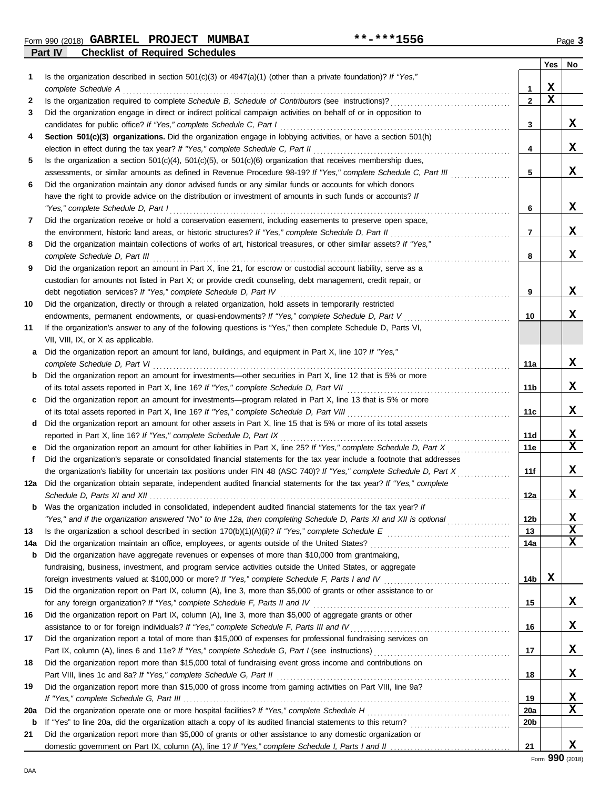**Part IV Checklist of Required Schedules** Form 990 (2018) Page **3 GABRIEL PROJECT MUMBAI \*\*-\*\*\*1556**

|     | sussimot si noquilou conoualou                                                                                                                                                                               |                 | Yes         | No |
|-----|--------------------------------------------------------------------------------------------------------------------------------------------------------------------------------------------------------------|-----------------|-------------|----|
| 1   | Is the organization described in section $501(c)(3)$ or $4947(a)(1)$ (other than a private foundation)? If "Yes,"                                                                                            |                 |             |    |
|     | complete Schedule A                                                                                                                                                                                          | 1               | X           |    |
| 2   |                                                                                                                                                                                                              | $\mathbf{2}$    | $\mathbf x$ |    |
| 3   | Did the organization engage in direct or indirect political campaign activities on behalf of or in opposition to                                                                                             |                 |             |    |
|     | candidates for public office? If "Yes," complete Schedule C, Part I                                                                                                                                          | 3               |             | X  |
| 4   | Section 501(c)(3) organizations. Did the organization engage in lobbying activities, or have a section 501(h)                                                                                                |                 |             |    |
|     | election in effect during the tax year? If "Yes," complete Schedule C, Part II                                                                                                                               | 4               |             | X  |
| 5   | Is the organization a section $501(c)(4)$ , $501(c)(5)$ , or $501(c)(6)$ organization that receives membership dues,                                                                                         |                 |             |    |
|     | assessments, or similar amounts as defined in Revenue Procedure 98-19? If "Yes," complete Schedule C, Part III                                                                                               | 5               |             | X  |
| 6   | Did the organization maintain any donor advised funds or any similar funds or accounts for which donors                                                                                                      |                 |             |    |
|     | have the right to provide advice on the distribution or investment of amounts in such funds or accounts? If                                                                                                  |                 |             |    |
|     | "Yes," complete Schedule D, Part I                                                                                                                                                                           | 6               |             | X  |
| 7   | Did the organization receive or hold a conservation easement, including easements to preserve open space,                                                                                                    |                 |             |    |
|     | the environment, historic land areas, or historic structures? If "Yes," complete Schedule D, Part II                                                                                                         | 7               |             | X  |
| 8   | Did the organization maintain collections of works of art, historical treasures, or other similar assets? If "Yes,"                                                                                          |                 |             |    |
|     | complete Schedule D, Part III                                                                                                                                                                                | 8               |             | X  |
| 9   | Did the organization report an amount in Part X, line 21, for escrow or custodial account liability, serve as a                                                                                              |                 |             |    |
|     | custodian for amounts not listed in Part X; or provide credit counseling, debt management, credit repair, or                                                                                                 |                 |             |    |
|     | debt negotiation services? If "Yes," complete Schedule D, Part IV                                                                                                                                            | 9               |             | X  |
| 10  | Did the organization, directly or through a related organization, hold assets in temporarily restricted                                                                                                      |                 |             | x  |
| 11  | endowments, permanent endowments, or quasi-endowments? If "Yes," complete Schedule D, Part V<br>If the organization's answer to any of the following questions is "Yes," then complete Schedule D, Parts VI, | 10              |             |    |
|     | VII, VIII, IX, or X as applicable.                                                                                                                                                                           |                 |             |    |
| а   | Did the organization report an amount for land, buildings, and equipment in Part X, line 10? If "Yes,"                                                                                                       |                 |             |    |
|     | complete Schedule D, Part VI                                                                                                                                                                                 | 11a             |             | X  |
| b   | Did the organization report an amount for investments—other securities in Part X, line 12 that is 5% or more                                                                                                 |                 |             |    |
|     |                                                                                                                                                                                                              | 11b             |             | X  |
| c   | Did the organization report an amount for investments—program related in Part X, line 13 that is 5% or more                                                                                                  |                 |             |    |
|     |                                                                                                                                                                                                              | 11c             |             | X  |
| d   | Did the organization report an amount for other assets in Part X, line 15 that is 5% or more of its total assets                                                                                             |                 |             |    |
|     | reported in Part X, line 16? If "Yes," complete Schedule D, Part IX                                                                                                                                          | 11d             |             | X, |
| е   | Did the organization report an amount for other liabilities in Part X, line 25? If "Yes," complete Schedule D, Part X                                                                                        | 11e             |             | X  |
| f   | Did the organization's separate or consolidated financial statements for the tax year include a footnote that addresses                                                                                      |                 |             |    |
|     | the organization's liability for uncertain tax positions under FIN 48 (ASC 740)? If "Yes," complete Schedule D, Part X                                                                                       | 11f             |             | x  |
| 12a | Did the organization obtain separate, independent audited financial statements for the tax year? If "Yes," complete                                                                                          |                 |             |    |
|     |                                                                                                                                                                                                              | 12a             |             | X  |
| b   | Was the organization included in consolidated, independent audited financial statements for the tax year? If                                                                                                 |                 |             |    |
|     | "Yes," and if the organization answered "No" to line 12a, then completing Schedule D, Parts XI and XII is optional <i>commension</i>                                                                         | 12 <sub>b</sub> |             | X  |
| 13  |                                                                                                                                                                                                              | 13              |             | X  |
| 14a |                                                                                                                                                                                                              | 14a             |             | x  |
| b   | Did the organization have aggregate revenues or expenses of more than \$10,000 from grantmaking,                                                                                                             |                 |             |    |
|     | fundraising, business, investment, and program service activities outside the United States, or aggregate                                                                                                    |                 |             |    |
|     | foreign investments valued at \$100,000 or more? If "Yes," complete Schedule F, Parts I and IV [[[[[[[[[[[[[[[                                                                                               | 14b             | X           |    |
| 15  | Did the organization report on Part IX, column (A), line 3, more than \$5,000 of grants or other assistance to or                                                                                            |                 |             | X, |
| 16  | Did the organization report on Part IX, column (A), line 3, more than \$5,000 of aggregate grants or other                                                                                                   | 15              |             |    |
|     | assistance to or for foreign individuals? If "Yes," complete Schedule F, Parts III and IV [[[[[[[[[[[[[[[[[[[                                                                                                | 16              |             | X, |
| 17  | Did the organization report a total of more than \$15,000 of expenses for professional fundraising services on                                                                                               |                 |             |    |
|     | Part IX, column (A), lines 6 and 11e? If "Yes," complete Schedule G, Part I (see instructions) [[[[[[[[[[[[[[                                                                                                | 17              |             | X, |
| 18  | Did the organization report more than \$15,000 total of fundraising event gross income and contributions on                                                                                                  |                 |             |    |
|     | Part VIII, lines 1c and 8a? If "Yes," complete Schedule G, Part II                                                                                                                                           | 18              |             | X, |
| 19  | Did the organization report more than \$15,000 of gross income from gaming activities on Part VIII, line 9a?                                                                                                 |                 |             |    |
|     |                                                                                                                                                                                                              | 19              |             | X  |
| 20a |                                                                                                                                                                                                              | 20a             |             | x  |
| b   |                                                                                                                                                                                                              | 20b             |             |    |
| 21  | Did the organization report more than \$5,000 of grants or other assistance to any domestic organization or                                                                                                  |                 |             |    |
|     |                                                                                                                                                                                                              | 21              |             | x  |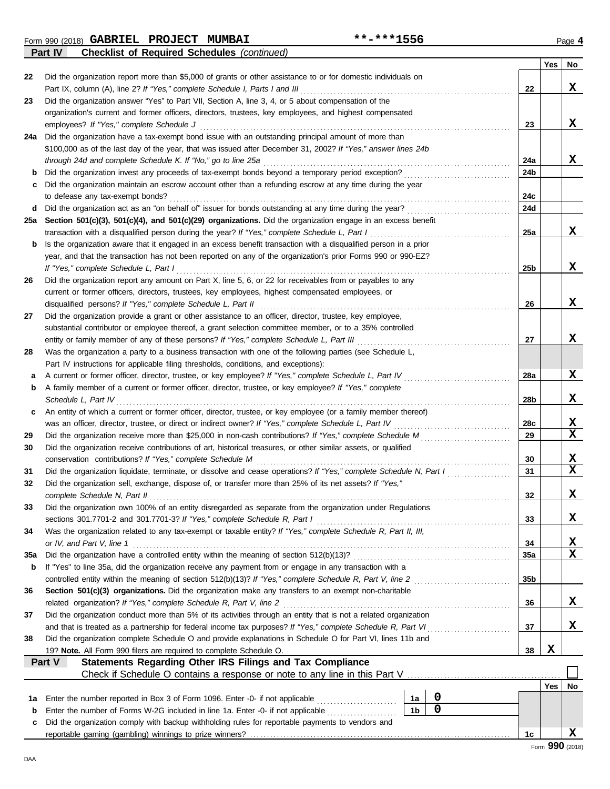Form 990 (2018) Page **4 GABRIEL PROJECT MUMBAI \*\*-\*\*\*1556**

**Part IV Checklist of Required Schedules** *(continued)*

|     |                                                                                                                                                                                                                |                 | Yes | No          |
|-----|----------------------------------------------------------------------------------------------------------------------------------------------------------------------------------------------------------------|-----------------|-----|-------------|
| 22  | Did the organization report more than \$5,000 of grants or other assistance to or for domestic individuals on                                                                                                  |                 |     |             |
|     | Part IX, column (A), line 2? If "Yes," complete Schedule I, Parts I and III                                                                                                                                    | 22              |     | x           |
| 23  | Did the organization answer "Yes" to Part VII, Section A, line 3, 4, or 5 about compensation of the                                                                                                            |                 |     |             |
|     | organization's current and former officers, directors, trustees, key employees, and highest compensated                                                                                                        |                 |     |             |
|     | employees? If "Yes," complete Schedule J                                                                                                                                                                       | 23              |     | x           |
| 24a | Did the organization have a tax-exempt bond issue with an outstanding principal amount of more than                                                                                                            |                 |     |             |
|     | \$100,000 as of the last day of the year, that was issued after December 31, 2002? If "Yes," answer lines 24b                                                                                                  |                 |     | x           |
|     | through 24d and complete Schedule K. If "No," go to line 25a                                                                                                                                                   | 24a             |     |             |
| b   | Did the organization invest any proceeds of tax-exempt bonds beyond a temporary period exception?<br>Did the organization maintain an escrow account other than a refunding escrow at any time during the year | 24b             |     |             |
| c   | to defease any tax-exempt bonds?                                                                                                                                                                               | 24c             |     |             |
| d   | Did the organization act as an "on behalf of" issuer for bonds outstanding at any time during the year?                                                                                                        | 24d             |     |             |
| 25a | Section 501(c)(3), 501(c)(4), and 501(c)(29) organizations. Did the organization engage in an excess benefit                                                                                                   |                 |     |             |
|     |                                                                                                                                                                                                                | 25a             |     | X           |
| b   | Is the organization aware that it engaged in an excess benefit transaction with a disqualified person in a prior                                                                                               |                 |     |             |
|     | year, and that the transaction has not been reported on any of the organization's prior Forms 990 or 990-EZ?                                                                                                   |                 |     |             |
|     | If "Yes," complete Schedule L, Part I                                                                                                                                                                          | 25b             |     | x           |
| 26  | Did the organization report any amount on Part X, line 5, 6, or 22 for receivables from or payables to any                                                                                                     |                 |     |             |
|     | current or former officers, directors, trustees, key employees, highest compensated employees, or                                                                                                              |                 |     |             |
|     | disqualified persons? If "Yes," complete Schedule L, Part II                                                                                                                                                   | 26              |     | x           |
| 27  | Did the organization provide a grant or other assistance to an officer, director, trustee, key employee,                                                                                                       |                 |     |             |
|     | substantial contributor or employee thereof, a grant selection committee member, or to a 35% controlled                                                                                                        |                 |     |             |
|     | entity or family member of any of these persons? If "Yes," complete Schedule L, Part III                                                                                                                       | 27              |     | х           |
| 28  | Was the organization a party to a business transaction with one of the following parties (see Schedule L,                                                                                                      |                 |     |             |
|     | Part IV instructions for applicable filing thresholds, conditions, and exceptions):                                                                                                                            |                 |     |             |
| а   | A current or former officer, director, trustee, or key employee? If "Yes," complete Schedule L, Part IV                                                                                                        | 28a             |     | X           |
| b   | A family member of a current or former officer, director, trustee, or key employee? If "Yes," complete                                                                                                         |                 |     |             |
|     | Schedule L, Part IV                                                                                                                                                                                            | 28b             |     | x           |
| c   | An entity of which a current or former officer, director, trustee, or key employee (or a family member thereof)                                                                                                |                 |     |             |
|     |                                                                                                                                                                                                                | 28c             |     | х           |
| 29  | Did the organization receive more than \$25,000 in non-cash contributions? If "Yes," complete Schedule M                                                                                                       | 29              |     | $\mathbf x$ |
| 30  | Did the organization receive contributions of art, historical treasures, or other similar assets, or qualified                                                                                                 |                 |     |             |
|     | conservation contributions? If "Yes," complete Schedule M                                                                                                                                                      | 30              |     | x           |
| 31  | Did the organization liquidate, terminate, or dissolve and cease operations? If "Yes," complete Schedule N, Part I                                                                                             | 31              |     | $\mathbf x$ |
| 32  | Did the organization sell, exchange, dispose of, or transfer more than 25% of its net assets? If "Yes,"                                                                                                        |                 |     |             |
|     | complete Schedule N, Part II                                                                                                                                                                                   | 32              |     | X           |
| 33  | Did the organization own 100% of an entity disregarded as separate from the organization under Regulations                                                                                                     |                 |     |             |
|     |                                                                                                                                                                                                                | 33              |     | X           |
| 34  | Was the organization related to any tax-exempt or taxable entity? If "Yes," complete Schedule R, Part II, III,                                                                                                 |                 |     |             |
|     | or IV, and Part V, line 1                                                                                                                                                                                      | 34              |     | $\mathbf x$ |
| 35a |                                                                                                                                                                                                                | 35a             |     | $\mathbf x$ |
| b   | If "Yes" to line 35a, did the organization receive any payment from or engage in any transaction with a                                                                                                        |                 |     |             |
|     | controlled entity within the meaning of section 512(b)(13)? If "Yes," complete Schedule R, Part V, line 2                                                                                                      | 35 <sub>b</sub> |     |             |
| 36  | Section 501(c)(3) organizations. Did the organization make any transfers to an exempt non-charitable                                                                                                           |                 |     |             |
|     |                                                                                                                                                                                                                | 36              |     | x           |
| 37  | Did the organization conduct more than 5% of its activities through an entity that is not a related organization                                                                                               |                 |     | X           |
|     | and that is treated as a partnership for federal income tax purposes? If "Yes," complete Schedule R, Part VI.                                                                                                  | 37              |     |             |
| 38  | Did the organization complete Schedule O and provide explanations in Schedule O for Part VI, lines 11b and                                                                                                     |                 | X   |             |
|     | 19? Note. All Form 990 filers are required to complete Schedule O.<br>Statements Regarding Other IRS Filings and Tax Compliance<br>Part V                                                                      | 38              |     |             |
|     |                                                                                                                                                                                                                |                 |     |             |
|     |                                                                                                                                                                                                                |                 | Yes | No          |
| 1а  | 0<br>Enter the number reported in Box 3 of Form 1096. Enter -0- if not applicable [<br>1a                                                                                                                      |                 |     |             |
| b   | $\pmb{0}$<br>1 <sub>b</sub><br>Enter the number of Forms W-2G included in line 1a. Enter -0- if not applicable                                                                                                 |                 |     |             |
| c   | Did the organization comply with backup withholding rules for reportable payments to vendors and                                                                                                               |                 |     |             |
|     |                                                                                                                                                                                                                | 1с              |     | х           |
|     |                                                                                                                                                                                                                |                 |     |             |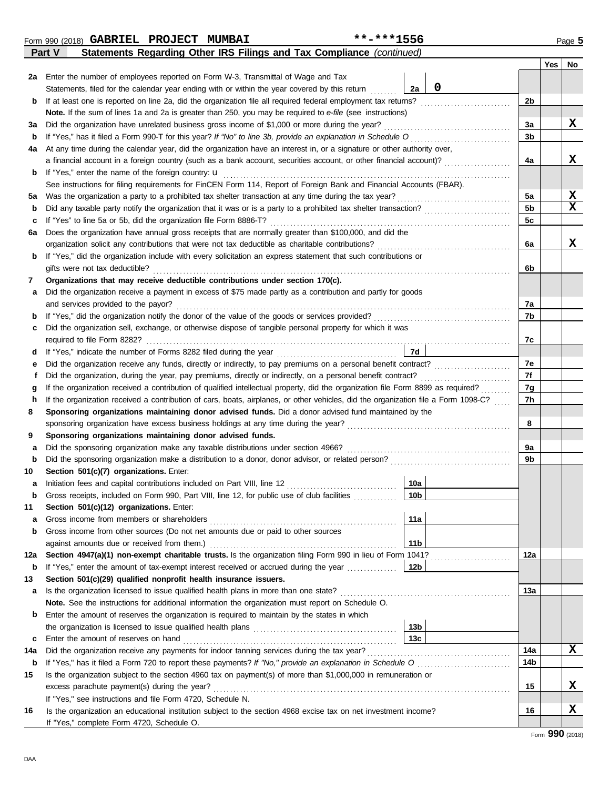**16**

|     |                                                                                                                                                                               |                 |             |                | Yes | No          |
|-----|-------------------------------------------------------------------------------------------------------------------------------------------------------------------------------|-----------------|-------------|----------------|-----|-------------|
| 2a  | Enter the number of employees reported on Form W-3, Transmittal of Wage and Tax                                                                                               |                 |             |                |     |             |
|     | Statements, filed for the calendar year ending with or within the year covered by this return                                                                                 | 2a              | $\mathbf 0$ |                |     |             |
| b   | If at least one is reported on line 2a, did the organization file all required federal employment tax returns?                                                                |                 |             | 2b             |     |             |
|     | Note. If the sum of lines 1a and 2a is greater than 250, you may be required to e-file (see instructions)                                                                     |                 |             |                |     |             |
| За  | Did the organization have unrelated business gross income of \$1,000 or more during the year?                                                                                 |                 |             | За             |     | x           |
| b   |                                                                                                                                                                               |                 |             | 3b             |     |             |
| 4a  | At any time during the calendar year, did the organization have an interest in, or a signature or other authority over,                                                       |                 |             |                |     |             |
|     | a financial account in a foreign country (such as a bank account, securities account, or other financial account)?                                                            |                 |             | 4a             |     | x           |
| b   | If "Yes," enter the name of the foreign country: <b>u</b>                                                                                                                     |                 |             |                |     |             |
|     | See instructions for filing requirements for FinCEN Form 114, Report of Foreign Bank and Financial Accounts (FBAR).                                                           |                 |             |                |     |             |
| 5a  |                                                                                                                                                                               |                 |             | 5a             |     | X           |
| b   |                                                                                                                                                                               |                 |             | 5 <sub>b</sub> |     | $\mathbf x$ |
| c   | If "Yes" to line 5a or 5b, did the organization file Form 8886-T?                                                                                                             |                 |             | 5c             |     |             |
| 6а  | Does the organization have annual gross receipts that are normally greater than \$100,000, and did the                                                                        |                 |             |                |     |             |
|     |                                                                                                                                                                               |                 |             | 6a             |     | x           |
| b   | If "Yes," did the organization include with every solicitation an express statement that such contributions or                                                                |                 |             |                |     |             |
|     | gifts were not tax deductible?                                                                                                                                                |                 |             | 6b             |     |             |
| 7   | Organizations that may receive deductible contributions under section 170(c).                                                                                                 |                 |             |                |     |             |
| a   | Did the organization receive a payment in excess of \$75 made partly as a contribution and partly for goods                                                                   |                 |             |                |     |             |
|     | and services provided to the payor?                                                                                                                                           |                 |             | 7a             |     |             |
| b   |                                                                                                                                                                               |                 |             | 7b             |     |             |
| c   | Did the organization sell, exchange, or otherwise dispose of tangible personal property for which it was                                                                      |                 |             |                |     |             |
|     |                                                                                                                                                                               |                 |             | 7c             |     |             |
| d   |                                                                                                                                                                               |                 |             |                |     |             |
| е   | Did the organization receive any funds, directly or indirectly, to pay premiums on a personal benefit contract?                                                               |                 |             | 7е             |     |             |
| f   |                                                                                                                                                                               |                 |             | 7f             |     |             |
| g   | If the organization received a contribution of qualified intellectual property, did the organization file Form 8899 as required?                                              |                 |             | 7g             |     |             |
| h   | If the organization received a contribution of cars, boats, airplanes, or other vehicles, did the organization file a Form 1098-C?                                            |                 |             | 7h             |     |             |
| 8   | Sponsoring organizations maintaining donor advised funds. Did a donor advised fund maintained by the                                                                          |                 |             |                |     |             |
|     |                                                                                                                                                                               |                 |             | 8              |     |             |
| 9   | Sponsoring organizations maintaining donor advised funds.                                                                                                                     |                 |             |                |     |             |
| а   | Did the sponsoring organization make any taxable distributions under section 4966?                                                                                            |                 |             | 9а             |     |             |
| b   |                                                                                                                                                                               |                 |             | 9b             |     |             |
| 10  | Section 501(c)(7) organizations. Enter:                                                                                                                                       |                 |             |                |     |             |
| а   | Initiation fees and capital contributions included on Part VIII, line 12                                                                                                      | 10a             |             |                |     |             |
| b   | Gross receipts, included on Form 990, Part VIII, line 12, for public use of club facilities                                                                                   | 10 <sub>b</sub> |             |                |     |             |
| 11  | Section 501(c)(12) organizations. Enter:                                                                                                                                      |                 |             |                |     |             |
| a   |                                                                                                                                                                               | 11a             |             |                |     |             |
| b   | Gross income from other sources (Do not net amounts due or paid to other sources                                                                                              |                 |             |                |     |             |
|     |                                                                                                                                                                               | 11 <sub>b</sub> |             |                |     |             |
| 12a | Section 4947(a)(1) non-exempt charitable trusts. Is the organization filing Form 990 in lieu of Form 1041?                                                                    |                 |             | 12a            |     |             |
| b   | If "Yes," enter the amount of tax-exempt interest received or accrued during the year                                                                                         | 12b             |             |                |     |             |
| 13  | Section 501(c)(29) qualified nonprofit health insurance issuers.                                                                                                              |                 |             |                |     |             |
| а   |                                                                                                                                                                               |                 |             | 13a            |     |             |
|     | Note. See the instructions for additional information the organization must report on Schedule O.                                                                             |                 |             |                |     |             |
| b   | Enter the amount of reserves the organization is required to maintain by the states in which                                                                                  |                 |             |                |     |             |
|     |                                                                                                                                                                               | 13 <sub>b</sub> |             |                |     |             |
| c   | Enter the amount of reserves on hand                                                                                                                                          |                 |             | 14a            |     | x           |
| 14a |                                                                                                                                                                               |                 |             | 14b            |     |             |
| b   | Is the organization subject to the section 4960 tax on payment(s) of more than \$1,000,000 in remuneration or                                                                 |                 |             |                |     |             |
| 15  |                                                                                                                                                                               |                 |             | 15             |     | x           |
|     |                                                                                                                                                                               |                 |             |                |     |             |
| 16. | If "Yes," see instructions and file Form 4720, Schedule N.<br>Is the organization an educational institution subject to the section 4968 excise tax on net investment income? |                 |             | 16             |     | X           |
|     |                                                                                                                                                                               |                 |             |                |     |             |

**Part V Statements Regarding Other IRS Filings and Tax Compliance** *(continued)* Form 990 (2018) Page **5 GABRIEL PROJECT MUMBAI \*\*-\*\*\*1556**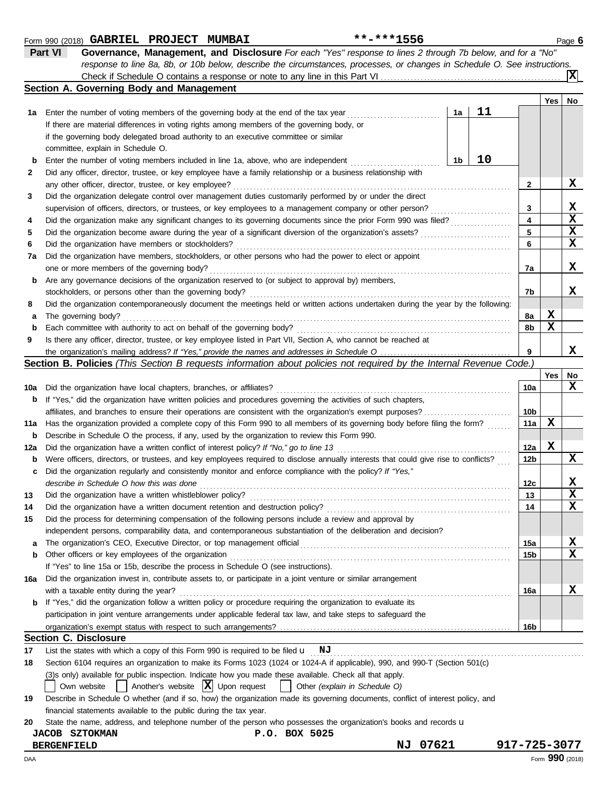|          | Part VI<br>Governance, Management, and Disclosure For each "Yes" response to lines 2 through 7b below, and for a "No"                                    |                         |                 |             |
|----------|----------------------------------------------------------------------------------------------------------------------------------------------------------|-------------------------|-----------------|-------------|
|          | response to line 8a, 8b, or 10b below, describe the circumstances, processes, or changes in Schedule O. See instructions.                                |                         |                 |             |
|          |                                                                                                                                                          |                         |                 | x           |
|          | Section A. Governing Body and Management                                                                                                                 |                         |                 |             |
|          |                                                                                                                                                          |                         | Yes             | No          |
|          | 11<br>1a<br>1a Enter the number of voting members of the governing body at the end of the tax year                                                       |                         |                 |             |
|          | If there are material differences in voting rights among members of the governing body, or                                                               |                         |                 |             |
|          | if the governing body delegated broad authority to an executive committee or similar                                                                     |                         |                 |             |
|          | committee, explain in Schedule O.                                                                                                                        |                         |                 |             |
| b        | 10<br>Enter the number of voting members included in line 1a, above, who are independent<br>1b                                                           |                         |                 |             |
| 2        | Did any officer, director, trustee, or key employee have a family relationship or a business relationship with                                           |                         |                 |             |
|          |                                                                                                                                                          | $\mathbf{2}$            |                 | X           |
| 3        | Did the organization delegate control over management duties customarily performed by or under the direct                                                |                         |                 |             |
|          | supervision of officers, directors, or trustees, or key employees to a management company or other person?                                               | 3                       |                 | X           |
| 4        |                                                                                                                                                          | $\overline{\mathbf{4}}$ |                 | $\mathbf x$ |
| 5        | Did the organization become aware during the year of a significant diversion of the organization's assets?                                               | 5                       |                 | X           |
| 6        |                                                                                                                                                          | 6                       |                 | X           |
| 7a       | Did the organization have members, stockholders, or other persons who had the power to elect or appoint                                                  |                         |                 |             |
|          |                                                                                                                                                          | 7a                      |                 | X           |
| b        | Are any governance decisions of the organization reserved to (or subject to approval by) members,                                                        |                         |                 |             |
|          |                                                                                                                                                          | 7b                      |                 | X           |
| 8        | Did the organization contemporaneously document the meetings held or written actions undertaken during the year by the following:                        |                         |                 |             |
|          |                                                                                                                                                          | 8а                      | X               |             |
| a        |                                                                                                                                                          | 8b                      | X               |             |
| b        | Is there any officer, director, trustee, or key employee listed in Part VII, Section A, who cannot be reached at                                         |                         |                 |             |
| 9        |                                                                                                                                                          | 9                       |                 | X           |
|          | Section B. Policies (This Section B requests information about policies not required by the Internal Revenue Code.)                                      |                         |                 |             |
|          |                                                                                                                                                          |                         | Yes             | No          |
|          |                                                                                                                                                          | 10a                     |                 | x           |
| 10a<br>b |                                                                                                                                                          |                         |                 |             |
|          | If "Yes," did the organization have written policies and procedures governing the activities of such chapters,                                           |                         |                 |             |
|          | affiliates, and branches to ensure their operations are consistent with the organization's exempt purposes?                                              | 10b<br>11a              | X               |             |
|          | 11a Has the organization provided a complete copy of this Form 990 to all members of its governing body before filing the form?                          |                         |                 |             |
| b        | Describe in Schedule O the process, if any, used by the organization to review this Form 990.                                                            |                         | X               |             |
| 12a      |                                                                                                                                                          | 12a                     |                 | x           |
| b        | Were officers, directors, or trustees, and key employees required to disclose annually interests that could give rise to conflicts?                      | 12 <sub>b</sub>         |                 |             |
| c        | Did the organization regularly and consistently monitor and enforce compliance with the policy? If "Yes,"                                                |                         |                 |             |
|          |                                                                                                                                                          | 12c                     |                 | X           |
| 13       | Did the organization have a written whistleblower policy?                                                                                                | 13                      |                 | X<br>X      |
| 14       |                                                                                                                                                          | 14                      |                 |             |
| 15       | Did the process for determining compensation of the following persons include a review and approval by                                                   |                         |                 |             |
|          | independent persons, comparability data, and contemporaneous substantiation of the deliberation and decision?                                            |                         |                 |             |
| a        |                                                                                                                                                          | 15a                     |                 | X           |
| b        | Other officers or key employees of the organization                                                                                                      | <b>15b</b>              |                 | X           |
|          | If "Yes" to line 15a or 15b, describe the process in Schedule O (see instructions).                                                                      |                         |                 |             |
| 16a      | Did the organization invest in, contribute assets to, or participate in a joint venture or similar arrangement                                           |                         |                 |             |
|          | with a taxable entity during the year?<br>If "Yes," did the organization follow a written policy or procedure requiring the organization to evaluate its | 16a                     |                 | X           |
| b        |                                                                                                                                                          |                         |                 |             |
|          | participation in joint venture arrangements under applicable federal tax law, and take steps to safeguard the                                            |                         |                 |             |
|          |                                                                                                                                                          | 16b                     |                 |             |
|          | <b>Section C. Disclosure</b>                                                                                                                             |                         |                 |             |
| 17       | List the states with which a copy of this Form 990 is required to be filed $\mathbf{u}$ NJ                                                               |                         |                 |             |
| 18       | Section 6104 requires an organization to make its Forms 1023 (1024 or 1024-A if applicable), 990, and 990-T (Section 501(c)                              |                         |                 |             |
|          | (3)s only) available for public inspection. Indicate how you made these available. Check all that apply.                                                 |                         |                 |             |
|          | Another's website $ \mathbf{X} $ Upon request<br>Other (explain in Schedule O)<br>Own website                                                            |                         |                 |             |
| 19       | Describe in Schedule O whether (and if so, how) the organization made its governing documents, conflict of interest policy, and                          |                         |                 |             |
|          | financial statements available to the public during the tax year.                                                                                        |                         |                 |             |
| 20       | State the name, address, and telephone number of the person who possesses the organization's books and records u                                         |                         |                 |             |
|          | P.O. BOX 5025<br><b>JACOB SZTOKMAN</b>                                                                                                                   |                         |                 |             |
|          | 07621<br><b>BERGENFIELD</b><br>ΝJ                                                                                                                        | 917-725-3077            |                 |             |
| DAA      |                                                                                                                                                          |                         | Form 990 (2018) |             |

Form 990 (2018) Page **6 GABRIEL PROJECT MUMBAI \*\*-\*\*\*1556**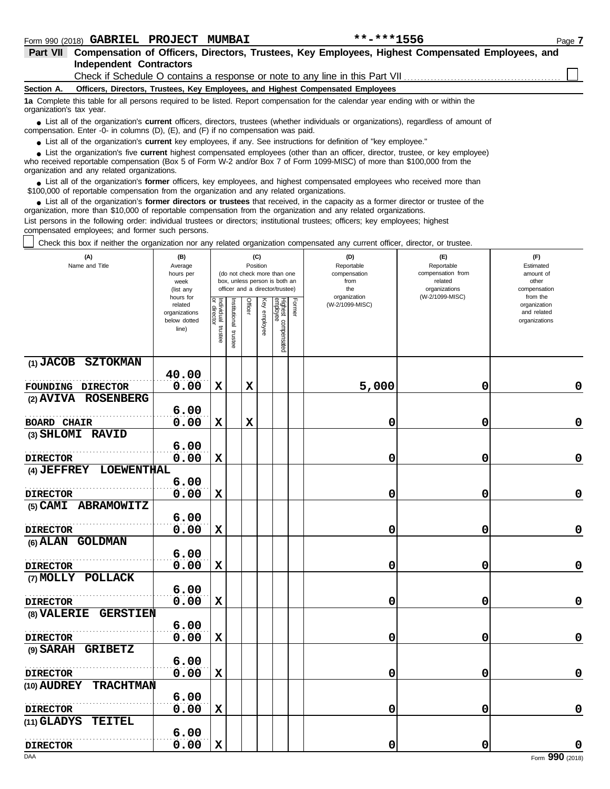| <b>Part VII</b>          | Compensation of Officers, Directors, Trustees, Key Employees, Highest Compensated Employees, and                                                                                                                            |
|--------------------------|-----------------------------------------------------------------------------------------------------------------------------------------------------------------------------------------------------------------------------|
|                          | <b>Independent Contractors</b>                                                                                                                                                                                              |
|                          | Check if Schedule O contains a response or note to any line in this Part VII                                                                                                                                                |
| Section A.               | Officers, Directors, Trustees, Key Employees, and Highest Compensated Employees                                                                                                                                             |
| organization's tax year. | 1a Complete this table for all persons required to be listed. Report compensation for the calendar year ending with or within the                                                                                           |
|                          | • List all of the organization's current officers, directors, trustees (whether individuals or organizations), regardless of amount of<br>compensation. Enter -0- in columns (D), (E), and (F) if no compensation was paid. |
|                          | • List all of the organization's <b>current</b> key employees, if any. See instructions for definition of "key employee."                                                                                                   |
|                          | I jet the organization's five current highest compensated employees (other than an officer director trustee or key employee)                                                                                                |

■ List the organization's five current highest compensated employees (other than an officer, director, trustee, or key emplowho received reportable compensation (Box 5 of Form W-2 and/or Box 7 of Form 1099-MISC) of more t organization and any related organizations. List the organization's five **current** highest compensated employees (other than an officer, director, trustee, or key employee)

■ List all of the organization's **former** officers, key employees, and highest compensated employees who received more than<br>00,000 of reportable compensation from the organization and any related organizations \$100,000 of reportable compensation from the organization and any related organizations.

■ List all of the organization's **former directors or trustees** that received, in the capacity as a former director or trustee of the properties and any related organizations organization, more than \$10,000 of reportable compensation from the organization and any related organizations. List persons in the following order: individual trustees or directors; institutional trustees; officers; key employees; highest

compensated employees; and former such persons.

Check this box if neither the organization nor any related organization compensated any current officer, director, or trustee.

| (A)<br>Name and Title                             | (B)<br>Average<br>hours per<br>week<br>(list any               |                                      |                         | (C)<br>Position |              | (do not check more than one<br>box, unless person is both an<br>officer and a director/trustee) |        | (D)<br>Reportable<br>compensation<br>from<br>the<br>organization | (E)<br>Reportable<br>compensation from<br>related<br>organizations<br>(W-2/1099-MISC) | (F)<br>Estimated<br>amount of<br>other<br>compensation<br>from the |
|---------------------------------------------------|----------------------------------------------------------------|--------------------------------------|-------------------------|-----------------|--------------|-------------------------------------------------------------------------------------------------|--------|------------------------------------------------------------------|---------------------------------------------------------------------------------------|--------------------------------------------------------------------|
|                                                   | hours for<br>related<br>organizations<br>below dotted<br>line) | Individual<br>or director<br>trustee | nstitutional<br>trustee | <b>Officer</b>  | Key employee | Highest compensated<br>employee                                                                 | Former | (W-2/1099-MISC)                                                  |                                                                                       | organization<br>and related<br>organizations                       |
| (1) JACOB SZTOKMAN                                | 40.00                                                          |                                      |                         |                 |              |                                                                                                 |        |                                                                  |                                                                                       |                                                                    |
| FOUNDING DIRECTOR                                 | 0.00                                                           | $\mathbf x$                          |                         | $\mathbf x$     |              |                                                                                                 |        | 5,000                                                            | 0                                                                                     | 0                                                                  |
| (2) AVIVA ROSENBERG                               |                                                                |                                      |                         |                 |              |                                                                                                 |        |                                                                  |                                                                                       |                                                                    |
|                                                   | 6.00                                                           |                                      |                         |                 |              |                                                                                                 |        |                                                                  |                                                                                       |                                                                    |
| <b>BOARD CHAIR</b>                                | 0.00                                                           | $\mathbf x$                          |                         | $\mathbf x$     |              |                                                                                                 |        | 0                                                                | 0                                                                                     | $\mathbf 0$                                                        |
| (3) SHLOMI RAVID                                  |                                                                |                                      |                         |                 |              |                                                                                                 |        |                                                                  |                                                                                       |                                                                    |
|                                                   | 6.00                                                           |                                      |                         |                 |              |                                                                                                 |        |                                                                  |                                                                                       |                                                                    |
| <b>DIRECTOR</b>                                   | 0.00                                                           | $\mathbf x$                          |                         |                 |              |                                                                                                 |        | 0                                                                | 0                                                                                     | 0                                                                  |
| <b>LOEWENTHAL</b><br>$(4)$ $JEFFREF$              |                                                                |                                      |                         |                 |              |                                                                                                 |        |                                                                  |                                                                                       |                                                                    |
|                                                   | 6.00                                                           |                                      |                         |                 |              |                                                                                                 |        |                                                                  |                                                                                       |                                                                    |
| <b>DIRECTOR</b>                                   | 0.00                                                           | $\mathbf x$                          |                         |                 |              |                                                                                                 |        | 0                                                                | 0                                                                                     | $\pmb{0}$                                                          |
| (5) CAMI ABRAMOWITZ                               |                                                                |                                      |                         |                 |              |                                                                                                 |        |                                                                  |                                                                                       |                                                                    |
|                                                   | 6.00                                                           |                                      |                         |                 |              |                                                                                                 |        |                                                                  |                                                                                       |                                                                    |
| <b>DIRECTOR</b>                                   | 0.00                                                           | $\mathbf x$                          |                         |                 |              |                                                                                                 |        | 0                                                                | 0                                                                                     | 0                                                                  |
| (6) ALAN GOLDMAN                                  |                                                                |                                      |                         |                 |              |                                                                                                 |        |                                                                  |                                                                                       |                                                                    |
|                                                   | 6.00                                                           |                                      |                         |                 |              |                                                                                                 |        |                                                                  |                                                                                       |                                                                    |
| <b>DIRECTOR</b>                                   | 0.00                                                           | $\mathbf x$                          |                         |                 |              |                                                                                                 |        | 0                                                                | 0                                                                                     | $\mathbf 0$                                                        |
| (7) MOLLY POLLACK                                 | 6.00                                                           |                                      |                         |                 |              |                                                                                                 |        |                                                                  |                                                                                       |                                                                    |
|                                                   | 0.00                                                           | $\mathbf x$                          |                         |                 |              |                                                                                                 |        |                                                                  | 0                                                                                     | 0                                                                  |
| <b>DIRECTOR</b><br>(8) VALERIE<br><b>GERSTIEN</b> |                                                                |                                      |                         |                 |              |                                                                                                 |        | 0                                                                |                                                                                       |                                                                    |
|                                                   | 6.00                                                           |                                      |                         |                 |              |                                                                                                 |        |                                                                  |                                                                                       |                                                                    |
| <b>DIRECTOR</b>                                   | 0.00                                                           | $\mathbf x$                          |                         |                 |              |                                                                                                 |        | 0                                                                | 0                                                                                     | 0                                                                  |
| (9) SARAH GRIBETZ                                 |                                                                |                                      |                         |                 |              |                                                                                                 |        |                                                                  |                                                                                       |                                                                    |
|                                                   | 6.00                                                           |                                      |                         |                 |              |                                                                                                 |        |                                                                  |                                                                                       |                                                                    |
| <b>DIRECTOR</b>                                   | 0.00                                                           | $\mathbf x$                          |                         |                 |              |                                                                                                 |        | 0                                                                | 0                                                                                     | 0                                                                  |
| (10) AUDREY<br><b>TRACHTMAN</b>                   |                                                                |                                      |                         |                 |              |                                                                                                 |        |                                                                  |                                                                                       |                                                                    |
|                                                   | 6.00                                                           |                                      |                         |                 |              |                                                                                                 |        |                                                                  |                                                                                       |                                                                    |
| <b>DIRECTOR</b>                                   | 0.00                                                           | $\mathbf x$                          |                         |                 |              |                                                                                                 |        | 0                                                                | 0                                                                                     | 0                                                                  |
| <b>TEITEL</b><br>(11) GLADYS                      |                                                                |                                      |                         |                 |              |                                                                                                 |        |                                                                  |                                                                                       |                                                                    |
|                                                   | 6.00                                                           |                                      |                         |                 |              |                                                                                                 |        |                                                                  |                                                                                       |                                                                    |
| <b>DIRECTOR</b>                                   | 0.00                                                           | $\mathbf x$                          |                         |                 |              |                                                                                                 |        | 0                                                                | 0                                                                                     | 0                                                                  |
| DAA                                               |                                                                |                                      |                         |                 |              |                                                                                                 |        |                                                                  |                                                                                       | Form 990 (2018)                                                    |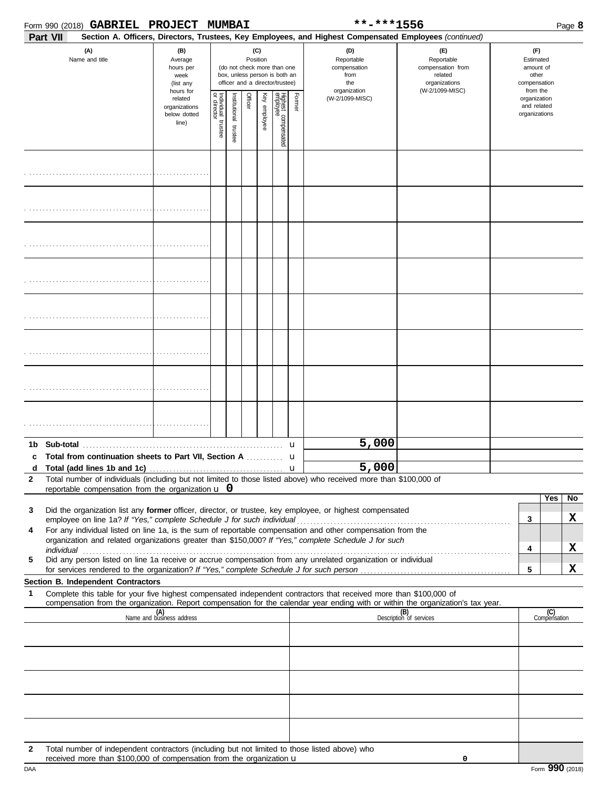| PROJECT MUMBAI<br>Form 990 (2018) $\,$ GABRIEL |
|------------------------------------------------|
|------------------------------------------------|

|              |          |                                                                                                                                                                       | Form 990 (2018) GABRIEL PROJECT MUMBAI                        |                                                                                           |                                                                                                                    |  |                                 |        |                 | **-***1556                                                                                                                                                                                                                                                                                                                              | Page 8                                                                                           |                                              |                                                                    |                     |    |
|--------------|----------|-----------------------------------------------------------------------------------------------------------------------------------------------------------------------|---------------------------------------------------------------|-------------------------------------------------------------------------------------------|--------------------------------------------------------------------------------------------------------------------|--|---------------------------------|--------|-----------------|-----------------------------------------------------------------------------------------------------------------------------------------------------------------------------------------------------------------------------------------------------------------------------------------------------------------------------------------|--------------------------------------------------------------------------------------------------|----------------------------------------------|--------------------------------------------------------------------|---------------------|----|
|              | Part VII |                                                                                                                                                                       |                                                               |                                                                                           |                                                                                                                    |  |                                 |        |                 | Section A. Officers, Directors, Trustees, Key Employees, and Highest Compensated Employees (continued)                                                                                                                                                                                                                                  |                                                                                                  |                                              |                                                                    |                     |    |
|              |          | (A)<br>Name and title                                                                                                                                                 | (B)<br>Average<br>hours per<br>week<br>(list any<br>hours for |                                                                                           | (C)<br>Position<br>(do not check more than one<br>box, unless person is both an<br>officer and a director/trustee) |  |                                 |        |                 | (D)<br>Reportable<br>compensation<br>from<br>the<br>organization                                                                                                                                                                                                                                                                        | $(\mathsf{F})$<br>Reportable<br>compensation from<br>related<br>organizations<br>(W-2/1099-MISC) |                                              | (F)<br>Estimated<br>amount of<br>other<br>compensation<br>from the |                     |    |
|              |          |                                                                                                                                                                       | related<br>organizations<br>below dotted<br>line)             | Individual 1<br>or director<br>Officer<br>Key employee<br>nstitutional trustee<br>trustee |                                                                                                                    |  | Highest compensated<br>employee | Former | (W-2/1099-MISC) |                                                                                                                                                                                                                                                                                                                                         |                                                                                                  | organization<br>and related<br>organizations |                                                                    |                     |    |
|              |          |                                                                                                                                                                       |                                                               |                                                                                           |                                                                                                                    |  |                                 |        |                 |                                                                                                                                                                                                                                                                                                                                         |                                                                                                  |                                              |                                                                    |                     |    |
|              |          |                                                                                                                                                                       |                                                               |                                                                                           |                                                                                                                    |  |                                 |        |                 |                                                                                                                                                                                                                                                                                                                                         |                                                                                                  |                                              |                                                                    |                     |    |
|              |          |                                                                                                                                                                       |                                                               |                                                                                           |                                                                                                                    |  |                                 |        |                 |                                                                                                                                                                                                                                                                                                                                         |                                                                                                  |                                              |                                                                    |                     |    |
|              |          |                                                                                                                                                                       |                                                               |                                                                                           |                                                                                                                    |  |                                 |        |                 |                                                                                                                                                                                                                                                                                                                                         |                                                                                                  |                                              |                                                                    |                     |    |
|              |          |                                                                                                                                                                       |                                                               |                                                                                           |                                                                                                                    |  |                                 |        |                 |                                                                                                                                                                                                                                                                                                                                         |                                                                                                  |                                              |                                                                    |                     |    |
|              |          |                                                                                                                                                                       |                                                               |                                                                                           |                                                                                                                    |  |                                 |        |                 |                                                                                                                                                                                                                                                                                                                                         |                                                                                                  |                                              |                                                                    |                     |    |
|              |          |                                                                                                                                                                       |                                                               |                                                                                           |                                                                                                                    |  |                                 |        |                 |                                                                                                                                                                                                                                                                                                                                         |                                                                                                  |                                              |                                                                    |                     |    |
|              |          |                                                                                                                                                                       |                                                               |                                                                                           |                                                                                                                    |  |                                 |        |                 |                                                                                                                                                                                                                                                                                                                                         |                                                                                                  |                                              |                                                                    |                     |    |
|              |          |                                                                                                                                                                       |                                                               |                                                                                           |                                                                                                                    |  |                                 |        |                 | 5,000                                                                                                                                                                                                                                                                                                                                   |                                                                                                  |                                              |                                                                    |                     |    |
| c            |          |                                                                                                                                                                       |                                                               |                                                                                           |                                                                                                                    |  |                                 |        |                 | d Total (add lines 1b and 1c) $\ldots$ $\ldots$ $\ldots$ $\ldots$ $\ldots$ $\ldots$ $\ldots$ $\ldots$ $\ldots$ $\ldots$ $\ldots$ $\ldots$ $\ldots$ $\ldots$ $\ldots$ $\ldots$ $\ldots$ $\ldots$                                                                                                                                         |                                                                                                  |                                              |                                                                    |                     |    |
| $\mathbf{2}$ |          |                                                                                                                                                                       |                                                               |                                                                                           |                                                                                                                    |  |                                 |        |                 | Total number of individuals (including but not limited to those listed above) who received more than \$100,000 of                                                                                                                                                                                                                       |                                                                                                  |                                              |                                                                    |                     |    |
|              |          | reportable compensation from the organization $\bf{u}$ 0                                                                                                              |                                                               |                                                                                           |                                                                                                                    |  |                                 |        |                 |                                                                                                                                                                                                                                                                                                                                         |                                                                                                  |                                              |                                                                    | Yes                 | No |
| 3            |          |                                                                                                                                                                       |                                                               |                                                                                           |                                                                                                                    |  |                                 |        |                 | Did the organization list any former officer, director, or trustee, key employee, or highest compensated                                                                                                                                                                                                                                |                                                                                                  |                                              | 3                                                                  |                     | X  |
| 4            |          |                                                                                                                                                                       |                                                               |                                                                                           |                                                                                                                    |  |                                 |        |                 | employee on line 1a? If "Yes," complete Schedule J for such individual expression and other compensation from the<br>For any individual listed on line 1a, is the sum of reportable compensation and other compensation from the                                                                                                        |                                                                                                  |                                              |                                                                    |                     |    |
|              |          |                                                                                                                                                                       |                                                               |                                                                                           |                                                                                                                    |  |                                 |        |                 | organization and related organizations greater than \$150,000? If "Yes," complete Schedule J for such<br>individual with a construction of the construction of the construction of the construction of the construction of the construction of the construction of the construction of the construction of the construction of the cons |                                                                                                  |                                              | 4                                                                  |                     | X  |
| 5            |          |                                                                                                                                                                       |                                                               |                                                                                           |                                                                                                                    |  |                                 |        |                 | Did any person listed on line 1a receive or accrue compensation from any unrelated organization or individual                                                                                                                                                                                                                           |                                                                                                  |                                              |                                                                    |                     |    |
|              |          | Section B. Independent Contractors                                                                                                                                    |                                                               |                                                                                           |                                                                                                                    |  |                                 |        |                 |                                                                                                                                                                                                                                                                                                                                         |                                                                                                  |                                              | 5                                                                  |                     | X  |
| 1            |          |                                                                                                                                                                       |                                                               |                                                                                           |                                                                                                                    |  |                                 |        |                 | Complete this table for your five highest compensated independent contractors that received more than \$100,000 of                                                                                                                                                                                                                      |                                                                                                  |                                              |                                                                    |                     |    |
|              |          |                                                                                                                                                                       | (A)<br>Name and business address                              |                                                                                           |                                                                                                                    |  |                                 |        |                 | compensation from the organization. Report compensation for the calendar year ending with or within the organization's tax year.                                                                                                                                                                                                        | (B)<br>Description of services                                                                   |                                              |                                                                    | (C)<br>Compensation |    |
|              |          |                                                                                                                                                                       |                                                               |                                                                                           |                                                                                                                    |  |                                 |        |                 |                                                                                                                                                                                                                                                                                                                                         |                                                                                                  |                                              |                                                                    |                     |    |
|              |          |                                                                                                                                                                       |                                                               |                                                                                           |                                                                                                                    |  |                                 |        |                 |                                                                                                                                                                                                                                                                                                                                         |                                                                                                  |                                              |                                                                    |                     |    |
|              |          |                                                                                                                                                                       |                                                               |                                                                                           |                                                                                                                    |  |                                 |        |                 |                                                                                                                                                                                                                                                                                                                                         |                                                                                                  |                                              |                                                                    |                     |    |
|              |          |                                                                                                                                                                       |                                                               |                                                                                           |                                                                                                                    |  |                                 |        |                 |                                                                                                                                                                                                                                                                                                                                         |                                                                                                  |                                              |                                                                    |                     |    |
|              |          |                                                                                                                                                                       |                                                               |                                                                                           |                                                                                                                    |  |                                 |        |                 |                                                                                                                                                                                                                                                                                                                                         |                                                                                                  |                                              |                                                                    |                     |    |
|              |          |                                                                                                                                                                       |                                                               |                                                                                           |                                                                                                                    |  |                                 |        |                 |                                                                                                                                                                                                                                                                                                                                         |                                                                                                  |                                              |                                                                    |                     |    |
|              |          |                                                                                                                                                                       |                                                               |                                                                                           |                                                                                                                    |  |                                 |        |                 |                                                                                                                                                                                                                                                                                                                                         |                                                                                                  |                                              |                                                                    |                     |    |
|              |          |                                                                                                                                                                       |                                                               |                                                                                           |                                                                                                                    |  |                                 |        |                 |                                                                                                                                                                                                                                                                                                                                         |                                                                                                  |                                              |                                                                    |                     |    |
| 2            |          | Total number of independent contractors (including but not limited to those listed above) who<br>received more than \$100,000 of compensation from the organization u |                                                               |                                                                                           |                                                                                                                    |  |                                 |        |                 |                                                                                                                                                                                                                                                                                                                                         | 0                                                                                                |                                              |                                                                    |                     |    |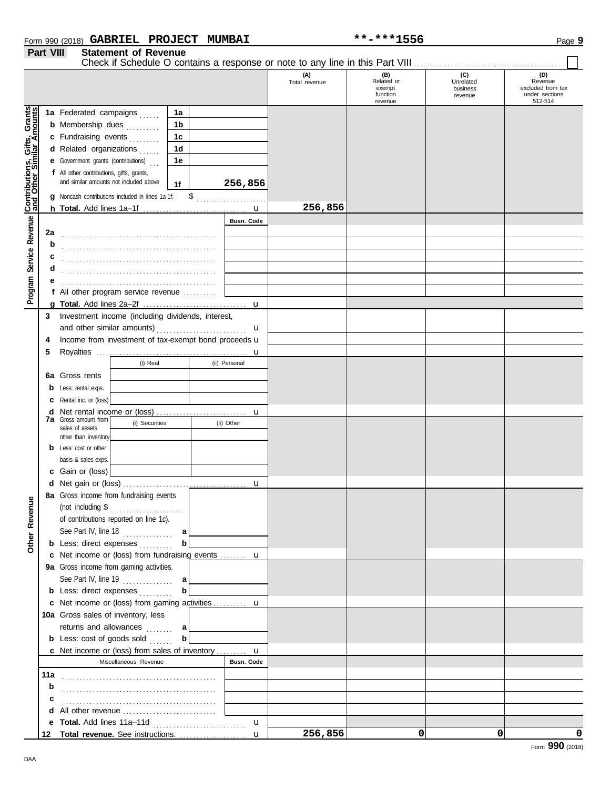| Form 990 (2018) $\textbf{GABRIEL}$ | <b>PROJECT</b> | <b>MUMBAI</b> | **-***1556 | n<br>Page 5 |
|------------------------------------|----------------|---------------|------------|-------------|
|                                    |                |               |            |             |

**Part VIII Statement of Revenue**

Check if Schedule O contains a response or note to any line in this Part VIII . . . . . . . . . . . . . . . . . . . . . . . . . . . . . . . . . . . . . . . . . . . .

|                                              |     |                                                                                         |                |                   | (A)<br>Total revenue | (B)<br>Related or<br>exempt | (C)<br>Unrelated<br>business | (D)<br>Revenue<br>excluded from tax |
|----------------------------------------------|-----|-----------------------------------------------------------------------------------------|----------------|-------------------|----------------------|-----------------------------|------------------------------|-------------------------------------|
|                                              |     |                                                                                         |                |                   |                      | function<br>revenue         | revenue                      | under sections<br>512-514           |
|                                              |     | 1a Federated campaigns                                                                  | 1a             |                   |                      |                             |                              |                                     |
|                                              |     | <b>b</b> Membership dues                                                                | 1b             |                   |                      |                             |                              |                                     |
|                                              |     | c Fundraising events                                                                    | 1 <sub>c</sub> |                   |                      |                             |                              |                                     |
|                                              |     | d Related organizations                                                                 | 1 <sub>d</sub> |                   |                      |                             |                              |                                     |
|                                              |     | <b>e</b> Government grants (contributions)                                              | 1e             |                   |                      |                             |                              |                                     |
|                                              |     | <b>f</b> All other contributions, gifts, grants,                                        |                |                   |                      |                             |                              |                                     |
|                                              |     | and similar amounts not included above                                                  | 1f             | 256,856           |                      |                             |                              |                                     |
| Service Revenue Contributions, Gifts, Grants |     | g Noncash contributions included in lines 1a-1f:                                        |                | $\frac{1}{2}$     |                      |                             |                              |                                     |
|                                              |     |                                                                                         |                |                   | 256,856              |                             |                              |                                     |
|                                              |     |                                                                                         |                | <b>Busn. Code</b> |                      |                             |                              |                                     |
|                                              | 2a  |                                                                                         |                |                   |                      |                             |                              |                                     |
|                                              | b   |                                                                                         |                |                   |                      |                             |                              |                                     |
|                                              | с   |                                                                                         |                |                   |                      |                             |                              |                                     |
|                                              | d   |                                                                                         |                |                   |                      |                             |                              |                                     |
|                                              | е   |                                                                                         |                |                   |                      |                             |                              |                                     |
| Program                                      |     | f All other program service revenue                                                     |                |                   |                      |                             |                              |                                     |
|                                              | 3   | Investment income (including dividends, interest,                                       |                |                   |                      |                             |                              |                                     |
|                                              |     |                                                                                         |                | u                 |                      |                             |                              |                                     |
|                                              | 4   | Income from investment of tax-exempt bond proceeds u                                    |                |                   |                      |                             |                              |                                     |
|                                              | 5   |                                                                                         |                | u                 |                      |                             |                              |                                     |
|                                              |     | (i) Real                                                                                |                | (ii) Personal     |                      |                             |                              |                                     |
|                                              | 6a  | Gross rents                                                                             |                |                   |                      |                             |                              |                                     |
|                                              | b   | Less: rental exps.                                                                      |                |                   |                      |                             |                              |                                     |
|                                              | с   | Rental inc. or (loss)                                                                   |                |                   |                      |                             |                              |                                     |
|                                              | d   |                                                                                         |                | u                 |                      |                             |                              |                                     |
|                                              |     | <b>7a</b> Gross amount from<br>(i) Securities<br>sales of assets                        |                | (ii) Other        |                      |                             |                              |                                     |
|                                              |     | other than inventory                                                                    |                |                   |                      |                             |                              |                                     |
|                                              | b   | Less: cost or other                                                                     |                |                   |                      |                             |                              |                                     |
|                                              |     | basis & sales exps.                                                                     |                |                   |                      |                             |                              |                                     |
|                                              | с   | Gain or (loss)                                                                          |                |                   |                      |                             |                              |                                     |
|                                              | d   |                                                                                         |                |                   |                      |                             |                              |                                     |
|                                              | 8а  | Gross income from fundraising events                                                    |                |                   |                      |                             |                              |                                     |
| venue                                        |     |                                                                                         |                |                   |                      |                             |                              |                                     |
| Re                                           |     | of contributions reported on line 1c).                                                  |                |                   |                      |                             |                              |                                     |
|                                              |     | See Part IV, line 18                                                                    | a              |                   |                      |                             |                              |                                     |
| Other                                        |     | <b>b</b> Less: direct expenses                                                          | b              |                   |                      |                             |                              |                                     |
|                                              |     | c Net income or (loss) from fundraising events  u                                       |                |                   |                      |                             |                              |                                     |
|                                              |     | 9a Gross income from gaming activities.                                                 |                |                   |                      |                             |                              |                                     |
|                                              |     | See Part IV, line 19 $\ldots$                                                           | a              |                   |                      |                             |                              |                                     |
|                                              |     | <b>b</b> Less: direct expenses                                                          | b              |                   |                      |                             |                              |                                     |
|                                              |     | c Net income or (loss) from gaming activities  u                                        |                |                   |                      |                             |                              |                                     |
|                                              |     | 10a Gross sales of inventory, less                                                      |                |                   |                      |                             |                              |                                     |
|                                              |     | returns and allowances                                                                  | a              |                   |                      |                             |                              |                                     |
|                                              |     | <b>b</b> Less: $cost$ of goods $sol$                                                    | b              |                   |                      |                             |                              |                                     |
|                                              |     | <b>c</b> Net income or (loss) from sales of inventory <b>u</b><br>Miscellaneous Revenue |                | Busn. Code        |                      |                             |                              |                                     |
|                                              | 11a |                                                                                         |                |                   |                      |                             |                              |                                     |
|                                              | b   |                                                                                         |                |                   |                      |                             |                              |                                     |
|                                              | c   |                                                                                         |                |                   |                      |                             |                              |                                     |
|                                              | d   | All other revenue                                                                       |                |                   |                      |                             |                              |                                     |
|                                              | е   |                                                                                         |                | u                 |                      |                             |                              |                                     |
|                                              | 12  |                                                                                         |                | $\mathbf{u}$      | 256,856              | 0                           | 0                            | 0                                   |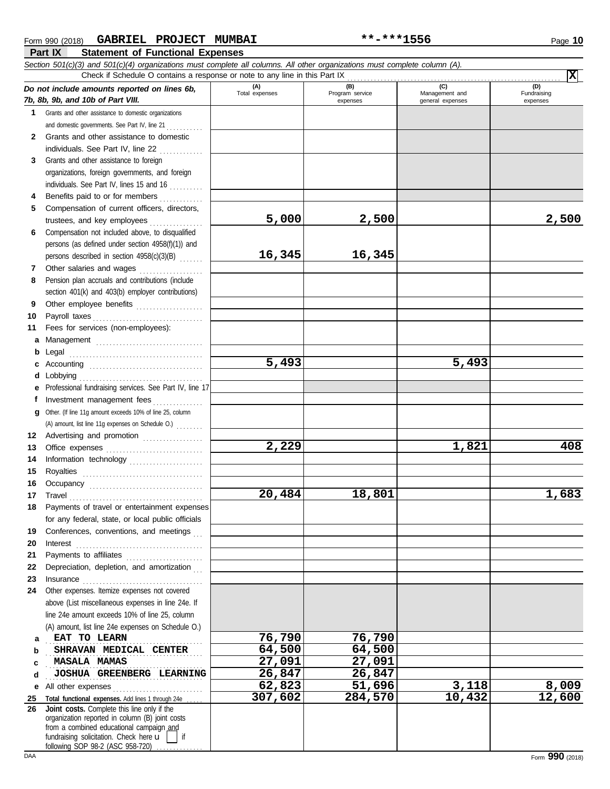| Section 501(c)(3) and 501(c)(4) organizations must complete all columns. All other organizations must complete column (A).<br>図<br>Check if Schedule O contains a response or note to any line in this Part IX |                                                                                                                                                                                                                                    |                |                             |                                    |                         |  |  |  |  |  |  |  |
|----------------------------------------------------------------------------------------------------------------------------------------------------------------------------------------------------------------|------------------------------------------------------------------------------------------------------------------------------------------------------------------------------------------------------------------------------------|----------------|-----------------------------|------------------------------------|-------------------------|--|--|--|--|--|--|--|
|                                                                                                                                                                                                                | (A)<br>(D)<br>(B)<br>(C)<br>Do not include amounts reported on lines 6b,                                                                                                                                                           |                |                             |                                    |                         |  |  |  |  |  |  |  |
|                                                                                                                                                                                                                | 7b, 8b, 9b, and 10b of Part VIII.                                                                                                                                                                                                  | Total expenses | Program service<br>expenses | Management and<br>general expenses | Fundraising<br>expenses |  |  |  |  |  |  |  |
| $\mathbf 1$                                                                                                                                                                                                    | Grants and other assistance to domestic organizations                                                                                                                                                                              |                |                             |                                    |                         |  |  |  |  |  |  |  |
|                                                                                                                                                                                                                | and domestic governments. See Part IV, line 21                                                                                                                                                                                     |                |                             |                                    |                         |  |  |  |  |  |  |  |
| $\mathbf{2}$                                                                                                                                                                                                   | Grants and other assistance to domestic                                                                                                                                                                                            |                |                             |                                    |                         |  |  |  |  |  |  |  |
|                                                                                                                                                                                                                | individuals. See Part IV, line 22                                                                                                                                                                                                  |                |                             |                                    |                         |  |  |  |  |  |  |  |
| 3                                                                                                                                                                                                              | Grants and other assistance to foreign                                                                                                                                                                                             |                |                             |                                    |                         |  |  |  |  |  |  |  |
|                                                                                                                                                                                                                | organizations, foreign governments, and foreign                                                                                                                                                                                    |                |                             |                                    |                         |  |  |  |  |  |  |  |
|                                                                                                                                                                                                                | individuals. See Part IV, lines 15 and 16                                                                                                                                                                                          |                |                             |                                    |                         |  |  |  |  |  |  |  |
| 4                                                                                                                                                                                                              | Benefits paid to or for members                                                                                                                                                                                                    |                |                             |                                    |                         |  |  |  |  |  |  |  |
| 5                                                                                                                                                                                                              | Compensation of current officers, directors,                                                                                                                                                                                       |                |                             |                                    |                         |  |  |  |  |  |  |  |
|                                                                                                                                                                                                                | trustees, and key employees                                                                                                                                                                                                        | 5,000          | 2,500                       |                                    | 2,500                   |  |  |  |  |  |  |  |
| 6                                                                                                                                                                                                              | Compensation not included above, to disqualified                                                                                                                                                                                   |                |                             |                                    |                         |  |  |  |  |  |  |  |
|                                                                                                                                                                                                                | persons (as defined under section 4958(f)(1)) and                                                                                                                                                                                  |                |                             |                                    |                         |  |  |  |  |  |  |  |
|                                                                                                                                                                                                                | persons described in section 4958(c)(3)(B)                                                                                                                                                                                         | 16,345         | 16,345                      |                                    |                         |  |  |  |  |  |  |  |
| 7                                                                                                                                                                                                              | Other salaries and wages                                                                                                                                                                                                           |                |                             |                                    |                         |  |  |  |  |  |  |  |
| 8                                                                                                                                                                                                              | Pension plan accruals and contributions (include                                                                                                                                                                                   |                |                             |                                    |                         |  |  |  |  |  |  |  |
|                                                                                                                                                                                                                | section 401(k) and 403(b) employer contributions)                                                                                                                                                                                  |                |                             |                                    |                         |  |  |  |  |  |  |  |
| 9                                                                                                                                                                                                              | Other employee benefits                                                                                                                                                                                                            |                |                             |                                    |                         |  |  |  |  |  |  |  |
| 10                                                                                                                                                                                                             |                                                                                                                                                                                                                                    |                |                             |                                    |                         |  |  |  |  |  |  |  |
| 11                                                                                                                                                                                                             | Fees for services (non-employees):                                                                                                                                                                                                 |                |                             |                                    |                         |  |  |  |  |  |  |  |
|                                                                                                                                                                                                                | a Management                                                                                                                                                                                                                       |                |                             |                                    |                         |  |  |  |  |  |  |  |
| b                                                                                                                                                                                                              |                                                                                                                                                                                                                                    | 5,493          |                             | 5,493                              |                         |  |  |  |  |  |  |  |
|                                                                                                                                                                                                                |                                                                                                                                                                                                                                    |                |                             |                                    |                         |  |  |  |  |  |  |  |
|                                                                                                                                                                                                                | e Professional fundraising services. See Part IV, line 17                                                                                                                                                                          |                |                             |                                    |                         |  |  |  |  |  |  |  |
| Ť.                                                                                                                                                                                                             | Investment management fees                                                                                                                                                                                                         |                |                             |                                    |                         |  |  |  |  |  |  |  |
|                                                                                                                                                                                                                | g Other. (If line 11g amount exceeds 10% of line 25, column                                                                                                                                                                        |                |                             |                                    |                         |  |  |  |  |  |  |  |
|                                                                                                                                                                                                                | (A) amount, list line 11g expenses on Schedule O.)                                                                                                                                                                                 |                |                             |                                    |                         |  |  |  |  |  |  |  |
| 12                                                                                                                                                                                                             | Advertising and promotion [1] [1] Advertising and promotion                                                                                                                                                                        |                |                             |                                    |                         |  |  |  |  |  |  |  |
| 13                                                                                                                                                                                                             |                                                                                                                                                                                                                                    | 2,229          |                             | 1,821                              | 408                     |  |  |  |  |  |  |  |
| 14                                                                                                                                                                                                             | Information technology                                                                                                                                                                                                             |                |                             |                                    |                         |  |  |  |  |  |  |  |
| 15                                                                                                                                                                                                             |                                                                                                                                                                                                                                    |                |                             |                                    |                         |  |  |  |  |  |  |  |
| 16                                                                                                                                                                                                             |                                                                                                                                                                                                                                    |                |                             |                                    |                         |  |  |  |  |  |  |  |
| 17                                                                                                                                                                                                             |                                                                                                                                                                                                                                    | 20,484         | 18,801                      |                                    | 1,683                   |  |  |  |  |  |  |  |
| 18                                                                                                                                                                                                             | Payments of travel or entertainment expenses                                                                                                                                                                                       |                |                             |                                    |                         |  |  |  |  |  |  |  |
|                                                                                                                                                                                                                | for any federal, state, or local public officials                                                                                                                                                                                  |                |                             |                                    |                         |  |  |  |  |  |  |  |
| 19                                                                                                                                                                                                             | Conferences, conventions, and meetings                                                                                                                                                                                             |                |                             |                                    |                         |  |  |  |  |  |  |  |
| 20                                                                                                                                                                                                             | $\textbf{Interest} \hspace{0.05in} \ldots \hspace{0.05in} \ldots \hspace{0.05in} \ldots \hspace{0.05in} \ldots \hspace{0.05in} \ldots \hspace{0.05in} \ldots \hspace{0.05in} \ldots \hspace{0.05in} \ldots \hspace{0.05in} \ldots$ |                |                             |                                    |                         |  |  |  |  |  |  |  |
| 21                                                                                                                                                                                                             |                                                                                                                                                                                                                                    |                |                             |                                    |                         |  |  |  |  |  |  |  |
| 22                                                                                                                                                                                                             | Depreciation, depletion, and amortization                                                                                                                                                                                          |                |                             |                                    |                         |  |  |  |  |  |  |  |
| 23<br>24                                                                                                                                                                                                       | Other expenses. Itemize expenses not covered                                                                                                                                                                                       |                |                             |                                    |                         |  |  |  |  |  |  |  |
|                                                                                                                                                                                                                | above (List miscellaneous expenses in line 24e. If                                                                                                                                                                                 |                |                             |                                    |                         |  |  |  |  |  |  |  |
|                                                                                                                                                                                                                | line 24e amount exceeds 10% of line 25, column                                                                                                                                                                                     |                |                             |                                    |                         |  |  |  |  |  |  |  |
|                                                                                                                                                                                                                | (A) amount, list line 24e expenses on Schedule O.)                                                                                                                                                                                 |                |                             |                                    |                         |  |  |  |  |  |  |  |
| а                                                                                                                                                                                                              | EAT TO LEARN                                                                                                                                                                                                                       | 76,790         | 76,790                      |                                    |                         |  |  |  |  |  |  |  |
| b                                                                                                                                                                                                              | SHRAVAN MEDICAL CENTER                                                                                                                                                                                                             | 64,500         | 64,500                      |                                    |                         |  |  |  |  |  |  |  |
| c                                                                                                                                                                                                              | <b>MASALA MAMAS</b>                                                                                                                                                                                                                | 27,091         | 27,091                      |                                    |                         |  |  |  |  |  |  |  |
| d                                                                                                                                                                                                              | JOSHUA GREENBERG LEARNING                                                                                                                                                                                                          | 26,847         | 26,847                      |                                    |                         |  |  |  |  |  |  |  |
| е                                                                                                                                                                                                              | All other expenses                                                                                                                                                                                                                 | 62,823         | 51,696                      | 3,118                              | 8,009                   |  |  |  |  |  |  |  |
| 25                                                                                                                                                                                                             | Total functional expenses. Add lines 1 through 24e                                                                                                                                                                                 | 307,602        | 284,570                     | 10,432                             | 12,600                  |  |  |  |  |  |  |  |
| 26                                                                                                                                                                                                             | Joint costs. Complete this line only if the<br>organization reported in column (B) joint costs<br>from a combined educational campaign and<br>fundraising solicitation. Check here $\mathbf{u}$  <br>$\overline{\phantom{a}}$ if   |                |                             |                                    |                         |  |  |  |  |  |  |  |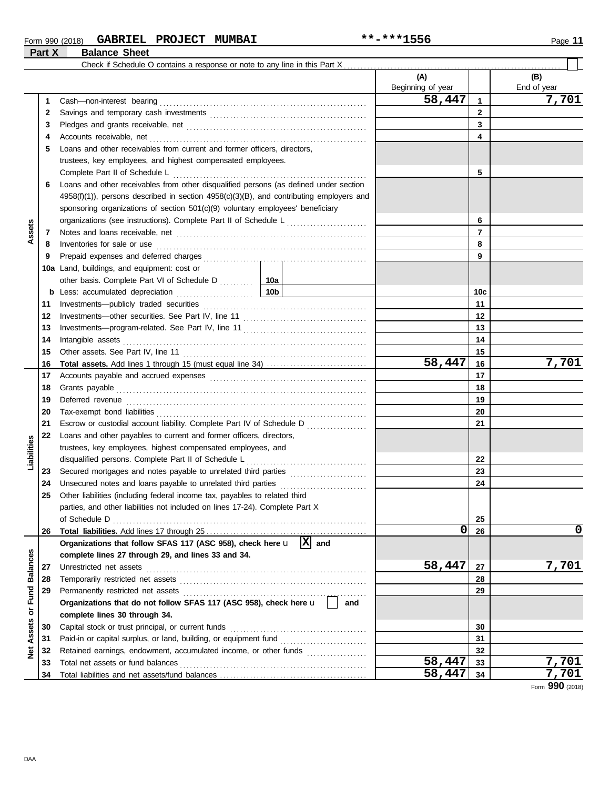### Form 990 (2018) Page **11 GABRIEL PROJECT MUMBAI \*\*-\*\*\*1556 Part X Balance Sheet**

|                 |          |                                                                                                                                                                                                                                     |        | (A)<br>Beginning of year |              | (B)<br>End of year |
|-----------------|----------|-------------------------------------------------------------------------------------------------------------------------------------------------------------------------------------------------------------------------------------|--------|--------------------------|--------------|--------------------|
|                 | 1        |                                                                                                                                                                                                                                     |        | 58,447                   | $\mathbf{1}$ | 7,701              |
|                 | 2        |                                                                                                                                                                                                                                     |        | $\mathbf{2}$             |              |                    |
|                 | 3        |                                                                                                                                                                                                                                     |        | 3                        |              |                    |
|                 | 4        |                                                                                                                                                                                                                                     |        |                          | 4            |                    |
|                 | 5        | Loans and other receivables from current and former officers, directors,                                                                                                                                                            |        |                          |              |                    |
|                 |          | trustees, key employees, and highest compensated employees.                                                                                                                                                                         |        |                          |              |                    |
|                 |          |                                                                                                                                                                                                                                     |        |                          | 5            |                    |
|                 | 6        | Loans and other receivables from other disqualified persons (as defined under section                                                                                                                                               |        |                          |              |                    |
|                 |          | $4958(f)(1)$ ), persons described in section $4958(c)(3)(B)$ , and contributing employers and                                                                                                                                       |        |                          |              |                    |
|                 |          | sponsoring organizations of section 501(c)(9) voluntary employees' beneficiary                                                                                                                                                      |        |                          |              |                    |
|                 |          | organizations (see instructions). Complete Part II of Schedule L [1, [1, [1, [1, [1]]]                                                                                                                                              |        |                          | 6            |                    |
| Assets          | 7        |                                                                                                                                                                                                                                     |        |                          | 7            |                    |
|                 | 8        | Inventories for sale or use <i>communication</i> and the contract of the contract of the contract of the contract of the contract of the contract of the contract of the contract of the contract of the contract of the contract o |        |                          | 8            |                    |
|                 | 9        |                                                                                                                                                                                                                                     |        |                          | 9            |                    |
|                 |          | 10a Land, buildings, and equipment: cost or                                                                                                                                                                                         |        |                          |              |                    |
|                 |          | other basis. Complete Part VI of Schedule D  10a                                                                                                                                                                                    |        |                          |              |                    |
|                 |          |                                                                                                                                                                                                                                     |        |                          | 10c          |                    |
|                 | 11       |                                                                                                                                                                                                                                     |        | 11                       |              |                    |
|                 | 12       |                                                                                                                                                                                                                                     |        |                          | 12           |                    |
|                 | 13       |                                                                                                                                                                                                                                     |        | 13                       |              |                    |
|                 | 14       |                                                                                                                                                                                                                                     |        | 14                       |              |                    |
|                 | 15       |                                                                                                                                                                                                                                     |        | 15                       |              |                    |
|                 | 16       |                                                                                                                                                                                                                                     | 58,447 | 16                       | 7,701        |                    |
|                 | 17       |                                                                                                                                                                                                                                     |        | 17                       |              |                    |
|                 | 18       |                                                                                                                                                                                                                                     |        |                          | 18           |                    |
|                 | 19       |                                                                                                                                                                                                                                     |        |                          | 19           |                    |
|                 | 20       |                                                                                                                                                                                                                                     |        |                          | 20           |                    |
|                 | 21       | Escrow or custodial account liability. Complete Part IV of Schedule D                                                                                                                                                               |        |                          | 21           |                    |
|                 | 22       | Loans and other payables to current and former officers, directors,                                                                                                                                                                 |        |                          |              |                    |
| Liabilities     |          | trustees, key employees, highest compensated employees, and                                                                                                                                                                         |        |                          |              |                    |
|                 |          | disqualified persons. Complete Part II of Schedule L                                                                                                                                                                                |        |                          | 22           |                    |
|                 | 23       | Secured mortgages and notes payable to unrelated third parties                                                                                                                                                                      |        |                          | 23           |                    |
|                 | 24       | Unsecured notes and loans payable to unrelated third parties                                                                                                                                                                        |        |                          | 24           |                    |
|                 | 25       | Other liabilities (including federal income tax, payables to related third                                                                                                                                                          |        |                          |              |                    |
|                 |          | parties, and other liabilities not included on lines 17-24). Complete Part X                                                                                                                                                        |        |                          |              |                    |
|                 |          |                                                                                                                                                                                                                                     |        |                          | 25           |                    |
|                 | 26       |                                                                                                                                                                                                                                     |        | 0                        | 26           | $\mathbf 0$        |
|                 |          | Organizations that follow SFAS 117 (ASC 958), check here $\mathbf{u}$  X  and                                                                                                                                                       |        |                          |              |                    |
|                 |          | complete lines 27 through 29, and lines 33 and 34.                                                                                                                                                                                  |        |                          |              |                    |
| <b>Balances</b> | 27       |                                                                                                                                                                                                                                     |        | 58,447                   | 27           | 7,701              |
|                 | 28       |                                                                                                                                                                                                                                     |        |                          | 28           |                    |
| or Fund         | 29       | Organizations that do not follow SFAS 117 (ASC 958), check here u                                                                                                                                                                   |        |                          | 29           |                    |
|                 |          |                                                                                                                                                                                                                                     | and    |                          |              |                    |
|                 | 30       | complete lines 30 through 34.                                                                                                                                                                                                       |        |                          | 30           |                    |
| Assets          | 31       | Paid-in or capital surplus, or land, building, or equipment fund [                                                                                                                                                                  |        |                          | 31           |                    |
|                 |          | Retained earnings, endowment, accumulated income, or other funds                                                                                                                                                                    |        |                          | 32           |                    |
| $\frac{8}{2}$   | 32<br>33 | Total net assets or fund balances                                                                                                                                                                                                   |        | 58,447                   | 33           | 7,701              |
|                 | 34       |                                                                                                                                                                                                                                     |        | 58,447                   | 34           | 7,701              |
|                 |          |                                                                                                                                                                                                                                     |        |                          |              |                    |

Form **990** (2018)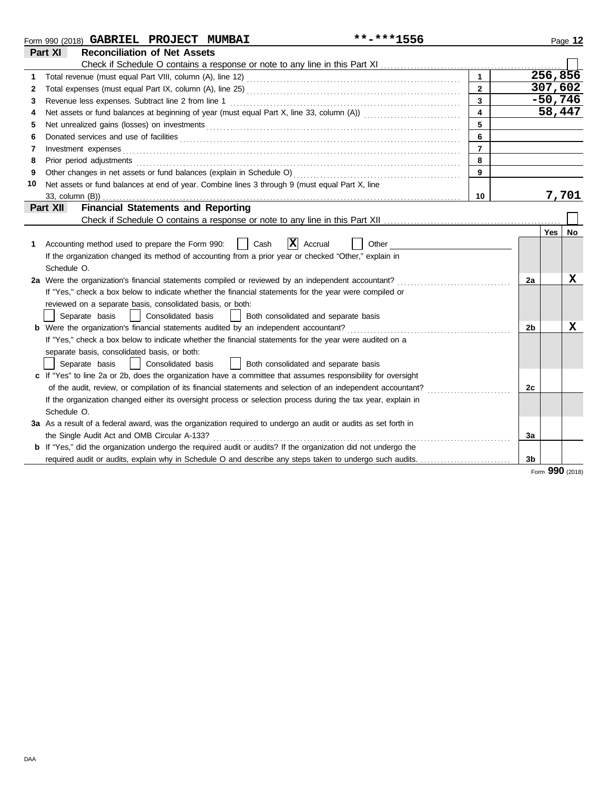|    | Form 990 (2018) GABRIEL PROJECT MUMBAI                                                                                                                                                                                         | **-***1556 |                         |    |            | Page 12 |
|----|--------------------------------------------------------------------------------------------------------------------------------------------------------------------------------------------------------------------------------|------------|-------------------------|----|------------|---------|
|    | <b>Reconciliation of Net Assets</b><br>Part XI                                                                                                                                                                                 |            |                         |    |            |         |
|    |                                                                                                                                                                                                                                |            |                         |    |            |         |
|    |                                                                                                                                                                                                                                |            | $\overline{1}$          |    | 256,856    |         |
| 2  |                                                                                                                                                                                                                                |            | $\overline{2}$          |    | 307,602    |         |
| 3  |                                                                                                                                                                                                                                |            | 3                       |    | $-50,746$  |         |
| 4  |                                                                                                                                                                                                                                |            | $\overline{\mathbf{4}}$ |    | 58,447     |         |
| 5  | Net unrealized gains (losses) on investments [11] with the content of the content of the state of the state of the state of the state of the state of the state of the state of the state of the state of the state of the sta |            | 5                       |    |            |         |
| 6  |                                                                                                                                                                                                                                |            | 6                       |    |            |         |
| 7  |                                                                                                                                                                                                                                |            | $\overline{7}$          |    |            |         |
| 8  | Prior period adjustments [11] production and an intervention of the state of the state of the state of the state of the state of the state of the state of the state of the state of the state of the state of the state of th |            | 8                       |    |            |         |
| 9  |                                                                                                                                                                                                                                |            | 9                       |    |            |         |
| 10 | Net assets or fund balances at end of year. Combine lines 3 through 9 (must equal Part X, line                                                                                                                                 |            |                         |    |            |         |
|    | 33, column (B))                                                                                                                                                                                                                |            | 10                      |    |            | 7,701   |
|    | <b>Financial Statements and Reporting</b><br>Part XII                                                                                                                                                                          |            |                         |    |            |         |
|    |                                                                                                                                                                                                                                |            |                         |    |            |         |
|    |                                                                                                                                                                                                                                |            |                         |    | Yes        | No      |
| 1  | $ \mathbf{X} $ Accrual<br>Cash<br>Accounting method used to prepare the Form 990:                                                                                                                                              | Other      |                         |    |            |         |
|    | If the organization changed its method of accounting from a prior year or checked "Other," explain in                                                                                                                          |            |                         |    |            |         |
|    | Schedule O.                                                                                                                                                                                                                    |            |                         |    |            |         |
|    | 2a Were the organization's financial statements compiled or reviewed by an independent accountant?                                                                                                                             |            |                         | 2a |            | x       |
|    | If "Yes," check a box below to indicate whether the financial statements for the year were compiled or                                                                                                                         |            |                         |    |            |         |
|    | reviewed on a separate basis, consolidated basis, or both:                                                                                                                                                                     |            |                         |    |            |         |
|    | Separate basis<br>Consolidated basis<br>Both consolidated and separate basis                                                                                                                                                   |            |                         |    |            |         |
|    |                                                                                                                                                                                                                                |            |                         | 2b |            | X       |
|    | If "Yes," check a box below to indicate whether the financial statements for the year were audited on a                                                                                                                        |            |                         |    |            |         |
|    | separate basis, consolidated basis, or both:                                                                                                                                                                                   |            |                         |    |            |         |
|    | Consolidated basis<br>Both consolidated and separate basis<br>Separate basis                                                                                                                                                   |            |                         |    |            |         |
|    | c If "Yes" to line 2a or 2b, does the organization have a committee that assumes responsibility for oversight                                                                                                                  |            |                         |    |            |         |
|    | of the audit, review, or compilation of its financial statements and selection of an independent accountant?                                                                                                                   |            |                         | 2c |            |         |
|    | If the organization changed either its oversight process or selection process during the tax year, explain in                                                                                                                  |            |                         |    |            |         |
|    | Schedule O.                                                                                                                                                                                                                    |            |                         |    |            |         |
|    | 3a As a result of a federal award, was the organization required to undergo an audit or audits as set forth in                                                                                                                 |            |                         |    |            |         |
|    | the Single Audit Act and OMB Circular A-133?                                                                                                                                                                                   |            |                         | 3a |            |         |
|    | <b>b</b> If "Yes," did the organization undergo the required audit or audits? If the organization did not undergo the                                                                                                          |            |                         |    |            |         |
|    |                                                                                                                                                                                                                                |            |                         | 3b |            |         |
|    |                                                                                                                                                                                                                                |            |                         |    | <b>nnn</b> |         |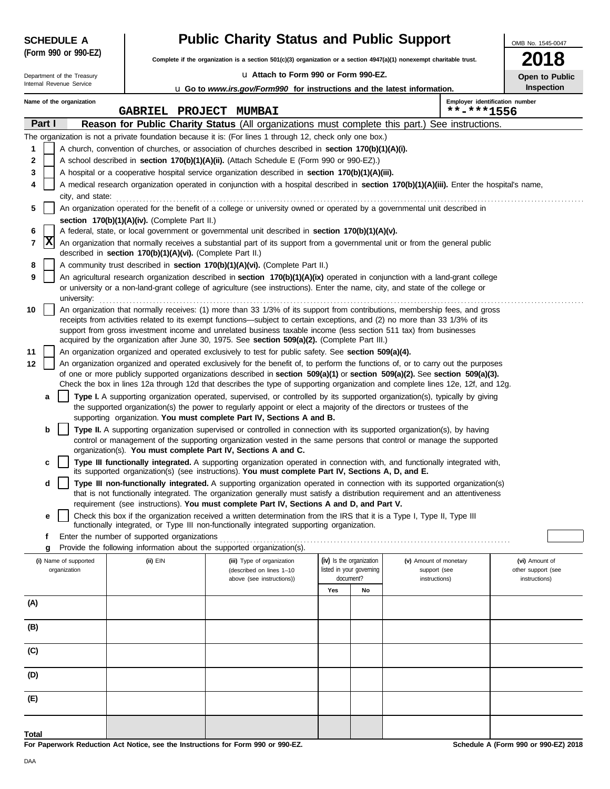| <b>SCHEDULE A</b>    |
|----------------------|
| (Form 990 or 990-EZ) |

**Complete if the organization is a section 501(c)(3) organization or a section 4947(a)(1) nonexempt charitable trust.**

u **Attach to Form 990 or Form 990-EZ.**

|                          |  | Department of the Treasury |
|--------------------------|--|----------------------------|
| Internal Revenue Service |  |                            |

| OMB No. 1545-0047     |
|-----------------------|
| 2018                  |
| <b>Open to Public</b> |

| ווופווופו ו/פעסוועפ טפולו<br><b>Inspection</b><br><b>u</b> Go to <i>www.irs.gov/Form990</i> for instructions and the latest information. |                         |                          |                                                            |                                                                                                                                                                                                                                                                                                                                                                                                                                                                                  |     |                          |                                              |                    |  |  |  |  |
|------------------------------------------------------------------------------------------------------------------------------------------|-------------------------|--------------------------|------------------------------------------------------------|----------------------------------------------------------------------------------------------------------------------------------------------------------------------------------------------------------------------------------------------------------------------------------------------------------------------------------------------------------------------------------------------------------------------------------------------------------------------------------|-----|--------------------------|----------------------------------------------|--------------------|--|--|--|--|
|                                                                                                                                          |                         | Name of the organization | GABRIEL PROJECT MUMBAI                                     |                                                                                                                                                                                                                                                                                                                                                                                                                                                                                  |     |                          | Employer identification number<br>**-***1556 |                    |  |  |  |  |
|                                                                                                                                          | Part I                  |                          |                                                            | Reason for Public Charity Status (All organizations must complete this part.) See instructions.                                                                                                                                                                                                                                                                                                                                                                                  |     |                          |                                              |                    |  |  |  |  |
|                                                                                                                                          |                         |                          |                                                            | The organization is not a private foundation because it is: (For lines 1 through 12, check only one box.)                                                                                                                                                                                                                                                                                                                                                                        |     |                          |                                              |                    |  |  |  |  |
| 1                                                                                                                                        |                         |                          |                                                            | A church, convention of churches, or association of churches described in section 170(b)(1)(A)(i).                                                                                                                                                                                                                                                                                                                                                                               |     |                          |                                              |                    |  |  |  |  |
| 2                                                                                                                                        |                         |                          |                                                            | A school described in section 170(b)(1)(A)(ii). (Attach Schedule E (Form 990 or 990-EZ).)                                                                                                                                                                                                                                                                                                                                                                                        |     |                          |                                              |                    |  |  |  |  |
| 3                                                                                                                                        |                         |                          |                                                            | A hospital or a cooperative hospital service organization described in section 170(b)(1)(A)(iii).                                                                                                                                                                                                                                                                                                                                                                                |     |                          |                                              |                    |  |  |  |  |
| 4                                                                                                                                        |                         |                          |                                                            | A medical research organization operated in conjunction with a hospital described in section 170(b)(1)(A)(iii). Enter the hospital's name,                                                                                                                                                                                                                                                                                                                                       |     |                          |                                              |                    |  |  |  |  |
|                                                                                                                                          |                         | city, and state:         |                                                            |                                                                                                                                                                                                                                                                                                                                                                                                                                                                                  |     |                          |                                              |                    |  |  |  |  |
| 5                                                                                                                                        |                         |                          |                                                            | An organization operated for the benefit of a college or university owned or operated by a governmental unit described in                                                                                                                                                                                                                                                                                                                                                        |     |                          |                                              |                    |  |  |  |  |
|                                                                                                                                          |                         |                          | section 170(b)(1)(A)(iv). (Complete Part II.)              |                                                                                                                                                                                                                                                                                                                                                                                                                                                                                  |     |                          |                                              |                    |  |  |  |  |
| 6                                                                                                                                        | $\overline{\mathbf{x}}$ |                          |                                                            | A federal, state, or local government or governmental unit described in section 170(b)(1)(A)(v).                                                                                                                                                                                                                                                                                                                                                                                 |     |                          |                                              |                    |  |  |  |  |
| 7                                                                                                                                        |                         |                          | described in section 170(b)(1)(A)(vi). (Complete Part II.) | An organization that normally receives a substantial part of its support from a governmental unit or from the general public                                                                                                                                                                                                                                                                                                                                                     |     |                          |                                              |                    |  |  |  |  |
| 8                                                                                                                                        |                         |                          |                                                            | A community trust described in section 170(b)(1)(A)(vi). (Complete Part II.)                                                                                                                                                                                                                                                                                                                                                                                                     |     |                          |                                              |                    |  |  |  |  |
| 9                                                                                                                                        |                         |                          |                                                            | An agricultural research organization described in section 170(b)(1)(A)(ix) operated in conjunction with a land-grant college<br>or university or a non-land-grant college of agriculture (see instructions). Enter the name, city, and state of the college or                                                                                                                                                                                                                  |     |                          |                                              |                    |  |  |  |  |
| 10                                                                                                                                       |                         | university:              |                                                            | An organization that normally receives: (1) more than 33 1/3% of its support from contributions, membership fees, and gross<br>receipts from activities related to its exempt functions—subject to certain exceptions, and (2) no more than 33 1/3% of its<br>support from gross investment income and unrelated business taxable income (less section 511 tax) from businesses<br>acquired by the organization after June 30, 1975. See section 509(a)(2). (Complete Part III.) |     |                          |                                              |                    |  |  |  |  |
| 11                                                                                                                                       |                         |                          |                                                            | An organization organized and operated exclusively to test for public safety. See section 509(a)(4).                                                                                                                                                                                                                                                                                                                                                                             |     |                          |                                              |                    |  |  |  |  |
| 12                                                                                                                                       |                         |                          |                                                            | An organization organized and operated exclusively for the benefit of, to perform the functions of, or to carry out the purposes                                                                                                                                                                                                                                                                                                                                                 |     |                          |                                              |                    |  |  |  |  |
|                                                                                                                                          |                         |                          |                                                            | of one or more publicly supported organizations described in section 509(a)(1) or section 509(a)(2). See section 509(a)(3).<br>Check the box in lines 12a through 12d that describes the type of supporting organization and complete lines 12e, 12f, and 12g.                                                                                                                                                                                                                   |     |                          |                                              |                    |  |  |  |  |
|                                                                                                                                          | a                       |                          |                                                            | Type I. A supporting organization operated, supervised, or controlled by its supported organization(s), typically by giving                                                                                                                                                                                                                                                                                                                                                      |     |                          |                                              |                    |  |  |  |  |
|                                                                                                                                          |                         |                          |                                                            | the supported organization(s) the power to regularly appoint or elect a majority of the directors or trustees of the                                                                                                                                                                                                                                                                                                                                                             |     |                          |                                              |                    |  |  |  |  |
|                                                                                                                                          |                         |                          |                                                            | supporting organization. You must complete Part IV, Sections A and B.                                                                                                                                                                                                                                                                                                                                                                                                            |     |                          |                                              |                    |  |  |  |  |
|                                                                                                                                          | b                       |                          |                                                            | Type II. A supporting organization supervised or controlled in connection with its supported organization(s), by having                                                                                                                                                                                                                                                                                                                                                          |     |                          |                                              |                    |  |  |  |  |
|                                                                                                                                          |                         |                          |                                                            | control or management of the supporting organization vested in the same persons that control or manage the supported                                                                                                                                                                                                                                                                                                                                                             |     |                          |                                              |                    |  |  |  |  |
|                                                                                                                                          |                         |                          |                                                            | organization(s). You must complete Part IV, Sections A and C.<br>Type III functionally integrated. A supporting organization operated in connection with, and functionally integrated with,                                                                                                                                                                                                                                                                                      |     |                          |                                              |                    |  |  |  |  |
|                                                                                                                                          | c                       |                          |                                                            | its supported organization(s) (see instructions). You must complete Part IV, Sections A, D, and E.                                                                                                                                                                                                                                                                                                                                                                               |     |                          |                                              |                    |  |  |  |  |
|                                                                                                                                          | d                       |                          |                                                            | Type III non-functionally integrated. A supporting organization operated in connection with its supported organization(s)                                                                                                                                                                                                                                                                                                                                                        |     |                          |                                              |                    |  |  |  |  |
|                                                                                                                                          |                         |                          |                                                            | that is not functionally integrated. The organization generally must satisfy a distribution requirement and an attentiveness                                                                                                                                                                                                                                                                                                                                                     |     |                          |                                              |                    |  |  |  |  |
|                                                                                                                                          |                         |                          |                                                            | requirement (see instructions). You must complete Part IV, Sections A and D, and Part V.                                                                                                                                                                                                                                                                                                                                                                                         |     |                          |                                              |                    |  |  |  |  |
|                                                                                                                                          | е                       |                          |                                                            | Check this box if the organization received a written determination from the IRS that it is a Type I, Type II, Type III                                                                                                                                                                                                                                                                                                                                                          |     |                          |                                              |                    |  |  |  |  |
|                                                                                                                                          |                         |                          | Enter the number of supported organizations                | functionally integrated, or Type III non-functionally integrated supporting organization.                                                                                                                                                                                                                                                                                                                                                                                        |     |                          |                                              |                    |  |  |  |  |
|                                                                                                                                          | f                       |                          |                                                            | Provide the following information about the supported organization(s).                                                                                                                                                                                                                                                                                                                                                                                                           |     |                          |                                              |                    |  |  |  |  |
|                                                                                                                                          | g                       | (i) Name of supported    | (ii) EIN                                                   | (iii) Type of organization                                                                                                                                                                                                                                                                                                                                                                                                                                                       |     | (iv) Is the organization | (v) Amount of monetary                       | (vi) Amount of     |  |  |  |  |
|                                                                                                                                          |                         | organization             |                                                            | (described on lines 1-10                                                                                                                                                                                                                                                                                                                                                                                                                                                         |     | listed in your governing | support (see                                 | other support (see |  |  |  |  |
|                                                                                                                                          |                         |                          |                                                            | above (see instructions))                                                                                                                                                                                                                                                                                                                                                                                                                                                        |     | document?                | instructions)                                | instructions)      |  |  |  |  |
|                                                                                                                                          |                         |                          |                                                            |                                                                                                                                                                                                                                                                                                                                                                                                                                                                                  | Yes | No                       |                                              |                    |  |  |  |  |
| (A)                                                                                                                                      |                         |                          |                                                            |                                                                                                                                                                                                                                                                                                                                                                                                                                                                                  |     |                          |                                              |                    |  |  |  |  |
| (B)                                                                                                                                      |                         |                          |                                                            |                                                                                                                                                                                                                                                                                                                                                                                                                                                                                  |     |                          |                                              |                    |  |  |  |  |
| (C)                                                                                                                                      |                         |                          |                                                            |                                                                                                                                                                                                                                                                                                                                                                                                                                                                                  |     |                          |                                              |                    |  |  |  |  |
| (D)                                                                                                                                      |                         |                          |                                                            |                                                                                                                                                                                                                                                                                                                                                                                                                                                                                  |     |                          |                                              |                    |  |  |  |  |
| (E)                                                                                                                                      |                         |                          |                                                            |                                                                                                                                                                                                                                                                                                                                                                                                                                                                                  |     |                          |                                              |                    |  |  |  |  |
|                                                                                                                                          |                         |                          |                                                            |                                                                                                                                                                                                                                                                                                                                                                                                                                                                                  |     |                          |                                              |                    |  |  |  |  |

**For Paperwork Reduction Act Notice, see the Instructions for Form 990 or 990-EZ. Total**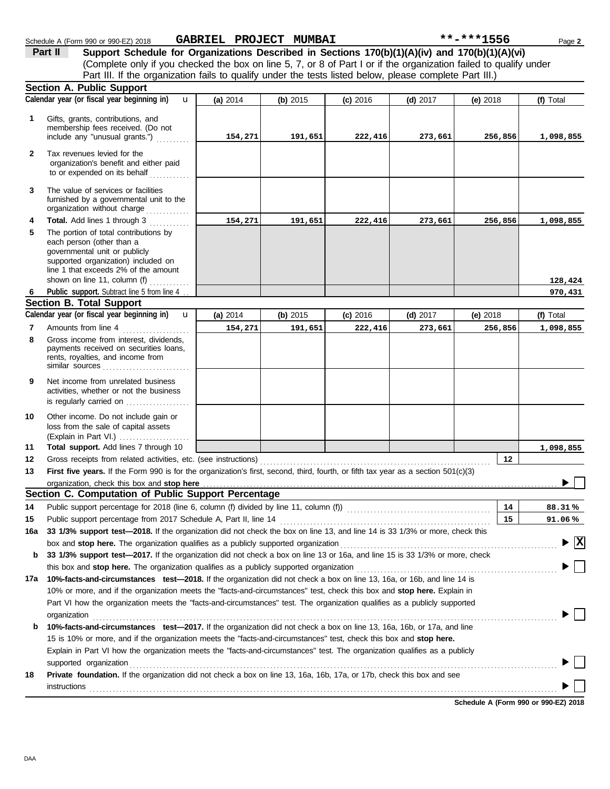|              | Schedule A (Form 990 or 990-EZ) 2018                                                                                                                                                                                                                                                                                                      | GABRIEL PROJECT MUMBAI |          |            |            | **-***1556 | Page 2                                        |
|--------------|-------------------------------------------------------------------------------------------------------------------------------------------------------------------------------------------------------------------------------------------------------------------------------------------------------------------------------------------|------------------------|----------|------------|------------|------------|-----------------------------------------------|
|              | Support Schedule for Organizations Described in Sections 170(b)(1)(A)(iv) and 170(b)(1)(A)(vi)<br>Part II<br>(Complete only if you checked the box on line 5, 7, or 8 of Part I or if the organization failed to qualify under<br>Part III. If the organization fails to qualify under the tests listed below, please complete Part III.) |                        |          |            |            |            |                                               |
|              | Section A. Public Support                                                                                                                                                                                                                                                                                                                 |                        |          |            |            |            |                                               |
|              | Calendar year (or fiscal year beginning in)<br>$\mathbf{u}$                                                                                                                                                                                                                                                                               | (a) 2014               | (b) 2015 | $(c)$ 2016 | $(d)$ 2017 | (e) 2018   | (f) Total                                     |
| 1            | Gifts, grants, contributions, and<br>membership fees received. (Do not<br>include any "unusual grants.")                                                                                                                                                                                                                                  | 154,271                | 191,651  | 222,416    | 273,661    | 256,856    | 1,098,855                                     |
| $\mathbf{2}$ | Tax revenues levied for the<br>organization's benefit and either paid<br>to or expended on its behalf                                                                                                                                                                                                                                     |                        |          |            |            |            |                                               |
| 3            | The value of services or facilities<br>furnished by a governmental unit to the<br>organization without charge                                                                                                                                                                                                                             |                        |          |            |            |            |                                               |
| 4            | Total. Add lines 1 through 3                                                                                                                                                                                                                                                                                                              | 154,271                | 191,651  | 222,416    | 273,661    | 256,856    | 1,098,855                                     |
| 5            | The portion of total contributions by<br>each person (other than a<br>governmental unit or publicly<br>supported organization) included on<br>line 1 that exceeds 2% of the amount                                                                                                                                                        |                        |          |            |            |            |                                               |
|              | shown on line 11, column (f) $\ldots$                                                                                                                                                                                                                                                                                                     |                        |          |            |            |            | 128,424                                       |
| 6            | Public support. Subtract line 5 from line 4                                                                                                                                                                                                                                                                                               |                        |          |            |            |            | 970,431                                       |
|              | <b>Section B. Total Support</b>                                                                                                                                                                                                                                                                                                           |                        |          |            |            |            |                                               |
|              | Calendar year (or fiscal year beginning in)<br>$\mathbf{u}$                                                                                                                                                                                                                                                                               | (a) 2014               | (b) 2015 | $(c)$ 2016 | $(d)$ 2017 | (e) $2018$ | (f) Total                                     |
| 7            | Amounts from line 4                                                                                                                                                                                                                                                                                                                       | 154,271                | 191,651  | 222,416    | 273,661    | 256,856    | 1,098,855                                     |
| 8            | Gross income from interest, dividends,<br>payments received on securities loans,<br>rents, royalties, and income from<br>similar sources                                                                                                                                                                                                  |                        |          |            |            |            |                                               |
| 9            | Net income from unrelated business<br>activities, whether or not the business<br>is regularly carried on                                                                                                                                                                                                                                  |                        |          |            |            |            |                                               |
| 10           | Other income. Do not include gain or<br>loss from the sale of capital assets<br>(Explain in Part VI.)                                                                                                                                                                                                                                     |                        |          |            |            |            |                                               |
| 11           | Total support. Add lines 7 through 10                                                                                                                                                                                                                                                                                                     |                        |          |            |            |            | 1,098,855                                     |
| 12           |                                                                                                                                                                                                                                                                                                                                           |                        |          |            |            | 12         |                                               |
| 13           | First five years. If the Form 990 is for the organization's first, second, third, fourth, or fifth tax year as a section 501(c)(3)                                                                                                                                                                                                        |                        |          |            |            |            |                                               |
|              |                                                                                                                                                                                                                                                                                                                                           |                        |          |            |            |            |                                               |
|              | Section C. Computation of Public Support Percentage                                                                                                                                                                                                                                                                                       |                        |          |            |            |            |                                               |
| 14           |                                                                                                                                                                                                                                                                                                                                           |                        |          |            |            | 14         | 88.31%                                        |
| 15           |                                                                                                                                                                                                                                                                                                                                           |                        |          |            |            | 15         | 91.06%                                        |
| 16a          | 33 1/3% support test-2018. If the organization did not check the box on line 13, and line 14 is 33 1/3% or more, check this                                                                                                                                                                                                               |                        |          |            |            |            |                                               |
|              | box and stop here. The organization qualifies as a publicly supported organization                                                                                                                                                                                                                                                        |                        |          |            |            |            | $\blacktriangleright$ $\overline{\mathbf{X}}$ |
| b            | 33 1/3% support test-2017. If the organization did not check a box on line 13 or 16a, and line 15 is 33 1/3% or more, check                                                                                                                                                                                                               |                        |          |            |            |            |                                               |
|              | this box and stop here. The organization qualifies as a publicly supported organization                                                                                                                                                                                                                                                   |                        |          |            |            |            |                                               |
| 17a          | 10%-facts-and-circumstances test-2018. If the organization did not check a box on line 13, 16a, or 16b, and line 14 is                                                                                                                                                                                                                    |                        |          |            |            |            |                                               |
|              | 10% or more, and if the organization meets the "facts-and-circumstances" test, check this box and stop here. Explain in                                                                                                                                                                                                                   |                        |          |            |            |            |                                               |
|              | Part VI how the organization meets the "facts-and-circumstances" test. The organization qualifies as a publicly supported<br>orannization                                                                                                                                                                                                 |                        |          |            |            |            |                                               |

|    | organization                                                                                                               |  |
|----|----------------------------------------------------------------------------------------------------------------------------|--|
| b  | 10%-facts-and-circumstances test-2017. If the organization did not check a box on line 13, 16a, 16b, or 17a, and line      |  |
|    | 15 is 10% or more, and if the organization meets the "facts-and-circumstances" test, check this box and stop here.         |  |
|    | Explain in Part VI how the organization meets the "facts-and-circumstances" test. The organization qualifies as a publicly |  |
|    |                                                                                                                            |  |
| 18 | Private foundation. If the organization did not check a box on line 13, 16a, 16b, 17a, or 17b, check this box and see      |  |
|    | instructions                                                                                                               |  |

**Schedule A (Form 990 or 990-EZ) 2018**

 $\blacktriangleright$   $\boxed{\mathbf{X}}$ 

 $\blacktriangleright$   $\Box$ 

 $\blacktriangleright \Box$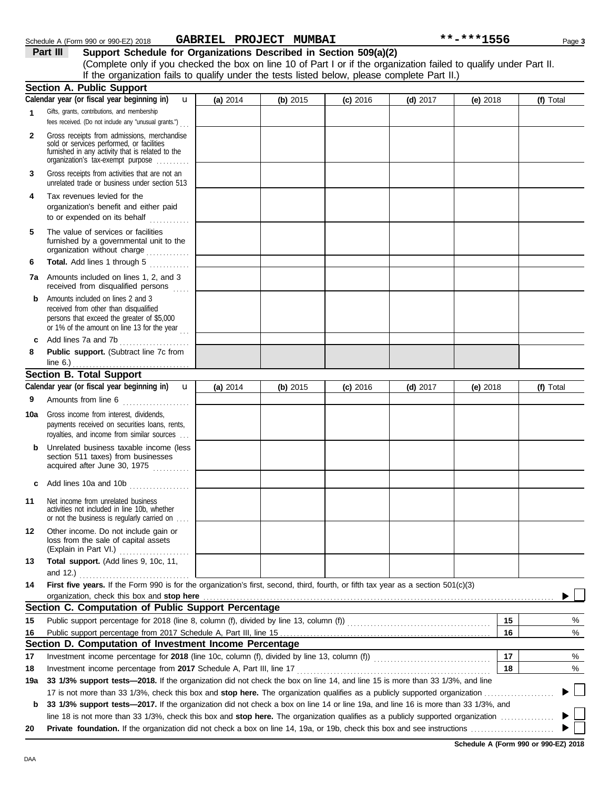|  | Continue A. Dublin Company |  |
|--|----------------------------|--|
|  |                            |  |

(Complete only if you checked the box on line 10 of Part I or if the organization failed to qualify under Part II.

**Part III Support Schedule for Organizations Described in Section 509(a)(2)**

|     | If the organization fails to qualify under the tests listed below, please complete Part II.)                                                                                      |          |          |            |            |            |           |
|-----|-----------------------------------------------------------------------------------------------------------------------------------------------------------------------------------|----------|----------|------------|------------|------------|-----------|
|     | <b>Section A. Public Support</b>                                                                                                                                                  |          |          |            |            |            |           |
|     | Calendar year (or fiscal year beginning in)<br>$\mathbf{u}$                                                                                                                       | (a) 2014 | (b) 2015 | $(c)$ 2016 | $(d)$ 2017 | (e) $2018$ | (f) Total |
| 1   | Gifts, grants, contributions, and membership                                                                                                                                      |          |          |            |            |            |           |
|     | fees received. (Do not include any "unusual grants.")                                                                                                                             |          |          |            |            |            |           |
| 2   | Gross receipts from admissions, merchandise<br>sold or services performed, or facilities<br>furnished in any activity that is related to the<br>organization's tax-exempt purpose |          |          |            |            |            |           |
| 3   | Gross receipts from activities that are not an<br>unrelated trade or business under section 513                                                                                   |          |          |            |            |            |           |
| 4   | Tax revenues levied for the<br>organization's benefit and either paid<br>to or expended on its behalf                                                                             |          |          |            |            |            |           |
| 5   | The value of services or facilities<br>furnished by a governmental unit to the<br>organization without charge                                                                     |          |          |            |            |            |           |
| 6   | Total. Add lines 1 through 5                                                                                                                                                      |          |          |            |            |            |           |
| 7a  | Amounts included on lines 1, 2, and 3<br>received from disqualified persons                                                                                                       |          |          |            |            |            |           |
| b   | Amounts included on lines 2 and 3<br>received from other than disqualified<br>persons that exceed the greater of \$5,000<br>or 1% of the amount on line 13 for the year $\ldots$  |          |          |            |            |            |           |
| c   | Add lines 7a and 7b                                                                                                                                                               |          |          |            |            |            |           |
| 8   | Public support. (Subtract line 7c from<br>line $6.$ )<br>.                                                                                                                        |          |          |            |            |            |           |
|     | <b>Section B. Total Support</b>                                                                                                                                                   |          |          |            |            |            |           |
|     | Calendar year (or fiscal year beginning in)<br>$\mathbf{u}$                                                                                                                       | (a) 2014 | (b) 2015 | $(c)$ 2016 | (d) $2017$ | (e) 2018   | (f) Total |
| 9   | Amounts from line 6                                                                                                                                                               |          |          |            |            |            |           |
| 10a | Gross income from interest, dividends,<br>payments received on securities loans, rents,<br>royalties, and income from similar sources                                             |          |          |            |            |            |           |
| b   | Unrelated business taxable income (less<br>section 511 taxes) from businesses<br>acquired after June 30, 1975                                                                     |          |          |            |            |            |           |
| c   | Add lines 10a and 10b                                                                                                                                                             |          |          |            |            |            |           |
| 11  | Net income from unrelated business<br>activities not included in line 10b, whether<br>or not the business is regularly carried on                                                 |          |          |            |            |            |           |
| 12  | Other income. Do not include gain or<br>loss from the sale of capital assets<br>(Explain in Part VI.)                                                                             |          |          |            |            |            |           |
| 13  | Total support. (Add lines 9, 10c, 11,<br>and 12.) $\ldots$                                                                                                                        |          |          |            |            |            |           |
| 14  | First five years. If the Form 990 is for the organization's first, second, third, fourth, or fifth tax year as a section 501(c)(3)<br>organization, check this box and stop here  |          |          |            |            |            |           |
|     | Section C. Computation of Public Support Percentage                                                                                                                               |          |          |            |            |            |           |
| 15  |                                                                                                                                                                                   |          |          |            |            | 15         | %         |
| 16  |                                                                                                                                                                                   |          |          |            |            | 16         | %         |
|     | Section D. Computation of Investment Income Percentage                                                                                                                            |          |          |            |            |            |           |
| 17  |                                                                                                                                                                                   |          |          |            |            | 17         | %         |
| 18  |                                                                                                                                                                                   |          |          |            |            | 18         | %         |
| 19a | 33 1/3% support tests-2018. If the organization did not check the box on line 14, and line 15 is more than 33 1/3%, and line                                                      |          |          |            |            |            |           |
|     |                                                                                                                                                                                   |          |          |            |            |            |           |
| b   | 33 1/3% support tests-2017. If the organization did not check a box on line 14 or line 19a, and line 16 is more than 33 1/3%, and                                                 |          |          |            |            |            |           |
|     | line 18 is not more than 33 1/3%, check this box and stop here. The organization qualifies as a publicly supported organization                                                   |          |          |            |            |            |           |
| 20  |                                                                                                                                                                                   |          |          |            |            |            |           |

**20 Private foundation.** If the organization did not check a box on line 14, 19a, or 19b, check this box and see instructions . . . . . . . . . . . . . . . . . . . . . . . . .

**Schedule A (Form 990 or 990-EZ) 2018**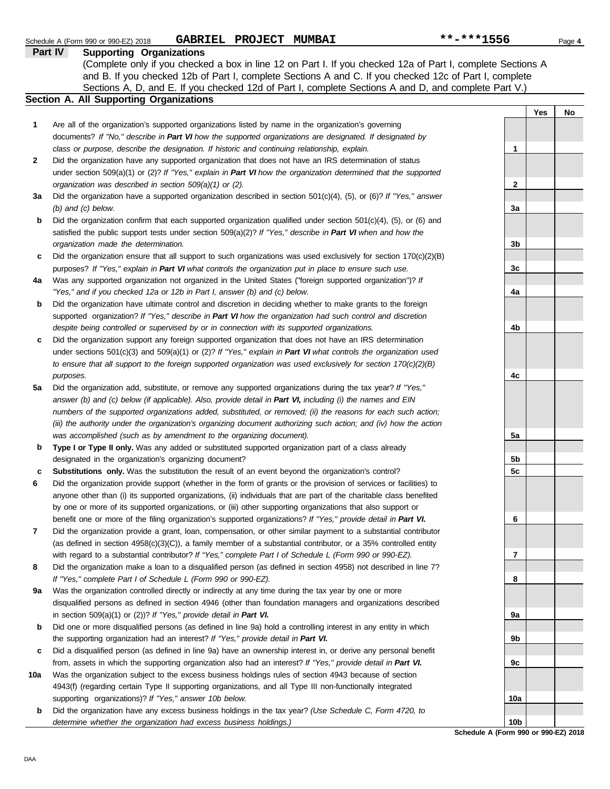|     | Part IV<br><b>Supporting Organizations</b>                                                                               |                 |     |    |
|-----|--------------------------------------------------------------------------------------------------------------------------|-----------------|-----|----|
|     | (Complete only if you checked a box in line 12 on Part I. If you checked 12a of Part I, complete Sections A              |                 |     |    |
|     | and B. If you checked 12b of Part I, complete Sections A and C. If you checked 12c of Part I, complete                   |                 |     |    |
|     | Sections A, D, and E. If you checked 12d of Part I, complete Sections A and D, and complete Part V.)                     |                 |     |    |
|     | <b>Section A. All Supporting Organizations</b>                                                                           |                 |     |    |
|     |                                                                                                                          |                 | Yes | No |
| 1   | Are all of the organization's supported organizations listed by name in the organization's governing                     |                 |     |    |
|     | documents? If "No," describe in Part VI how the supported organizations are designated. If designated by                 |                 |     |    |
|     | class or purpose, describe the designation. If historic and continuing relationship, explain.                            | 1               |     |    |
| 2   | Did the organization have any supported organization that does not have an IRS determination of status                   |                 |     |    |
|     | under section 509(a)(1) or (2)? If "Yes," explain in Part VI how the organization determined that the supported          |                 |     |    |
|     | organization was described in section 509(a)(1) or (2).                                                                  | 2               |     |    |
| За  | Did the organization have a supported organization described in section $501(c)(4)$ , (5), or (6)? If "Yes," answer      |                 |     |    |
|     | $(b)$ and $(c)$ below.                                                                                                   | За              |     |    |
| b   | Did the organization confirm that each supported organization qualified under section $501(c)(4)$ , $(5)$ , or $(6)$ and |                 |     |    |
|     | satisfied the public support tests under section 509(a)(2)? If "Yes," describe in Part VI when and how the               |                 |     |    |
|     | organization made the determination.                                                                                     | 3b              |     |    |
| c   | Did the organization ensure that all support to such organizations was used exclusively for section $170(c)(2)(B)$       |                 |     |    |
|     | purposes? If "Yes," explain in Part VI what controls the organization put in place to ensure such use.                   | 3c              |     |    |
| 4a  | Was any supported organization not organized in the United States ("foreign supported organization")? If                 |                 |     |    |
|     | "Yes," and if you checked 12a or 12b in Part I, answer (b) and (c) below.                                                | 4a              |     |    |
| b   | Did the organization have ultimate control and discretion in deciding whether to make grants to the foreign              |                 |     |    |
|     | supported organization? If "Yes," describe in Part VI how the organization had such control and discretion               |                 |     |    |
|     | despite being controlled or supervised by or in connection with its supported organizations.                             | 4b              |     |    |
| c   | Did the organization support any foreign supported organization that does not have an IRS determination                  |                 |     |    |
|     | under sections $501(c)(3)$ and $509(a)(1)$ or (2)? If "Yes," explain in Part VI what controls the organization used      |                 |     |    |
|     | to ensure that all support to the foreign supported organization was used exclusively for section $170(c)(2)(B)$         |                 |     |    |
|     | purposes.                                                                                                                | 4с              |     |    |
| 5a  | Did the organization add, substitute, or remove any supported organizations during the tax year? If "Yes,"               |                 |     |    |
|     | answer (b) and (c) below (if applicable). Also, provide detail in Part VI, including (i) the names and EIN               |                 |     |    |
|     | numbers of the supported organizations added, substituted, or removed; (ii) the reasons for each such action;            |                 |     |    |
|     | (iii) the authority under the organization's organizing document authorizing such action; and (iv) how the action        |                 |     |    |
|     | was accomplished (such as by amendment to the organizing document).                                                      | 5a              |     |    |
| b   | Type I or Type II only. Was any added or substituted supported organization part of a class already                      |                 |     |    |
|     | designated in the organization's organizing document?                                                                    | 5b              |     |    |
| c   | Substitutions only. Was the substitution the result of an event beyond the organization's control?                       | 5c              |     |    |
| 6   | Did the organization provide support (whether in the form of grants or the provision of services or facilities) to       |                 |     |    |
|     | anyone other than (i) its supported organizations, (ii) individuals that are part of the charitable class benefited      |                 |     |    |
|     | by one or more of its supported organizations, or (iii) other supporting organizations that also support or              |                 |     |    |
|     | benefit one or more of the filing organization's supported organizations? If "Yes," provide detail in Part VI.           | 6               |     |    |
| 7   | Did the organization provide a grant, loan, compensation, or other similar payment to a substantial contributor          |                 |     |    |
|     | (as defined in section 4958(c)(3)(C)), a family member of a substantial contributor, or a 35% controlled entity          |                 |     |    |
|     | with regard to a substantial contributor? If "Yes," complete Part I of Schedule L (Form 990 or 990-EZ).                  | 7               |     |    |
| 8   | Did the organization make a loan to a disqualified person (as defined in section 4958) not described in line 7?          |                 |     |    |
|     | If "Yes," complete Part I of Schedule L (Form 990 or 990-EZ).                                                            | 8               |     |    |
| 9a  | Was the organization controlled directly or indirectly at any time during the tax year by one or more                    |                 |     |    |
|     | disqualified persons as defined in section 4946 (other than foundation managers and organizations described              |                 |     |    |
|     | in section 509(a)(1) or (2))? If "Yes," provide detail in Part VI.                                                       | 9a              |     |    |
| b   | Did one or more disqualified persons (as defined in line 9a) hold a controlling interest in any entity in which          |                 |     |    |
|     | the supporting organization had an interest? If "Yes," provide detail in Part VI.                                        | 9b              |     |    |
| c   | Did a disqualified person (as defined in line 9a) have an ownership interest in, or derive any personal benefit          |                 |     |    |
|     | from, assets in which the supporting organization also had an interest? If "Yes," provide detail in Part VI.             | 9c              |     |    |
| 10a | Was the organization subject to the excess business holdings rules of section 4943 because of section                    |                 |     |    |
|     | 4943(f) (regarding certain Type II supporting organizations, and all Type III non-functionally integrated                |                 |     |    |
|     | supporting organizations)? If "Yes," answer 10b below.                                                                   | 10a             |     |    |
| b   | Did the organization have any excess business holdings in the tax year? (Use Schedule C, Form 4720, to                   |                 |     |    |
|     | determine whether the organization had excess business holdings.)                                                        | 10 <sub>b</sub> |     |    |

**Schedule A (Form 990 or 990-EZ) 2018**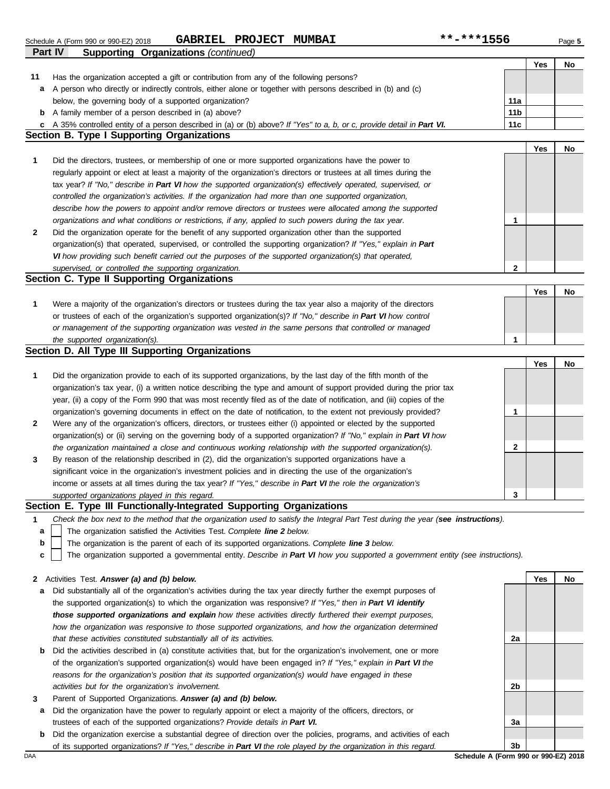|              | <b>GABRIEL PROJECT</b><br><b>MUMBAI</b><br>Schedule A (Form 990 or 990-EZ) 2018                                                   | **-***1556      |            | Page 5 |
|--------------|-----------------------------------------------------------------------------------------------------------------------------------|-----------------|------------|--------|
|              | <b>Part IV</b><br><b>Supporting Organizations (continued)</b>                                                                     |                 |            |        |
|              |                                                                                                                                   |                 | Yes        | No     |
| 11           | Has the organization accepted a gift or contribution from any of the following persons?                                           |                 |            |        |
|              | a A person who directly or indirectly controls, either alone or together with persons described in (b) and (c)                    |                 |            |        |
|              | below, the governing body of a supported organization?                                                                            | 11a             |            |        |
| b            | A family member of a person described in (a) above?                                                                               | 11 <sub>b</sub> |            |        |
|              | c A 35% controlled entity of a person described in (a) or (b) above? If "Yes" to a, b, or c, provide detail in Part VI.           | 11c             |            |        |
|              | <b>Section B. Type I Supporting Organizations</b>                                                                                 |                 |            |        |
|              |                                                                                                                                   |                 | Yes        | No     |
| 1            | Did the directors, trustees, or membership of one or more supported organizations have the power to                               |                 |            |        |
|              | regularly appoint or elect at least a majority of the organization's directors or trustees at all times during the                |                 |            |        |
|              | tax year? If "No," describe in Part VI how the supported organization(s) effectively operated, supervised, or                     |                 |            |        |
|              | controlled the organization's activities. If the organization had more than one supported organization,                           |                 |            |        |
|              | describe how the powers to appoint and/or remove directors or trustees were allocated among the supported                         |                 |            |        |
|              | organizations and what conditions or restrictions, if any, applied to such powers during the tax year.                            | 1               |            |        |
| 2            | Did the organization operate for the benefit of any supported organization other than the supported                               |                 |            |        |
|              | organization(s) that operated, supervised, or controlled the supporting organization? If "Yes," explain in Part                   |                 |            |        |
|              | VI how providing such benefit carried out the purposes of the supported organization(s) that operated,                            |                 |            |        |
|              | supervised, or controlled the supporting organization.                                                                            | $\mathbf{2}$    |            |        |
|              | Section C. Type II Supporting Organizations                                                                                       |                 |            |        |
|              |                                                                                                                                   |                 | Yes        | No     |
| 1            | Were a majority of the organization's directors or trustees during the tax year also a majority of the directors                  |                 |            |        |
|              | or trustees of each of the organization's supported organization(s)? If "No," describe in Part VI how control                     |                 |            |        |
|              | or management of the supporting organization was vested in the same persons that controlled or managed                            |                 |            |        |
|              | the supported organization(s).                                                                                                    | 1               |            |        |
|              | Section D. All Type III Supporting Organizations                                                                                  |                 |            |        |
|              |                                                                                                                                   |                 | <b>Yes</b> | No     |
| 1            |                                                                                                                                   |                 |            |        |
|              | Did the organization provide to each of its supported organizations, by the last day of the fifth month of the                    |                 |            |        |
|              | organization's tax year, (i) a written notice describing the type and amount of support provided during the prior tax             |                 |            |        |
|              | year, (ii) a copy of the Form 990 that was most recently filed as of the date of notification, and (iii) copies of the            |                 |            |        |
|              | organization's governing documents in effect on the date of notification, to the extent not previously provided?                  | 1               |            |        |
| $\mathbf{2}$ | Were any of the organization's officers, directors, or trustees either (i) appointed or elected by the supported                  |                 |            |        |
|              | organization(s) or (ii) serving on the governing body of a supported organization? If "No," explain in Part VI how                |                 |            |        |
|              | the organization maintained a close and continuous working relationship with the supported organization(s).                       | 2               |            |        |
| 3            | By reason of the relationship described in (2), did the organization's supported organizations have a                             |                 |            |        |
|              | significant voice in the organization's investment policies and in directing the use of the organization's                        |                 |            |        |
|              | income or assets at all times during the tax year? If "Yes," describe in Part VI the role the organization's                      |                 |            |        |
|              | supported organizations played in this regard.                                                                                    | 3               |            |        |
|              | Section E. Type III Functionally-Integrated Supporting Organizations                                                              |                 |            |        |
| 1            | Check the box next to the method that the organization used to satisfy the Integral Part Test during the year (see instructions). |                 |            |        |
| a            | The organization satisfied the Activities Test. Complete line 2 below.                                                            |                 |            |        |

The organization is the parent of each of its supported organizations. *Complete line 3 below.* **b**

The organization supported a governmental entity. *Describe in Part VI how you supported a government entity (see instructions).* **c**

| 2 Activities Test. Answer (a) and (b) below. |  |
|----------------------------------------------|--|
|----------------------------------------------|--|

- **a** Did substantially all of the organization's activities during the tax year directly further the exempt purposes of the supported organization(s) to which the organization was responsive? *If "Yes," then in Part VI identify those supported organizations and explain how these activities directly furthered their exempt purposes,*  how the organization was responsive to those supported organizations, and how the organization determined *that these activities constituted substantially all of its activities.*
- **b** Did the activities described in (a) constitute activities that, but for the organization's involvement, one or more of the organization's supported organization(s) would have been engaged in? *If "Yes," explain in Part VI the reasons for the organization's position that its supported organization(s) would have engaged in these activities but for the organization's involvement.*
- **3** Parent of Supported Organizations. *Answer (a) and (b) below.*
- **a** Did the organization have the power to regularly appoint or elect a majority of the officers, directors, or trustees of each of the supported organizations? *Provide details in Part VI.*
- **b** Did the organization exercise a substantial degree of direction over the policies, programs, and activities of each of its supported organizations? *If "Yes," describe in Part VI the role played by the organization in this regard.*

**2a 2b 3a 3b**

**Yes No**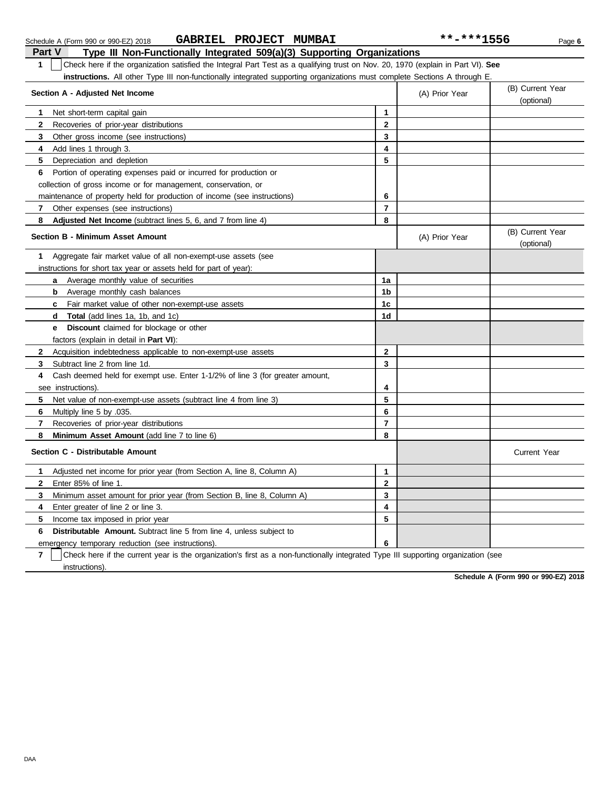| Part V<br>Type III Non-Functionally Integrated 509(a)(3) Supporting Organizations                                                     |                |                |                                |
|---------------------------------------------------------------------------------------------------------------------------------------|----------------|----------------|--------------------------------|
| Check here if the organization satisfied the Integral Part Test as a qualifying trust on Nov. 20, 1970 (explain in Part VI). See<br>1 |                |                |                                |
| <b>instructions.</b> All other Type III non-functionally integrated supporting organizations must complete Sections A through E.      |                |                |                                |
| Section A - Adjusted Net Income                                                                                                       |                | (A) Prior Year | (B) Current Year               |
|                                                                                                                                       |                |                | (optional)                     |
| Net short-term capital gain<br>1                                                                                                      | 1              |                |                                |
| Recoveries of prior-year distributions<br>$\mathbf{2}$                                                                                | $\mathbf{2}$   |                |                                |
| 3<br>Other gross income (see instructions)                                                                                            | 3              |                |                                |
| Add lines 1 through 3.<br>4                                                                                                           | 4              |                |                                |
| 5 Depreciation and depletion                                                                                                          | 5              |                |                                |
| Portion of operating expenses paid or incurred for production or<br>6.                                                                |                |                |                                |
| collection of gross income or for management, conservation, or                                                                        |                |                |                                |
| maintenance of property held for production of income (see instructions)                                                              | 6              |                |                                |
| 7.<br>Other expenses (see instructions)                                                                                               | $\overline{7}$ |                |                                |
| 8<br>Adjusted Net Income (subtract lines 5, 6, and 7 from line 4)                                                                     | 8              |                |                                |
| <b>Section B - Minimum Asset Amount</b>                                                                                               |                | (A) Prior Year | (B) Current Year<br>(optional) |
| Aggregate fair market value of all non-exempt-use assets (see<br>1                                                                    |                |                |                                |
| instructions for short tax year or assets held for part of year):                                                                     |                |                |                                |
| <b>a</b> Average monthly value of securities                                                                                          | 1a             |                |                                |
| Average monthly cash balances<br>b                                                                                                    | 1b             |                |                                |
| <b>c</b> Fair market value of other non-exempt-use assets                                                                             | 1c             |                |                                |
| <b>d</b> Total (add lines 1a, 1b, and 1c)                                                                                             | 1d             |                |                                |
| <b>Discount</b> claimed for blockage or other<br>е                                                                                    |                |                |                                |
| factors (explain in detail in <b>Part VI</b> ):                                                                                       |                |                |                                |
| $\mathbf{2}$<br>Acquisition indebtedness applicable to non-exempt-use assets                                                          | $\mathbf 2$    |                |                                |
| 3<br>Subtract line 2 from line 1d.                                                                                                    | 3              |                |                                |
| Cash deemed held for exempt use. Enter 1-1/2% of line 3 (for greater amount,<br>4                                                     |                |                |                                |
| see instructions).                                                                                                                    | 4              |                |                                |
| 5.<br>Net value of non-exempt-use assets (subtract line 4 from line 3)                                                                | 5              |                |                                |
| 6<br>Multiply line 5 by .035.                                                                                                         | 6              |                |                                |
| 7<br>Recoveries of prior-year distributions                                                                                           | $\overline{7}$ |                |                                |
| Minimum Asset Amount (add line 7 to line 6)<br>8                                                                                      | 8              |                |                                |
| Section C - Distributable Amount                                                                                                      |                |                | <b>Current Year</b>            |
| Adjusted net income for prior year (from Section A, line 8, Column A)<br>1                                                            | $\mathbf{1}$   |                |                                |
| Enter 85% of line 1.<br>$\mathbf{2}$                                                                                                  | $\mathbf{2}$   |                |                                |
| 3<br>Minimum asset amount for prior year (from Section B, line 8, Column A)                                                           | 3              |                |                                |
| Enter greater of line 2 or line 3.<br>4                                                                                               | 4              |                |                                |
| 5<br>Income tax imposed in prior year                                                                                                 | 5              |                |                                |
| Distributable Amount. Subtract line 5 from line 4, unless subject to<br>6                                                             |                |                |                                |
| emergency temporary reduction (see instructions)                                                                                      | 6              |                |                                |

Schedule A (Form 990 or 990-EZ) 2018 Page **6 GABRIEL PROJECT MUMBAI \*\*-\*\*\*1556**

**7** | Check here if the current year is the organization's first as a non-functionally integrated Type III supporting organization (see instructions).

**Schedule A (Form 990 or 990-EZ) 2018**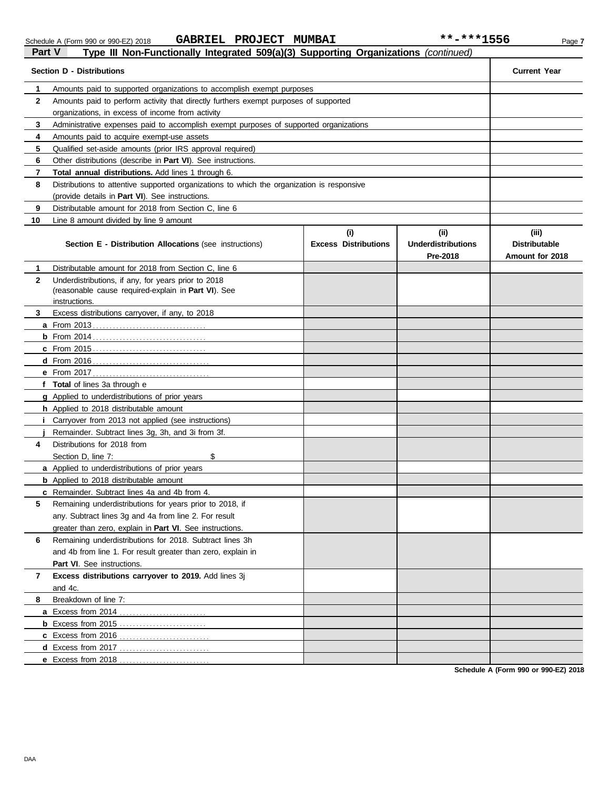|              | rypo in Non ranouonany integratoa ovo $\alpha$ /o/ oapporting organizationo (continuoc<br><b>Section D - Distributions</b>  |                             |                                       | <b>Current Year</b>                     |
|--------------|-----------------------------------------------------------------------------------------------------------------------------|-----------------------------|---------------------------------------|-----------------------------------------|
| 1            | Amounts paid to supported organizations to accomplish exempt purposes                                                       |                             |                                       |                                         |
| $\mathbf{2}$ | Amounts paid to perform activity that directly furthers exempt purposes of supported                                        |                             |                                       |                                         |
|              | organizations, in excess of income from activity                                                                            |                             |                                       |                                         |
| 3            | Administrative expenses paid to accomplish exempt purposes of supported organizations                                       |                             |                                       |                                         |
| 4            | Amounts paid to acquire exempt-use assets                                                                                   |                             |                                       |                                         |
| 5            | Qualified set-aside amounts (prior IRS approval required)                                                                   |                             |                                       |                                         |
| 6            | Other distributions (describe in Part VI). See instructions.                                                                |                             |                                       |                                         |
| 7            | Total annual distributions. Add lines 1 through 6.                                                                          |                             |                                       |                                         |
| 8            | Distributions to attentive supported organizations to which the organization is responsive                                  |                             |                                       |                                         |
|              | (provide details in Part VI). See instructions.                                                                             |                             |                                       |                                         |
| 9            | Distributable amount for 2018 from Section C, line 6                                                                        |                             |                                       |                                         |
| 10           | Line 8 amount divided by line 9 amount                                                                                      |                             |                                       |                                         |
|              |                                                                                                                             | (i)                         | (ii)                                  | (iii)                                   |
|              | <b>Section E - Distribution Allocations (see instructions)</b>                                                              | <b>Excess Distributions</b> | <b>Underdistributions</b><br>Pre-2018 | <b>Distributable</b><br>Amount for 2018 |
| 1            | Distributable amount for 2018 from Section C, line 6                                                                        |                             |                                       |                                         |
| $\mathbf{2}$ | Underdistributions, if any, for years prior to 2018<br>(reasonable cause required-explain in Part VI). See<br>instructions. |                             |                                       |                                         |
| 3            | Excess distributions carryover, if any, to 2018                                                                             |                             |                                       |                                         |
|              |                                                                                                                             |                             |                                       |                                         |
|              |                                                                                                                             |                             |                                       |                                         |
|              |                                                                                                                             |                             |                                       |                                         |
|              |                                                                                                                             |                             |                                       |                                         |
|              | <b>e</b> From 2017                                                                                                          |                             |                                       |                                         |
|              | f Total of lines 3a through e                                                                                               |                             |                                       |                                         |
|              | g Applied to underdistributions of prior years                                                                              |                             |                                       |                                         |
|              | h Applied to 2018 distributable amount                                                                                      |                             |                                       |                                         |
|              | Carryover from 2013 not applied (see instructions)                                                                          |                             |                                       |                                         |
|              | Remainder. Subtract lines 3g, 3h, and 3i from 3f.                                                                           |                             |                                       |                                         |
| 4            | Distributions for 2018 from                                                                                                 |                             |                                       |                                         |
|              | Section D, line 7:<br>\$                                                                                                    |                             |                                       |                                         |
|              | a Applied to underdistributions of prior years                                                                              |                             |                                       |                                         |
|              | <b>b</b> Applied to 2018 distributable amount                                                                               |                             |                                       |                                         |
|              | c Remainder. Subtract lines 4a and 4b from 4.                                                                               |                             |                                       |                                         |
| 5            | Remaining underdistributions for years prior to 2018, if                                                                    |                             |                                       |                                         |
|              | any. Subtract lines 3g and 4a from line 2. For result                                                                       |                             |                                       |                                         |
|              | greater than zero, explain in Part VI. See instructions.                                                                    |                             |                                       |                                         |
| 6            | Remaining underdistributions for 2018. Subtract lines 3h                                                                    |                             |                                       |                                         |
|              | and 4b from line 1. For result greater than zero, explain in                                                                |                             |                                       |                                         |
|              | Part VI. See instructions.                                                                                                  |                             |                                       |                                         |
| 7            | Excess distributions carryover to 2019. Add lines 3j                                                                        |                             |                                       |                                         |
|              | and 4c.                                                                                                                     |                             |                                       |                                         |
| 8            | Breakdown of line 7:                                                                                                        |                             |                                       |                                         |
|              | a Excess from 2014                                                                                                          |                             |                                       |                                         |
|              | <b>b</b> Excess from 2015                                                                                                   |                             |                                       |                                         |
|              | c Excess from 2016                                                                                                          |                             |                                       |                                         |
|              | d Excess from 2017                                                                                                          |                             |                                       |                                         |
|              | e Excess from 2018                                                                                                          |                             |                                       |                                         |

**Schedule A (Form 990 or 990-EZ) 2018**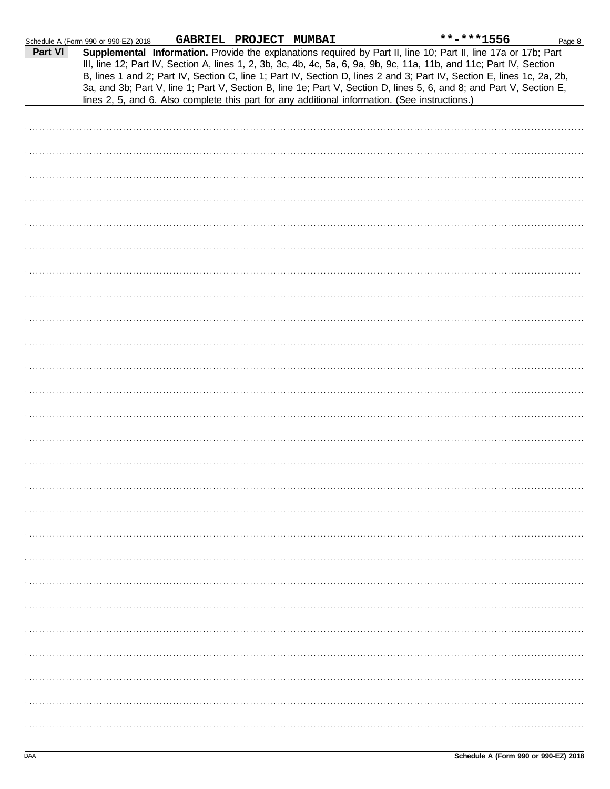|         | Schedule A (Form 990 or 990-EZ) 2018 | GABRIEL PROJECT MUMBAI |                                                                                                | **-***1556                                                                                                                                                                                                                                                                                                                                                                                                                                                                                | Page 8 |
|---------|--------------------------------------|------------------------|------------------------------------------------------------------------------------------------|-------------------------------------------------------------------------------------------------------------------------------------------------------------------------------------------------------------------------------------------------------------------------------------------------------------------------------------------------------------------------------------------------------------------------------------------------------------------------------------------|--------|
| Part VI |                                      |                        | lines 2, 5, and 6. Also complete this part for any additional information. (See instructions.) | Supplemental Information. Provide the explanations required by Part II, line 10; Part II, line 17a or 17b; Part<br>III, line 12; Part IV, Section A, lines 1, 2, 3b, 3c, 4b, 4c, 5a, 6, 9a, 9b, 9c, 11a, 11b, and 11c; Part IV, Section<br>B, lines 1 and 2; Part IV, Section C, line 1; Part IV, Section D, lines 2 and 3; Part IV, Section E, lines 1c, 2a, 2b,<br>3a, and 3b; Part V, line 1; Part V, Section B, line 1e; Part V, Section D, lines 5, 6, and 8; and Part V, Section E, |        |
|         |                                      |                        |                                                                                                |                                                                                                                                                                                                                                                                                                                                                                                                                                                                                           |        |
|         |                                      |                        |                                                                                                |                                                                                                                                                                                                                                                                                                                                                                                                                                                                                           |        |
|         |                                      |                        |                                                                                                |                                                                                                                                                                                                                                                                                                                                                                                                                                                                                           |        |
|         |                                      |                        |                                                                                                |                                                                                                                                                                                                                                                                                                                                                                                                                                                                                           |        |
|         |                                      |                        |                                                                                                |                                                                                                                                                                                                                                                                                                                                                                                                                                                                                           |        |
|         |                                      |                        |                                                                                                |                                                                                                                                                                                                                                                                                                                                                                                                                                                                                           |        |
|         |                                      |                        |                                                                                                |                                                                                                                                                                                                                                                                                                                                                                                                                                                                                           |        |
|         |                                      |                        |                                                                                                |                                                                                                                                                                                                                                                                                                                                                                                                                                                                                           |        |
|         |                                      |                        |                                                                                                |                                                                                                                                                                                                                                                                                                                                                                                                                                                                                           |        |
|         |                                      |                        |                                                                                                |                                                                                                                                                                                                                                                                                                                                                                                                                                                                                           |        |
|         |                                      |                        |                                                                                                |                                                                                                                                                                                                                                                                                                                                                                                                                                                                                           |        |
|         |                                      |                        |                                                                                                |                                                                                                                                                                                                                                                                                                                                                                                                                                                                                           |        |
|         |                                      |                        |                                                                                                |                                                                                                                                                                                                                                                                                                                                                                                                                                                                                           |        |
|         |                                      |                        |                                                                                                |                                                                                                                                                                                                                                                                                                                                                                                                                                                                                           |        |
|         |                                      |                        |                                                                                                |                                                                                                                                                                                                                                                                                                                                                                                                                                                                                           |        |
|         |                                      |                        |                                                                                                |                                                                                                                                                                                                                                                                                                                                                                                                                                                                                           |        |
|         |                                      |                        |                                                                                                |                                                                                                                                                                                                                                                                                                                                                                                                                                                                                           |        |
|         |                                      |                        |                                                                                                |                                                                                                                                                                                                                                                                                                                                                                                                                                                                                           |        |
|         |                                      |                        |                                                                                                |                                                                                                                                                                                                                                                                                                                                                                                                                                                                                           |        |
|         |                                      |                        |                                                                                                |                                                                                                                                                                                                                                                                                                                                                                                                                                                                                           |        |
|         |                                      |                        |                                                                                                |                                                                                                                                                                                                                                                                                                                                                                                                                                                                                           |        |
|         |                                      |                        |                                                                                                |                                                                                                                                                                                                                                                                                                                                                                                                                                                                                           |        |
|         |                                      |                        |                                                                                                |                                                                                                                                                                                                                                                                                                                                                                                                                                                                                           |        |
|         |                                      |                        |                                                                                                |                                                                                                                                                                                                                                                                                                                                                                                                                                                                                           |        |
|         |                                      |                        |                                                                                                |                                                                                                                                                                                                                                                                                                                                                                                                                                                                                           |        |
|         |                                      |                        |                                                                                                |                                                                                                                                                                                                                                                                                                                                                                                                                                                                                           |        |
|         |                                      |                        |                                                                                                |                                                                                                                                                                                                                                                                                                                                                                                                                                                                                           |        |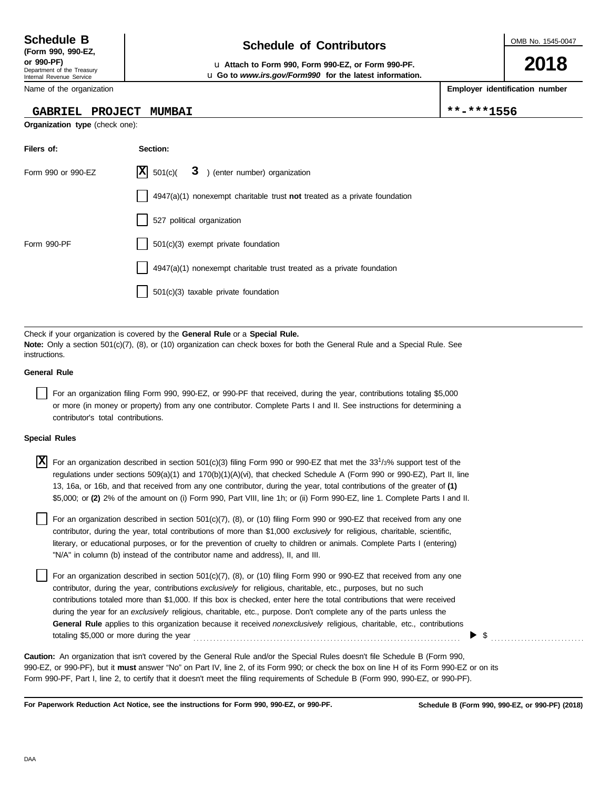Department of the Treasury Internal Revenue Service **(Form 990, 990-EZ,**

Name of the organization

### **GABRIEL PROJECT MUMBAI \*\*-\*\*\*1556**

**Organization type** (check one):

**Filers of: Section:**

## **Schedule of Contributors Schedule B**

**or 990-PF)** u **Attach to Form 990, Form 990-EZ, or Form 990-PF.** u **Go to** *www.irs.gov/Form990* **for the latest information.** OMB No. 1545-0047

**2018**

**Employer identification number**

| Form 990 or 990-EZ                 | 501(c)<br>3<br>) (enter number) organization                                                                                                                                                                                                                                                                                                                                                                                                                                                                                                                                                                              |
|------------------------------------|---------------------------------------------------------------------------------------------------------------------------------------------------------------------------------------------------------------------------------------------------------------------------------------------------------------------------------------------------------------------------------------------------------------------------------------------------------------------------------------------------------------------------------------------------------------------------------------------------------------------------|
|                                    | $4947(a)(1)$ nonexempt charitable trust not treated as a private foundation                                                                                                                                                                                                                                                                                                                                                                                                                                                                                                                                               |
|                                    | 527 political organization                                                                                                                                                                                                                                                                                                                                                                                                                                                                                                                                                                                                |
| Form 990-PF                        | $501(c)(3)$ exempt private foundation                                                                                                                                                                                                                                                                                                                                                                                                                                                                                                                                                                                     |
|                                    | 4947(a)(1) nonexempt charitable trust treated as a private foundation                                                                                                                                                                                                                                                                                                                                                                                                                                                                                                                                                     |
|                                    | 501(c)(3) taxable private foundation                                                                                                                                                                                                                                                                                                                                                                                                                                                                                                                                                                                      |
|                                    |                                                                                                                                                                                                                                                                                                                                                                                                                                                                                                                                                                                                                           |
| instructions.                      | Check if your organization is covered by the General Rule or a Special Rule.<br><b>Note:</b> Only a section 501(c)(7), (8), or (10) organization can check boxes for both the General Rule and a Special Rule. See                                                                                                                                                                                                                                                                                                                                                                                                        |
| <b>General Rule</b>                |                                                                                                                                                                                                                                                                                                                                                                                                                                                                                                                                                                                                                           |
| contributor's total contributions. | For an organization filing Form 990, 990-EZ, or 990-PF that received, during the year, contributions totaling \$5,000<br>or more (in money or property) from any one contributor. Complete Parts I and II. See instructions for determining a                                                                                                                                                                                                                                                                                                                                                                             |
| <b>Special Rules</b>               |                                                                                                                                                                                                                                                                                                                                                                                                                                                                                                                                                                                                                           |
| X                                  | For an organization described in section 501(c)(3) filing Form 990 or 990-EZ that met the 33 $\frac{1}{3}$ % support test of the<br>regulations under sections $509(a)(1)$ and $170(b)(1)(A)(vi)$ , that checked Schedule A (Form 990 or 990-EZ), Part II, line<br>13, 16a, or 16b, and that received from any one contributor, during the year, total contributions of the greater of (1)<br>\$5,000; or (2) 2% of the amount on (i) Form 990, Part VIII, line 1h; or (ii) Form 990-EZ, line 1. Complete Parts I and II.                                                                                                 |
|                                    | For an organization described in section $501(c)(7)$ , (8), or (10) filing Form 990 or 990-EZ that received from any one<br>contributor, during the year, total contributions of more than \$1,000 exclusively for religious, charitable, scientific,<br>literary, or educational purposes, or for the prevention of cruelty to children or animals. Complete Parts I (entering)<br>"N/A" in column (b) instead of the contributor name and address), II, and III.                                                                                                                                                        |
|                                    | For an organization described in section 501(c)(7), (8), or (10) filing Form 990 or 990-EZ that received from any one<br>contributor, during the year, contributions exclusively for religious, charitable, etc., purposes, but no such<br>contributions totaled more than \$1,000. If this box is checked, enter here the total contributions that were received<br>during the year for an exclusively religious, charitable, etc., purpose. Don't complete any of the parts unless the<br>General Rule applies to this organization because it received nonexclusively religious, charitable, etc., contributions<br>\$ |
|                                    | <b>Caution:</b> An organization that isn't covered by the General Rule and/or the Special Rules doesn't file Schedule B (Form 990,<br>990-EZ. or 990-PF), but it <b>must</b> answer "No" on Part IV. line 2, of its Form 990: or check the box on line H of its Form 990-EZ or on its                                                                                                                                                                                                                                                                                                                                     |

**For Paperwork Reduction Act Notice, see the instructions for Form 990, 990-EZ, or 990-PF.**

Form 990-PF, Part I, line 2, to certify that it doesn't meet the filing requirements of Schedule B (Form 990, 990-EZ, or 990-PF).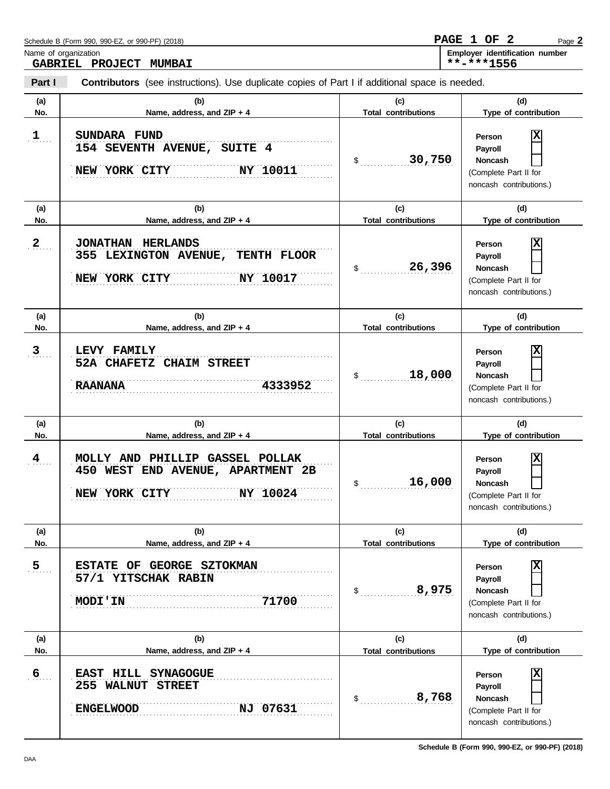|                                                                                                                 | Name of organization<br><b>GABRIEL PROJECT</b><br><b>MUMBAI</b>                 |                            | Employer identification number<br>**-***1556                                                 |  |  |  |  |  |
|-----------------------------------------------------------------------------------------------------------------|---------------------------------------------------------------------------------|----------------------------|----------------------------------------------------------------------------------------------|--|--|--|--|--|
| Part I<br><b>Contributors</b> (see instructions). Use duplicate copies of Part I if additional space is needed. |                                                                                 |                            |                                                                                              |  |  |  |  |  |
| (a)                                                                                                             | (b)                                                                             | (c)                        | (d)                                                                                          |  |  |  |  |  |
| No.                                                                                                             | Name, address, and ZIP + 4                                                      | <b>Total contributions</b> | Type of contribution                                                                         |  |  |  |  |  |
| $\overline{1}$                                                                                                  | SUNDARA FUND<br>154 SEVENTH AVENUE, SUITE 4<br><b>NY 10011</b><br>NEW YORK CITY | 30,750                     | x<br>Person<br>Payroll<br><b>Noncash</b><br>(Complete Part II for<br>noncash contributions.) |  |  |  |  |  |
| (a)                                                                                                             | (b)                                                                             | (c)                        | (d)                                                                                          |  |  |  |  |  |
| No.                                                                                                             | Name, address, and ZIP + 4                                                      | <b>Total contributions</b> | Type of contribution                                                                         |  |  |  |  |  |
| 2                                                                                                               | JONATHAN HERLANDS<br>355 LEXINGTON AVENUE, TENTH FLOOR                          | 26,396<br>S                | x<br>Person<br><b>Payroll</b><br><b>Noncash</b>                                              |  |  |  |  |  |
|                                                                                                                 | NY 10017<br>NEW YORK CITY                                                       |                            | (Complete Part II for<br>noncash contributions.)                                             |  |  |  |  |  |

| (a)            | (b)                                                                                               | (c)                        | (d)                                                                                          |  |
|----------------|---------------------------------------------------------------------------------------------------|----------------------------|----------------------------------------------------------------------------------------------|--|
| No.            | Name, address, and ZIP + 4                                                                        | <b>Total contributions</b> | Type of contribution                                                                         |  |
| 3 <sub>1</sub> | LEVY FAMILY<br>52A CHAFETZ CHAIM STREET<br>4333952<br><b>RAANANA</b>                              | 18,000<br>$\sim$           | X<br>Person<br>Payroll<br><b>Noncash</b><br>(Complete Part II for<br>noncash contributions.) |  |
| (a)            | (b)                                                                                               | (c)                        | (d)                                                                                          |  |
| No.            | Name, address, and ZIP + 4                                                                        | <b>Total contributions</b> | Type of contribution                                                                         |  |
| $\frac{4}{1}$  | MOLLY AND PHILLIP GASSEL POLLAK<br>450 WEST END AVENUE, APARTMENT 2B<br>NEW YORK CITY<br>NY 10024 | 16,000<br>$\mathbb{S}$     | x<br>Person<br>Payroll<br><b>Noncash</b><br>(Complete Part II for<br>noncash contributions.) |  |
| (a)            | (b)                                                                                               | (c)                        | (d)                                                                                          |  |
| No.            | Name, address, and ZIP + 4                                                                        | <b>Total contributions</b> | Type of contribution                                                                         |  |
| 5 <sub>1</sub> | ESTATE OF GEORGE SZTOKMAN<br>57/1 YITSCHAK RABIN<br>71700<br><b>MODI'IN</b>                       | 8,975<br>$\$\$             | X<br>Person<br>Payroll<br><b>Noncash</b><br>(Complete Part II for<br>noncash contributions.) |  |
| (a)            | (b)                                                                                               | (c)                        | (d)                                                                                          |  |
| No.            | Name, address, and ZIP + 4                                                                        | <b>Total contributions</b> | Type of contribution                                                                         |  |
| 6 <sub>1</sub> | <b>HILL SYNAGOGUE</b><br><b>EAST</b><br>255 WALNUT<br>STREET<br><b>ENGELWOOD</b><br>NJ 07631      | 8,768<br>\$                | X<br>Person<br>Payroll<br><b>Noncash</b><br>(Complete Part II for<br>noncash contributions.) |  |

**Schedule B (Form 990, 990-EZ, or 990-PF) (2018)**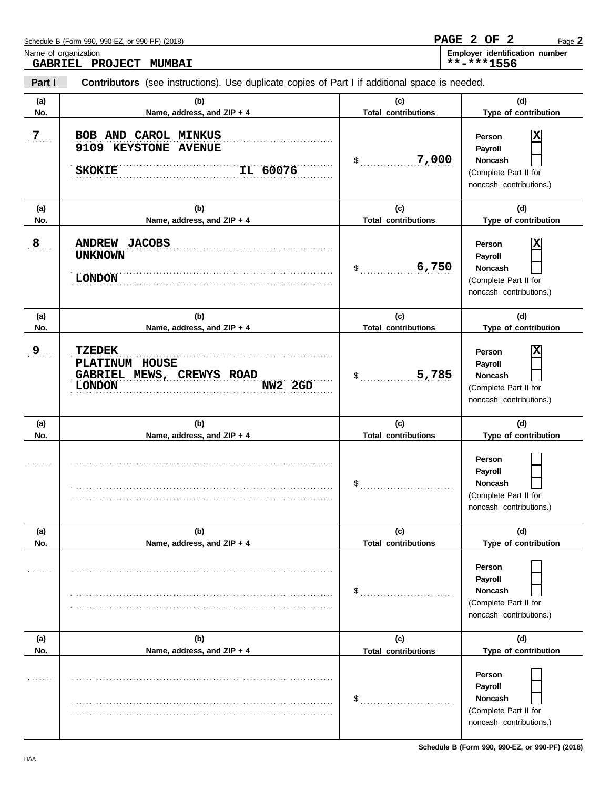| Name of organization        | GABRIEL PROJECT<br><b>MUMBAI</b>                                                                      |                                                      | Employer identification number<br>**-***1556                                                                         |
|-----------------------------|-------------------------------------------------------------------------------------------------------|------------------------------------------------------|----------------------------------------------------------------------------------------------------------------------|
| Part I                      | <b>Contributors</b> (see instructions). Use duplicate copies of Part I if additional space is needed. |                                                      |                                                                                                                      |
| (a)<br>No.                  | (b)<br>Name, address, and ZIP + 4                                                                     | (c)<br><b>Total contributions</b>                    | (d)<br>Type of contribution                                                                                          |
| $\overline{Z}$ .            | BOB AND CAROL MINKUS<br>9109 KEYSTONE AVENUE<br>IL 60076<br><b>SKOKIE</b>                             | 7,000<br>\$                                          | X<br>Person<br>Payroll<br><b>Noncash</b><br>(Complete Part II for<br>noncash contributions.)                         |
| (a)                         | (b)                                                                                                   | (c)                                                  | (d)                                                                                                                  |
| No.<br>$\mathbf{8}_{\dots}$ | Name, address, and ZIP + 4<br>ANDREW JACOBS<br><b>UNKNOWN</b><br><b>LONDON</b>                        | <b>Total contributions</b><br>6,750<br>$\frac{1}{2}$ | Type of contribution<br>X<br>Person<br>Payroll<br><b>Noncash</b><br>(Complete Part II for<br>noncash contributions.) |
| (a)<br>No.                  | (b)<br>Name, address, and ZIP + 4                                                                     | (c)<br><b>Total contributions</b>                    | (d)<br>Type of contribution                                                                                          |
| $9_{\ldots}$                | <b>TZEDEK</b><br>PLATINUM HOUSE<br>GABRIEL MEWS, CREWYS ROAD<br><b>LONDON</b><br>NW2 2GD              | 5,785<br>\$                                          | X<br>Person<br>Payroll<br>Noncash<br>(Complete Part II for<br>noncash contributions.)                                |
| (a)<br>No.                  | (b)<br>Name, address, and ZIP + 4                                                                     | (c)<br><b>Total contributions</b>                    | (d)<br>Type of contribution                                                                                          |
|                             |                                                                                                       | $\mathsf{\$}$                                        | Person<br>Payroll<br><b>Noncash</b><br>(Complete Part II for<br>noncash contributions.)                              |
| (a)                         | (b)                                                                                                   | (c)                                                  | (d)                                                                                                                  |
| No.                         | Name, address, and ZIP + 4                                                                            | <b>Total contributions</b>                           | Type of contribution                                                                                                 |
| 1.1.1.1.1                   |                                                                                                       | $\mathsf{\$}$                                        | Person<br>Payroll<br><b>Noncash</b><br>(Complete Part II for<br>noncash contributions.)                              |
| (a)                         | (b)                                                                                                   | (c)                                                  | (d)                                                                                                                  |
| No.<br>1.1.1.1.1            | Name, address, and ZIP + 4                                                                            | <b>Total contributions</b><br>$\mathsf{\$}$          | Type of contribution<br>Person<br>Payroll<br>Noncash<br>(Complete Part II for<br>noncash contributions.)             |

Page **2**

**PAGE 2 OF 2**

Schedule B (Form 990, 990-EZ, or 990-PF) (2018)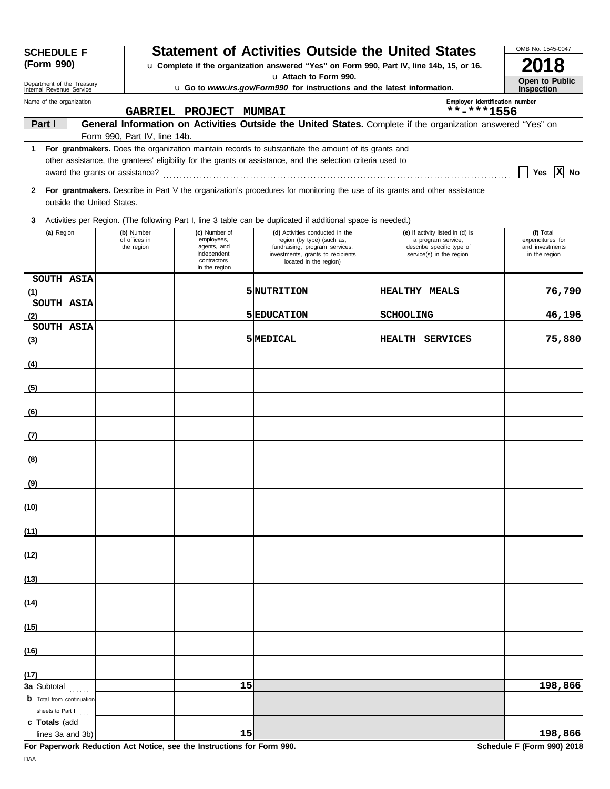| <b>SCHEDULE F</b>                                                                                                                  |                                                                                                                   |                                                                                           |                                              | <b>Statement of Activities Outside the United States</b>                                                                                                       |                                                                                                                 |  | OMB No. 1545-0047                                                 |
|------------------------------------------------------------------------------------------------------------------------------------|-------------------------------------------------------------------------------------------------------------------|-------------------------------------------------------------------------------------------|----------------------------------------------|----------------------------------------------------------------------------------------------------------------------------------------------------------------|-----------------------------------------------------------------------------------------------------------------|--|-------------------------------------------------------------------|
| (Form 990)                                                                                                                         | u Complete if the organization answered "Yes" on Form 990, Part IV, line 14b, 15, or 16.<br>u Attach to Form 990. |                                                                                           |                                              |                                                                                                                                                                |                                                                                                                 |  | 018                                                               |
| Department of the Treasury<br>u Go to www.irs.gov/Form990 for instructions and the latest information.<br>Internal Revenue Service |                                                                                                                   |                                                                                           |                                              |                                                                                                                                                                |                                                                                                                 |  | Open to Public<br><b>Inspection</b>                               |
| Name of the organization                                                                                                           |                                                                                                                   | GABRIEL PROJECT MUMBAI                                                                    | Employer identification number<br>**-***1556 |                                                                                                                                                                |                                                                                                                 |  |                                                                   |
| Part I                                                                                                                             |                                                                                                                   |                                                                                           |                                              | General Information on Activities Outside the United States. Complete if the organization answered "Yes" on                                                    |                                                                                                                 |  |                                                                   |
| 1.                                                                                                                                 | Form 990, Part IV, line 14b.                                                                                      |                                                                                           |                                              | For grantmakers. Does the organization maintain records to substantiate the amount of its grants and                                                           |                                                                                                                 |  |                                                                   |
|                                                                                                                                    |                                                                                                                   |                                                                                           |                                              | other assistance, the grantees' eligibility for the grants or assistance, and the selection criteria used to                                                   |                                                                                                                 |  | Yes $ X $ No                                                      |
| 2<br>outside the United States.                                                                                                    |                                                                                                                   |                                                                                           |                                              | For grantmakers. Describe in Part V the organization's procedures for monitoring the use of its grants and other assistance                                    |                                                                                                                 |  |                                                                   |
| 3                                                                                                                                  |                                                                                                                   |                                                                                           |                                              | Activities per Region. (The following Part I, line 3 table can be duplicated if additional space is needed.)                                                   |                                                                                                                 |  |                                                                   |
| (a) Region                                                                                                                         | (b) Number<br>of offices in<br>the region                                                                         | (c) Number of<br>employees,<br>agents, and<br>independent<br>contractors<br>in the region |                                              | (d) Activities conducted in the<br>region (by type) (such as,<br>fundraising, program services,<br>investments, grants to recipients<br>located in the region) | (e) If activity listed in (d) is<br>a program service,<br>describe specific type of<br>service(s) in the region |  | (f) Total<br>expenditures for<br>and investments<br>in the region |
| SOUTH ASIA<br>(1)                                                                                                                  |                                                                                                                   |                                                                                           |                                              | 5 NUTRITION                                                                                                                                                    | <b>HEALTHY MEALS</b>                                                                                            |  | 76,790                                                            |
| SOUTH ASIA                                                                                                                         |                                                                                                                   |                                                                                           |                                              |                                                                                                                                                                |                                                                                                                 |  |                                                                   |
| (2)<br>SOUTH ASIA                                                                                                                  |                                                                                                                   |                                                                                           |                                              | 5 EDUCATION                                                                                                                                                    | <b>SCHOOLING</b>                                                                                                |  | 46,196                                                            |
| (3)                                                                                                                                |                                                                                                                   |                                                                                           |                                              | 5 MEDICAL                                                                                                                                                      | HEALTH SERVICES                                                                                                 |  | 75,880                                                            |
| (4)                                                                                                                                |                                                                                                                   |                                                                                           |                                              |                                                                                                                                                                |                                                                                                                 |  |                                                                   |
| (5)                                                                                                                                |                                                                                                                   |                                                                                           |                                              |                                                                                                                                                                |                                                                                                                 |  |                                                                   |
| (6)                                                                                                                                |                                                                                                                   |                                                                                           |                                              |                                                                                                                                                                |                                                                                                                 |  |                                                                   |
| (7)                                                                                                                                |                                                                                                                   |                                                                                           |                                              |                                                                                                                                                                |                                                                                                                 |  |                                                                   |
| (8)                                                                                                                                |                                                                                                                   |                                                                                           |                                              |                                                                                                                                                                |                                                                                                                 |  |                                                                   |
| <u>(9)</u>                                                                                                                         |                                                                                                                   |                                                                                           |                                              |                                                                                                                                                                |                                                                                                                 |  |                                                                   |
| (10)                                                                                                                               |                                                                                                                   |                                                                                           |                                              |                                                                                                                                                                |                                                                                                                 |  |                                                                   |
| (11)                                                                                                                               |                                                                                                                   |                                                                                           |                                              |                                                                                                                                                                |                                                                                                                 |  |                                                                   |
| (12)                                                                                                                               |                                                                                                                   |                                                                                           |                                              |                                                                                                                                                                |                                                                                                                 |  |                                                                   |
| (13)                                                                                                                               |                                                                                                                   |                                                                                           |                                              |                                                                                                                                                                |                                                                                                                 |  |                                                                   |
| (14)                                                                                                                               |                                                                                                                   |                                                                                           |                                              |                                                                                                                                                                |                                                                                                                 |  |                                                                   |
| (15)                                                                                                                               |                                                                                                                   |                                                                                           |                                              |                                                                                                                                                                |                                                                                                                 |  |                                                                   |
| (16)                                                                                                                               |                                                                                                                   |                                                                                           |                                              |                                                                                                                                                                |                                                                                                                 |  |                                                                   |
| (17)                                                                                                                               |                                                                                                                   |                                                                                           |                                              |                                                                                                                                                                |                                                                                                                 |  |                                                                   |
| 3a Subtotal<br><b>b</b> Total from continuation<br>sheets to Part I                                                                |                                                                                                                   |                                                                                           | 15                                           |                                                                                                                                                                |                                                                                                                 |  | 198,866                                                           |
| c Totals (add<br>lines 3a and 3b)                                                                                                  |                                                                                                                   |                                                                                           | 15                                           |                                                                                                                                                                |                                                                                                                 |  | 198,866                                                           |

**For Paperwork Reduction Act Notice, see the Instructions for Form 990. Schedule F (Form 990) 2018**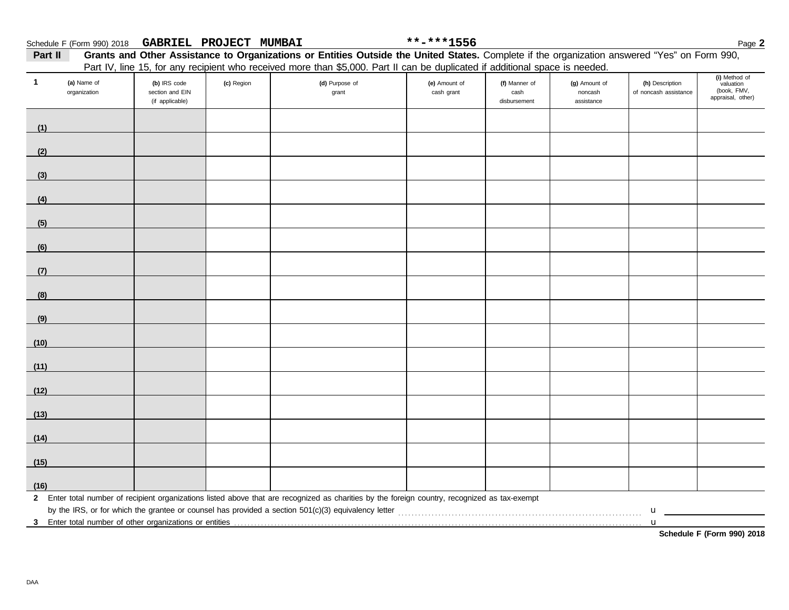| Part II |                                                                                                                              |                                                    |            | Grants and Other Assistance to Organizations or Entities Outside the United States. Complete if the organization answered "Yes" on Form 990, |                             |                                       |                                        |                                          |                                                                |  |  |
|---------|------------------------------------------------------------------------------------------------------------------------------|----------------------------------------------------|------------|----------------------------------------------------------------------------------------------------------------------------------------------|-----------------------------|---------------------------------------|----------------------------------------|------------------------------------------|----------------------------------------------------------------|--|--|
|         | Part IV, line 15, for any recipient who received more than \$5,000. Part II can be duplicated if additional space is needed. |                                                    |            |                                                                                                                                              |                             |                                       |                                        |                                          |                                                                |  |  |
|         | (a) Name of<br>organization                                                                                                  | (b) IRS code<br>section and EIN<br>(if applicable) | (c) Region | (d) Purpose of<br>grant                                                                                                                      | (e) Amount of<br>cash grant | (f) Manner of<br>cash<br>disbursement | (g) Amount of<br>noncash<br>assistance | (h) Description<br>of noncash assistance | (i) Method of<br>valuation<br>(book, FMV,<br>appraisal, other) |  |  |
|         |                                                                                                                              |                                                    |            |                                                                                                                                              |                             |                                       |                                        |                                          |                                                                |  |  |

|               | (ii applicable) |                                                                                                                                                | disputsement | qoolorging |             |  |
|---------------|-----------------|------------------------------------------------------------------------------------------------------------------------------------------------|--------------|------------|-------------|--|
| (1)           |                 |                                                                                                                                                |              |            |             |  |
| (2)           |                 |                                                                                                                                                |              |            |             |  |
| (3)           |                 |                                                                                                                                                |              |            |             |  |
| (4)           |                 |                                                                                                                                                |              |            |             |  |
| $\frac{1}{1}$ |                 |                                                                                                                                                |              |            |             |  |
| (6)           |                 |                                                                                                                                                |              |            |             |  |
| (7)           |                 |                                                                                                                                                |              |            |             |  |
| (8)           |                 |                                                                                                                                                |              |            |             |  |
|               |                 |                                                                                                                                                |              |            |             |  |
| (9)           |                 |                                                                                                                                                |              |            |             |  |
| (10)          |                 |                                                                                                                                                |              |            |             |  |
| (11)          |                 |                                                                                                                                                |              |            |             |  |
| (12)          |                 |                                                                                                                                                |              |            |             |  |
| (13)          |                 |                                                                                                                                                |              |            |             |  |
| (14)          |                 |                                                                                                                                                |              |            |             |  |
| (15)          |                 |                                                                                                                                                |              |            |             |  |
| (16)          |                 |                                                                                                                                                |              |            |             |  |
|               |                 | 2 Enter total number of recipient organizations listed above that are recognized as charities by the foreign country, recognized as tax-exempt |              |            | $\mathbf u$ |  |
|               |                 |                                                                                                                                                |              |            | $\mathbf u$ |  |

**Schedule F (Form 990) 2018**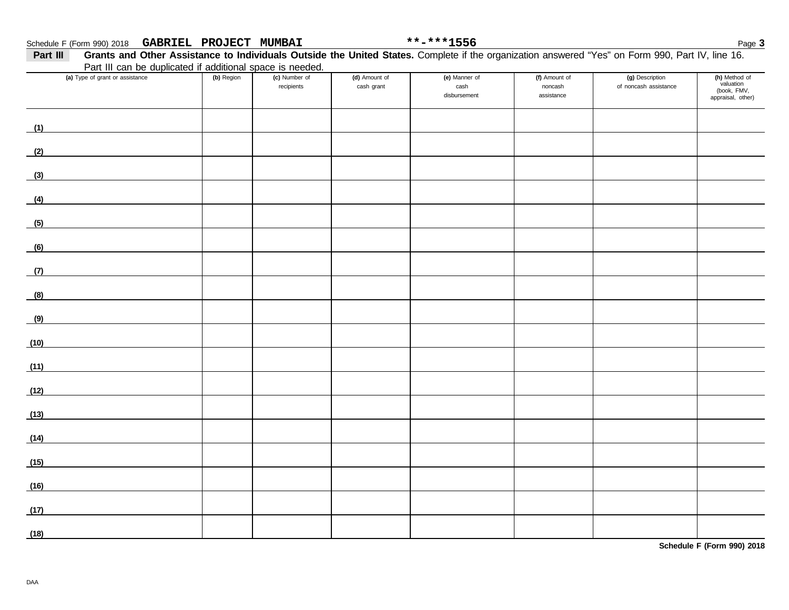| Part III | Grants and Other Assistance to Individuals Outside the United States. Complete if the organization answered "Yes" on Form 990, Part IV, line 16. |            |                             |                             |                                       |                                        |                                          |                                                                |  |
|----------|--------------------------------------------------------------------------------------------------------------------------------------------------|------------|-----------------------------|-----------------------------|---------------------------------------|----------------------------------------|------------------------------------------|----------------------------------------------------------------|--|
|          | Part III can be duplicated if additional space is needed.<br>(a) Type of grant or assistance                                                     | (b) Region | (c) Number of<br>recipients | (d) Amount of<br>cash grant | (e) Manner of<br>cash<br>disbursement | (f) Amount of<br>noncash<br>assistance | (g) Description<br>of noncash assistance | (h) Method of<br>valuation<br>(book, FMV,<br>appraisal, other) |  |
| (1)      |                                                                                                                                                  |            |                             |                             |                                       |                                        |                                          |                                                                |  |
| (2)      |                                                                                                                                                  |            |                             |                             |                                       |                                        |                                          |                                                                |  |
| (3)      |                                                                                                                                                  |            |                             |                             |                                       |                                        |                                          |                                                                |  |
| (4)      |                                                                                                                                                  |            |                             |                             |                                       |                                        |                                          |                                                                |  |
| (5)      |                                                                                                                                                  |            |                             |                             |                                       |                                        |                                          |                                                                |  |
| (6)      |                                                                                                                                                  |            |                             |                             |                                       |                                        |                                          |                                                                |  |
| (7)      | <u> 1989 - Andrea Station Books, amerikansk politiker (</u>                                                                                      |            |                             |                             |                                       |                                        |                                          |                                                                |  |
| (8)      |                                                                                                                                                  |            |                             |                             |                                       |                                        |                                          |                                                                |  |
| (9)      |                                                                                                                                                  |            |                             |                             |                                       |                                        |                                          |                                                                |  |
| (10)     |                                                                                                                                                  |            |                             |                             |                                       |                                        |                                          |                                                                |  |
| (11)     |                                                                                                                                                  |            |                             |                             |                                       |                                        |                                          |                                                                |  |
| (12)     | <u> 1989 - Jan Stein Stein Stein Stein Stein Stein Stein Stein Stein Stein Stein Stein Stein Stein Stein Stein S</u>                             |            |                             |                             |                                       |                                        |                                          |                                                                |  |
| (13)     | <u> 1989 - Andrea Aonaichte ann an t-</u>                                                                                                        |            |                             |                             |                                       |                                        |                                          |                                                                |  |
| (14)     | <u> 1989 - Andrea Station Barbara (b. 1989)</u>                                                                                                  |            |                             |                             |                                       |                                        |                                          |                                                                |  |
| (15)     | <u> 1980 - Jan Samuel Barbara, martin d</u>                                                                                                      |            |                             |                             |                                       |                                        |                                          |                                                                |  |
| (16)     |                                                                                                                                                  |            |                             |                             |                                       |                                        |                                          |                                                                |  |
| (17)     |                                                                                                                                                  |            |                             |                             |                                       |                                        |                                          |                                                                |  |
| (18)     |                                                                                                                                                  |            |                             |                             |                                       |                                        |                                          |                                                                |  |

**Schedule F (Form 990) 2018**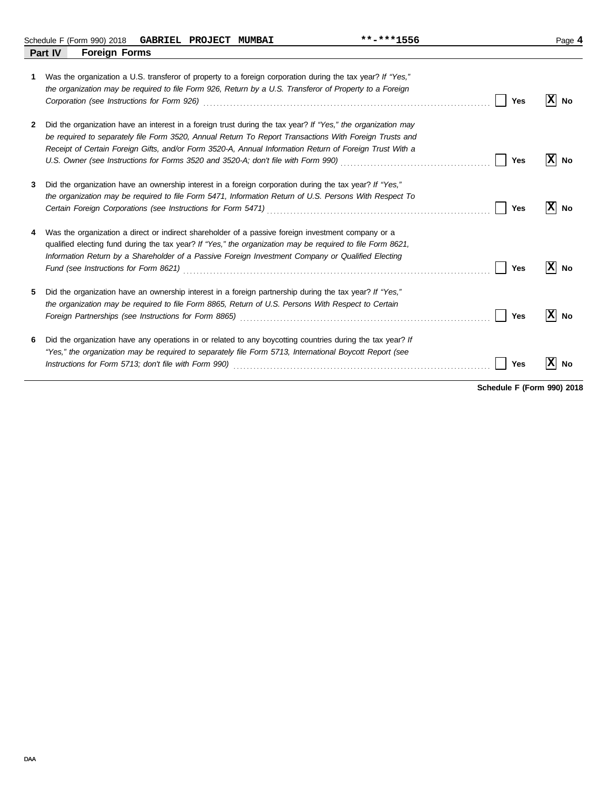Schedule F (Form 990) 2018 Page **4 GABRIEL PROJECT MUMBAI \*\*-\*\*\*1556 Part IV Foreign Forms**

| 1            | Was the organization a U.S. transferor of property to a foreign corporation during the tax year? If "Yes,"<br>the organization may be required to file Form 926, Return by a U.S. Transferor of Property to a Foreign                                                                                                             | Yes | ΙxΙ<br>No        |
|--------------|-----------------------------------------------------------------------------------------------------------------------------------------------------------------------------------------------------------------------------------------------------------------------------------------------------------------------------------|-----|------------------|
| $\mathbf{2}$ | Did the organization have an interest in a foreign trust during the tax year? If "Yes," the organization may<br>be required to separately file Form 3520, Annual Return To Report Transactions With Foreign Trusts and<br>Receipt of Certain Foreign Gifts, and/or Form 3520-A, Annual Information Return of Foreign Trust With a | Yes | ΙxΙ<br>No        |
| 3            | Did the organization have an ownership interest in a foreign corporation during the tax year? If "Yes,"<br>the organization may be required to file Form 5471, Information Return of U.S. Persons With Respect To                                                                                                                 | Yes | lxl<br><b>No</b> |
| 4            | Was the organization a direct or indirect shareholder of a passive foreign investment company or a<br>qualified electing fund during the tax year? If "Yes," the organization may be required to file Form 8621,<br>Information Return by a Shareholder of a Passive Foreign Investment Company or Qualified Electing             | Yes | lxl<br>No        |
| 5            | Did the organization have an ownership interest in a foreign partnership during the tax year? If "Yes,"<br>the organization may be required to file Form 8865, Return of U.S. Persons With Respect to Certain                                                                                                                     | Yes | x <br>No         |
| 6            | Did the organization have any operations in or related to any boycotting countries during the tax year? If<br>"Yes," the organization may be required to separately file Form 5713, International Boycott Report (see                                                                                                             | Yes | <b>No</b>        |

**Schedule F (Form 990) 2018**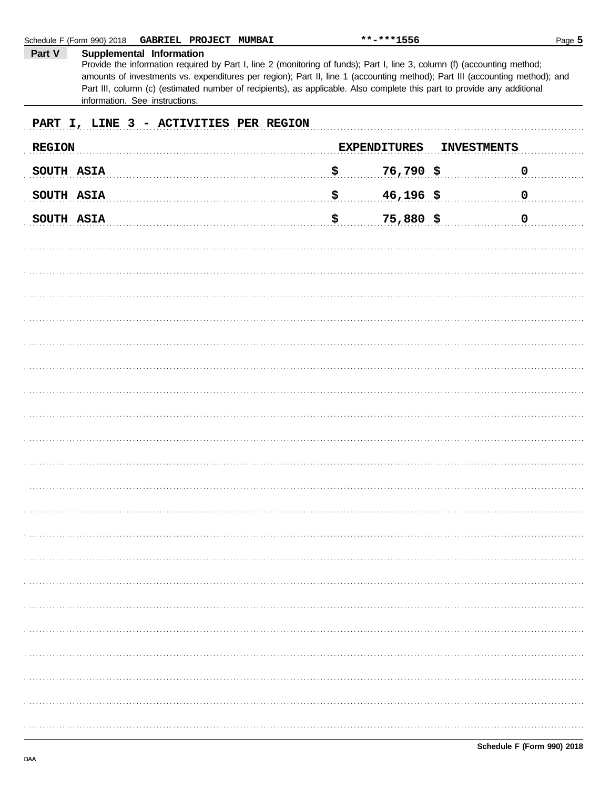|                                        | Schedule F (Form 990) 2018<br>GABRIEL PROJECT MUMBAI                                                                                                                                                                                                                                                                                                                                                                                             |    | **-***1556          |                    | Page 5      |  |  |  |  |
|----------------------------------------|--------------------------------------------------------------------------------------------------------------------------------------------------------------------------------------------------------------------------------------------------------------------------------------------------------------------------------------------------------------------------------------------------------------------------------------------------|----|---------------------|--------------------|-------------|--|--|--|--|
| Part V                                 | Supplemental Information<br>Provide the information required by Part I, line 2 (monitoring of funds); Part I, line 3, column (f) (accounting method;<br>amounts of investments vs. expenditures per region); Part II, line 1 (accounting method); Part III (accounting method); and<br>Part III, column (c) (estimated number of recipients), as applicable. Also complete this part to provide any additional<br>information. See instructions. |    |                     |                    |             |  |  |  |  |
| PART I, LINE 3 - ACTIVITIES PER REGION |                                                                                                                                                                                                                                                                                                                                                                                                                                                  |    |                     |                    |             |  |  |  |  |
| <b>REGION</b>                          |                                                                                                                                                                                                                                                                                                                                                                                                                                                  |    | <b>EXPENDITURES</b> | <b>INVESTMENTS</b> |             |  |  |  |  |
| SOUTH ASIA                             |                                                                                                                                                                                                                                                                                                                                                                                                                                                  | \$ | 76,790 \$           |                    | $\mathbf 0$ |  |  |  |  |
| SOUTH ASIA                             |                                                                                                                                                                                                                                                                                                                                                                                                                                                  | \$ | $46,196$ \$         |                    | $\mathbf 0$ |  |  |  |  |
| SOUTH ASIA                             |                                                                                                                                                                                                                                                                                                                                                                                                                                                  | \$ | $75,880$ \$         |                    | $\mathbf 0$ |  |  |  |  |
|                                        |                                                                                                                                                                                                                                                                                                                                                                                                                                                  |    |                     |                    |             |  |  |  |  |
|                                        |                                                                                                                                                                                                                                                                                                                                                                                                                                                  |    |                     |                    |             |  |  |  |  |
|                                        |                                                                                                                                                                                                                                                                                                                                                                                                                                                  |    |                     |                    |             |  |  |  |  |
|                                        |                                                                                                                                                                                                                                                                                                                                                                                                                                                  |    |                     |                    |             |  |  |  |  |
|                                        |                                                                                                                                                                                                                                                                                                                                                                                                                                                  |    |                     |                    |             |  |  |  |  |
|                                        |                                                                                                                                                                                                                                                                                                                                                                                                                                                  |    |                     |                    |             |  |  |  |  |
|                                        |                                                                                                                                                                                                                                                                                                                                                                                                                                                  |    |                     |                    |             |  |  |  |  |
|                                        |                                                                                                                                                                                                                                                                                                                                                                                                                                                  |    |                     |                    |             |  |  |  |  |
|                                        |                                                                                                                                                                                                                                                                                                                                                                                                                                                  |    |                     |                    |             |  |  |  |  |
|                                        |                                                                                                                                                                                                                                                                                                                                                                                                                                                  |    |                     |                    |             |  |  |  |  |
|                                        |                                                                                                                                                                                                                                                                                                                                                                                                                                                  |    |                     |                    |             |  |  |  |  |
|                                        |                                                                                                                                                                                                                                                                                                                                                                                                                                                  |    |                     |                    |             |  |  |  |  |
|                                        |                                                                                                                                                                                                                                                                                                                                                                                                                                                  |    |                     |                    |             |  |  |  |  |
|                                        |                                                                                                                                                                                                                                                                                                                                                                                                                                                  |    |                     |                    |             |  |  |  |  |
|                                        |                                                                                                                                                                                                                                                                                                                                                                                                                                                  |    |                     |                    |             |  |  |  |  |
|                                        |                                                                                                                                                                                                                                                                                                                                                                                                                                                  |    |                     |                    |             |  |  |  |  |
|                                        |                                                                                                                                                                                                                                                                                                                                                                                                                                                  |    |                     |                    |             |  |  |  |  |
|                                        |                                                                                                                                                                                                                                                                                                                                                                                                                                                  |    |                     |                    |             |  |  |  |  |
|                                        |                                                                                                                                                                                                                                                                                                                                                                                                                                                  |    |                     |                    |             |  |  |  |  |
|                                        |                                                                                                                                                                                                                                                                                                                                                                                                                                                  |    |                     |                    |             |  |  |  |  |
|                                        |                                                                                                                                                                                                                                                                                                                                                                                                                                                  |    |                     |                    |             |  |  |  |  |
|                                        |                                                                                                                                                                                                                                                                                                                                                                                                                                                  |    |                     |                    |             |  |  |  |  |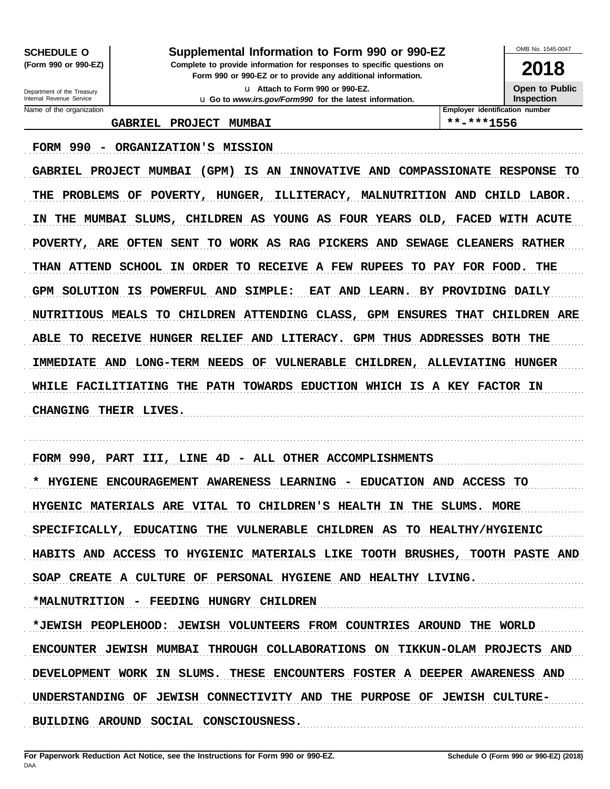**SCHEDULE O** (Form 990 or 990-EZ)

#### Supplemental Information to Form 990 or 990-EZ

Complete to provide information for responses to specific questions on Form 990 or 990-EZ or to provide any additional information.

> u Attach to Form 990 or 990-EZ. u Go to www.irs.gov/Form990 for the latest information.

OMB No. 1545-0047 2018

**Open to Public** Inspection

Department of the Treasury Internal Revenue Service Name of the organization

GABRIEL PROJECT MUMBAI

\*\*-\*\*\*1556

Employer identification number

FORM 990 - ORGANIZATION'S MISSION

GABRIEL PROJECT MUMBAI (GPM) IS AN INNOVATIVE AND COMPASSIONATE RESPONSE TO THE PROBLEMS OF POVERTY, HUNGER, ILLITERACY, MALNUTRITION AND CHILD LABOR. IN THE MUMBAI SLUMS, CHILDREN AS YOUNG AS FOUR YEARS OLD, FACED WITH ACUTE POVERTY, ARE OFTEN SENT TO WORK AS RAG PICKERS AND SEWAGE CLEANERS RATHER THAN ATTEND SCHOOL IN ORDER TO RECEIVE A FEW RUPEES TO PAY FOR FOOD. THE GPM SOLUTION IS POWERFUL AND SIMPLE: EAT AND LEARN. BY PROVIDING DAILY NUTRITIOUS MEALS TO CHILDREN ATTENDING CLASS, GPM ENSURES THAT CHILDREN ARE ABLE TO RECEIVE HUNGER RELIEF AND LITERACY. GPM THUS ADDRESSES BOTH THE IMMEDIATE AND LONG-TERM NEEDS OF VULNERABLE CHILDREN, ALLEVIATING HUNGER WHILE FACILITIATING THE PATH TOWARDS EDUCTION WHICH IS A KEY FACTOR IN CHANGING THEIR LIVES.

FORM 990, PART III, LINE 4D - ALL OTHER ACCOMPLISHMENTS \* HYGIENE ENCOURAGEMENT AWARENESS LEARNING - EDUCATION AND ACCESS TO HYGENIC MATERIALS ARE VITAL TO CHILDREN'S HEALTH IN THE SLUMS. MORE SPECIFICALLY, EDUCATING THE VULNERABLE CHILDREN AS TO HEALTHY/HYGIENIC HABITS AND ACCESS TO HYGIENIC MATERIALS LIKE TOOTH BRUSHES, TOOTH PASTE AND SOAP CREATE A CULTURE OF PERSONAL HYGIENE AND HEALTHY LIVING. \*MALNUTRITION - FEEDING HUNGRY CHILDREN \*JEWISH PEOPLEHOOD: JEWISH VOLUNTEERS FROM COUNTRIES AROUND THE WORLD ENCOUNTER JEWISH MUMBAI THROUGH COLLABORATIONS ON TIKKUN-OLAM PROJECTS AND

DEVELOPMENT WORK IN SLUMS. THESE ENCOUNTERS FOSTER A DEEPER AWARENESS AND

UNDERSTANDING OF JEWISH CONNECTIVITY AND THE PURPOSE OF JEWISH CULTURE-

BUILDING AROUND SOCIAL CONSCIOUSNESS.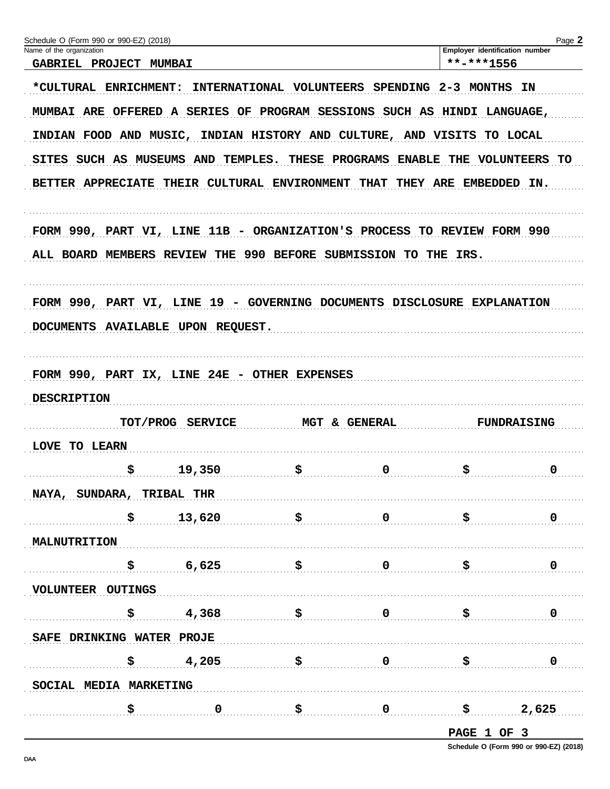| Schedule O (Form 990 or 990-EZ) (2018)                                                                                                               | Page 2                                                                    |  |  |  |  |  |  |  |
|------------------------------------------------------------------------------------------------------------------------------------------------------|---------------------------------------------------------------------------|--|--|--|--|--|--|--|
| Name of the organization<br>GABRIEL PROJECT MUMBAI                                                                                                   | Employer identification number<br>**-***1556                              |  |  |  |  |  |  |  |
| *CULTURAL ENRICHMENT:<br>INTERNATIONAL VOLUNTEERS SPENDING 2-3 MONTHS                                                                                | IN                                                                        |  |  |  |  |  |  |  |
| MUMBAI ARE OFFERED A SERIES OF PROGRAM SESSIONS SUCH AS HINDI LANGUAGE,                                                                              |                                                                           |  |  |  |  |  |  |  |
|                                                                                                                                                      | INDIAN FOOD AND MUSIC, INDIAN HISTORY AND CULTURE, AND VISITS<br>TO LOCAL |  |  |  |  |  |  |  |
| SITES SUCH AS MUSEUMS AND TEMPLES.<br><b>THESE PROGRAMS</b><br><b>ENABLE</b><br>THE VOLUNTEERS TO                                                    |                                                                           |  |  |  |  |  |  |  |
| BETTER APPRECIATE THEIR CULTURAL ENVIRONMENT THAT THEY ARE EMBEDDED IN.                                                                              |                                                                           |  |  |  |  |  |  |  |
| FORM 990, PART VI, LINE 11B - ORGANIZATION'S PROCESS TO REVIEW FORM 990                                                                              |                                                                           |  |  |  |  |  |  |  |
| ALL BOARD MEMBERS REVIEW THE 990 BEFORE SUBMISSION TO THE IRS.                                                                                       |                                                                           |  |  |  |  |  |  |  |
|                                                                                                                                                      |                                                                           |  |  |  |  |  |  |  |
| FORM 990, PART VI, LINE 19 - GOVERNING DOCUMENTS DISCLOSURE EXPLANATION                                                                              |                                                                           |  |  |  |  |  |  |  |
| DOCUMENTS AVAILABLE UPON REQUEST.                                                                                                                    |                                                                           |  |  |  |  |  |  |  |
| FORM 990, PART IX, LINE 24E - OTHER EXPENSES                                                                                                         |                                                                           |  |  |  |  |  |  |  |
| <b>DESCRIPTION</b>                                                                                                                                   |                                                                           |  |  |  |  |  |  |  |
| TOT/PROG SERVICE<br>MGT & GENERAL                                                                                                                    | <b>FUNDRAISING</b>                                                        |  |  |  |  |  |  |  |
| LOVE TO LEARN                                                                                                                                        |                                                                           |  |  |  |  |  |  |  |
| \$<br>$\color{blue}{\mathbf{\boldsymbol{S}}}\color{black}$<br>19,350                                                                                 | \$.<br>0<br>0                                                             |  |  |  |  |  |  |  |
| NAYA, SUNDARA, TRIBAL THR                                                                                                                            |                                                                           |  |  |  |  |  |  |  |
| $\begin{array}{ccccccc} \xi & & 13,620 & & & \xi & & & 0 & & \xi & & & 0 \end{array}$                                                                |                                                                           |  |  |  |  |  |  |  |
| <b>MALNUTRITION</b>                                                                                                                                  |                                                                           |  |  |  |  |  |  |  |
| $\begin{array}{ccccccc}\n\boldsymbol{\zeta} & \boldsymbol{6} & \boldsymbol{625} & \boldsymbol{\zeta} & \boldsymbol{0} & \boldsymbol{5}\n\end{array}$ | $\mathbf 0$                                                               |  |  |  |  |  |  |  |
| VOLUNTEER OUTINGS                                                                                                                                    |                                                                           |  |  |  |  |  |  |  |
| \$4,368<br>$\ddot{S}$ and $\ddot{S}$                                                                                                                 | - \$<br>$\mathbf 0$                                                       |  |  |  |  |  |  |  |
| SAFE DRINKING WATER PROJE                                                                                                                            |                                                                           |  |  |  |  |  |  |  |
| $\frac{1}{2}$ 4,205<br>$\begin{array}{ccc} \xi & 0 & \xi \end{array}$                                                                                | $\mathbf 0$                                                               |  |  |  |  |  |  |  |
| SOCIAL MEDIA MARKETING                                                                                                                               |                                                                           |  |  |  |  |  |  |  |
| $\overline{\mathbf{0}}$<br>$\begin{array}{ccc} \texttt{S} & \texttt{O} & \texttt{S} \end{array}$<br>\$.                                              | 2,625                                                                     |  |  |  |  |  |  |  |
|                                                                                                                                                      |                                                                           |  |  |  |  |  |  |  |

DAA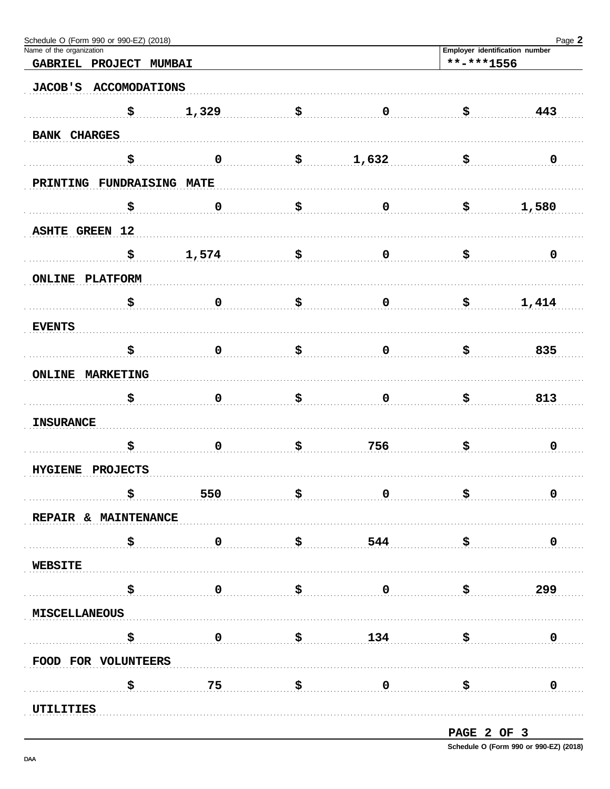| Schedule O (Form 990 or 990-EZ) (2018)                                                                                                                                                                                                                                                                    |                                                                                                                                                                                                                                                                                                                   |                                                                      |                                                                                             |                | Page 2                                                                              |
|-----------------------------------------------------------------------------------------------------------------------------------------------------------------------------------------------------------------------------------------------------------------------------------------------------------|-------------------------------------------------------------------------------------------------------------------------------------------------------------------------------------------------------------------------------------------------------------------------------------------------------------------|----------------------------------------------------------------------|---------------------------------------------------------------------------------------------|----------------|-------------------------------------------------------------------------------------|
| Name of the organization                                                                                                                                                                                                                                                                                  | **-***1556                                                                                                                                                                                                                                                                                                        | Employer identification number                                       |                                                                                             |                |                                                                                     |
| GABRIEL PROJECT MUMBAI                                                                                                                                                                                                                                                                                    |                                                                                                                                                                                                                                                                                                                   |                                                                      |                                                                                             |                |                                                                                     |
| <b>JACOB'S</b><br><b>ACCOMODATIONS</b>                                                                                                                                                                                                                                                                    |                                                                                                                                                                                                                                                                                                                   |                                                                      |                                                                                             |                |                                                                                     |
| \$                                                                                                                                                                                                                                                                                                        | 1,329                                                                                                                                                                                                                                                                                                             | \$                                                                   | $\mathbf 0$                                                                                 | \$             | 443                                                                                 |
| <b>BANK CHARGES</b>                                                                                                                                                                                                                                                                                       |                                                                                                                                                                                                                                                                                                                   |                                                                      |                                                                                             |                |                                                                                     |
| \$                                                                                                                                                                                                                                                                                                        | $\pmb{0}$                                                                                                                                                                                                                                                                                                         | \$                                                                   | 1,632                                                                                       | \$             | $\mathbf 0$                                                                         |
| PRINTING FUNDRAISING MATE                                                                                                                                                                                                                                                                                 |                                                                                                                                                                                                                                                                                                                   |                                                                      |                                                                                             |                |                                                                                     |
| \$                                                                                                                                                                                                                                                                                                        | $\pmb{0}$                                                                                                                                                                                                                                                                                                         | \$                                                                   | $\mathbf 0$                                                                                 | \$             | 1,580                                                                               |
| <b>ASHTE GREEN 12</b>                                                                                                                                                                                                                                                                                     |                                                                                                                                                                                                                                                                                                                   |                                                                      |                                                                                             |                |                                                                                     |
| \$                                                                                                                                                                                                                                                                                                        | 1,574                                                                                                                                                                                                                                                                                                             | \$                                                                   | $\mathbf 0$                                                                                 | \$             | $\mathbf 0$                                                                         |
| <b>ONLINE PLATFORM</b>                                                                                                                                                                                                                                                                                    |                                                                                                                                                                                                                                                                                                                   |                                                                      |                                                                                             |                |                                                                                     |
| \$                                                                                                                                                                                                                                                                                                        | $\mathbf 0$                                                                                                                                                                                                                                                                                                       | \$                                                                   | $\mathbf 0$                                                                                 | \$             | 1,414                                                                               |
| <b>EVENTS</b>                                                                                                                                                                                                                                                                                             |                                                                                                                                                                                                                                                                                                                   |                                                                      |                                                                                             |                |                                                                                     |
| \$                                                                                                                                                                                                                                                                                                        | $\mathbf 0$                                                                                                                                                                                                                                                                                                       | \$                                                                   | $\mathbf 0$                                                                                 | \$             | 835                                                                                 |
| <b>ONLINE MARKETING</b>                                                                                                                                                                                                                                                                                   |                                                                                                                                                                                                                                                                                                                   |                                                                      |                                                                                             |                |                                                                                     |
| \$                                                                                                                                                                                                                                                                                                        | 0                                                                                                                                                                                                                                                                                                                 | \$                                                                   | $\mathbf 0$                                                                                 | \$             | 813                                                                                 |
| <b>INSURANCE</b>                                                                                                                                                                                                                                                                                          |                                                                                                                                                                                                                                                                                                                   |                                                                      |                                                                                             |                |                                                                                     |
| \$                                                                                                                                                                                                                                                                                                        | $\mathbf 0$                                                                                                                                                                                                                                                                                                       | \$                                                                   | 756                                                                                         | \$             | $\mathbf 0$                                                                         |
| HYGIENE PROJECTS                                                                                                                                                                                                                                                                                          |                                                                                                                                                                                                                                                                                                                   |                                                                      |                                                                                             |                |                                                                                     |
| \$                                                                                                                                                                                                                                                                                                        | 550                                                                                                                                                                                                                                                                                                               | $\boldsymbol{\mathsf{S}}$ , and the set of $\boldsymbol{\mathsf{S}}$ |                                                                                             | $\overline{0}$ | $\ddot{\bm{\mathsf{S}}}$ . The continuum of $\ddot{\bm{\mathsf{S}}}$<br>$\mathbf 0$ |
| REPAIR & MAINTENANCE                                                                                                                                                                                                                                                                                      |                                                                                                                                                                                                                                                                                                                   |                                                                      |                                                                                             |                |                                                                                     |
| $\begin{array}{ccccccc} \texttt{S} & \texttt{0} & \texttt{S} & \texttt{544} & \texttt{S} \end{array}$                                                                                                                                                                                                     |                                                                                                                                                                                                                                                                                                                   |                                                                      |                                                                                             |                | $\mathbf 0$                                                                         |
| <b>WEBSITE</b>                                                                                                                                                                                                                                                                                            |                                                                                                                                                                                                                                                                                                                   |                                                                      |                                                                                             |                |                                                                                     |
|                                                                                                                                                                                                                                                                                                           | $\overline{0}$                                                                                                                                                                                                                                                                                                    |                                                                      | $\begin{array}{c} \texttt{\$} \texttt{\$} \texttt{\$} \texttt{\$} \texttt{299} \end{array}$ |                |                                                                                     |
| <b>MISCELLANEOUS</b>                                                                                                                                                                                                                                                                                      |                                                                                                                                                                                                                                                                                                                   |                                                                      |                                                                                             |                |                                                                                     |
|                                                                                                                                                                                                                                                                                                           | $\ddot{\bm{s}}$ , and $\ddot{\bm{s}}$ , and $\ddot{\bm{s}}$ , and $\ddot{\bm{s}}$ , and $\ddot{\bm{s}}$ , and $\ddot{\bm{s}}$ , and $\ddot{\bm{s}}$ , and $\ddot{\bm{s}}$ , and $\ddot{\bm{s}}$ , and $\ddot{\bm{s}}$ , and $\ddot{\bm{s}}$ , and $\ddot{\bm{s}}$ , and $\ddot{\bm{s}}$ , and $\ddot{\bm{s}}$ , a |                                                                      | $\frac{\text{}}{\text{}}$ \$ 134                                                            |                | $\mathbf 0$                                                                         |
| FOOD FOR VOLUNTEERS                                                                                                                                                                                                                                                                                       |                                                                                                                                                                                                                                                                                                                   |                                                                      |                                                                                             |                |                                                                                     |
| $\frac{1}{5}$ , $\frac{1}{5}$ , $\frac{1}{5}$ , $\frac{1}{5}$ , $\frac{1}{5}$ , $\frac{1}{5}$ , $\frac{1}{5}$ , $\frac{1}{5}$ , $\frac{1}{5}$ , $\frac{1}{5}$ , $\frac{1}{5}$ , $\frac{1}{5}$ , $\frac{1}{5}$ , $\frac{1}{5}$ , $\frac{1}{5}$ , $\frac{1}{5}$ , $\frac{1}{5}$ , $\frac{1}{5}$ , $\frac{1$ |                                                                                                                                                                                                                                                                                                                   |                                                                      |                                                                                             | ∴.\$           | $\overline{\mathbf{0}}$ .                                                           |
| UTILITIES                                                                                                                                                                                                                                                                                                 |                                                                                                                                                                                                                                                                                                                   |                                                                      |                                                                                             |                |                                                                                     |
|                                                                                                                                                                                                                                                                                                           |                                                                                                                                                                                                                                                                                                                   |                                                                      |                                                                                             |                |                                                                                     |

PAGE 2 OF 3 Schedule O (Form 990 or 990-EZ) (2018)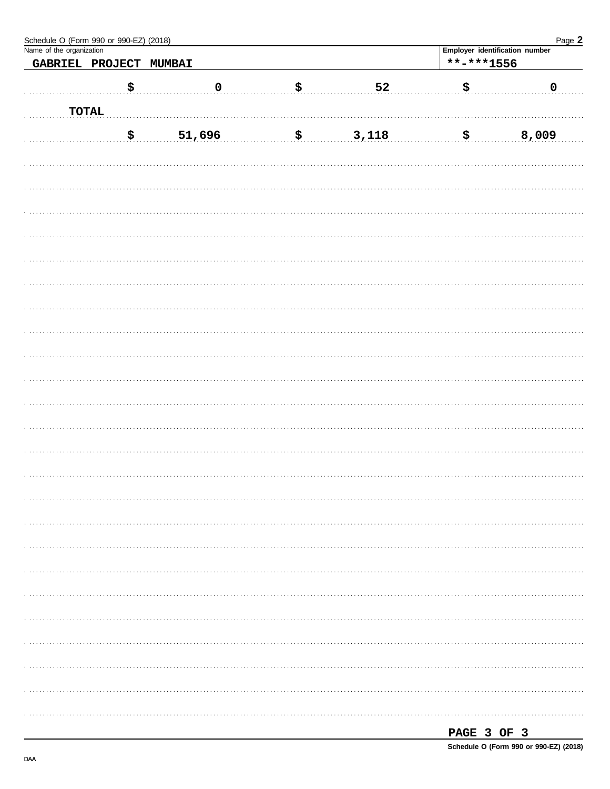| Schedule O (Form 990 or 990-EZ) (2018)<br>Name of the organization |                        |        |           |             | Employer identification number | Page 2    |
|--------------------------------------------------------------------|------------------------|--------|-----------|-------------|--------------------------------|-----------|
|                                                                    | GABRIEL PROJECT MUMBAI |        |           |             | $***$ -***1556                 |           |
|                                                                    |                        |        |           |             |                                |           |
|                                                                    | \$                     |        | $\pmb{0}$ | \$<br>52    | \$                             | $\pmb{0}$ |
|                                                                    | <b>TOTAL</b>           |        |           |             |                                |           |
|                                                                    | \$                     | 51,696 |           | \$<br>3,118 | $\boldsymbol{\mathsf{S}}$      | 8,009     |
|                                                                    |                        |        |           |             |                                |           |
|                                                                    |                        |        |           |             |                                |           |
|                                                                    |                        |        |           |             |                                |           |
|                                                                    |                        |        |           |             |                                |           |
|                                                                    |                        |        |           |             |                                |           |
|                                                                    |                        |        |           |             |                                |           |
|                                                                    |                        |        |           |             |                                |           |
|                                                                    |                        |        |           |             |                                |           |
|                                                                    |                        |        |           |             |                                |           |
|                                                                    |                        |        |           |             |                                |           |
|                                                                    |                        |        |           |             |                                |           |
|                                                                    |                        |        |           |             |                                |           |
|                                                                    |                        |        |           |             |                                |           |
|                                                                    |                        |        |           |             |                                |           |
|                                                                    |                        |        |           |             |                                |           |
|                                                                    |                        |        |           |             |                                |           |
|                                                                    |                        |        |           |             |                                |           |
|                                                                    |                        |        |           |             |                                |           |
|                                                                    |                        |        |           |             |                                |           |
|                                                                    |                        |        |           |             |                                |           |
|                                                                    |                        |        |           |             |                                |           |
|                                                                    |                        |        |           |             |                                |           |
|                                                                    |                        |        |           |             |                                |           |
|                                                                    |                        |        |           |             |                                |           |

| PAGE 3 OF 3 |  |                                        |
|-------------|--|----------------------------------------|
|             |  | Schedule O (Form 990 or 990-EZ) (2018) |